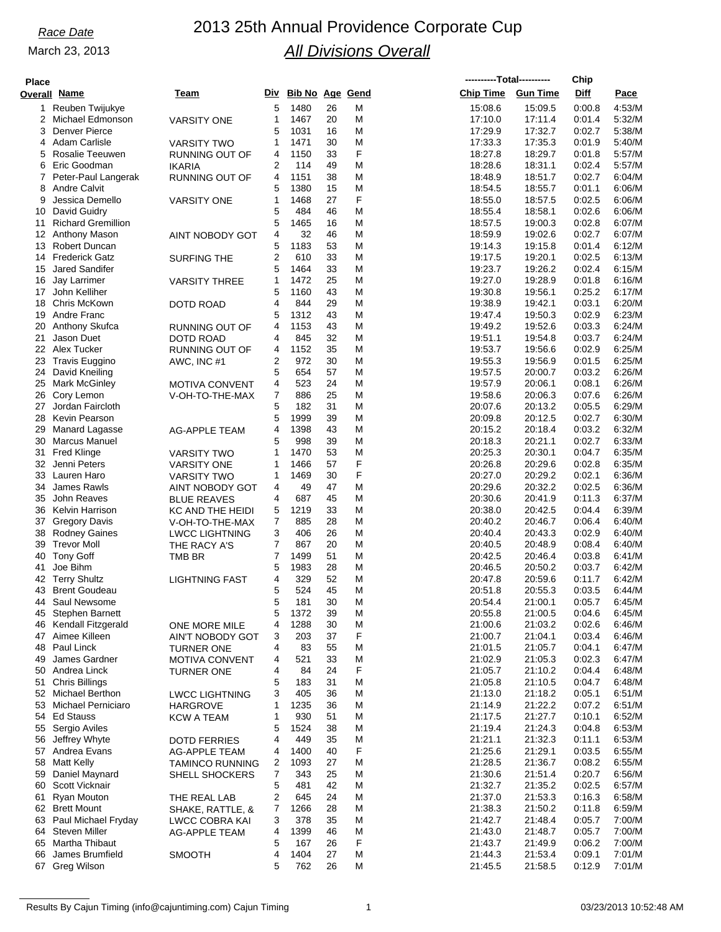# *Race Date* 2013 25th Annual Providence Corporate Cup *All Divisions Overall*

### <u>Ov</u> **Place**

| 'lace    |                                                |                                      |        |                 |          |        | ----------Total---------- |                    | Chip             |                  |
|----------|------------------------------------------------|--------------------------------------|--------|-----------------|----------|--------|---------------------------|--------------------|------------------|------------------|
|          | verall Name                                    | Team                                 | Div    | Bib No Age Gend |          |        | <b>Chip Time</b>          | <b>Gun Time</b>    | Diff             | Pace             |
| 1.       | Reuben Twijukye                                |                                      | 5      | 1480            | 26       | M      | 15:08.6                   | 15:09.5            | 0:00.8           | 4:53/M           |
| 2        | Michael Edmonson                               | <b>VARSITY ONE</b>                   | 1      | 1467            | 20       | M      | 17:10.0                   | 17:11.4            | 0:01.4           | 5:32/M           |
| 3        | <b>Denver Pierce</b>                           |                                      | 5      | 1031            | 16       | M      | 17:29.9                   | 17:32.7            | 0:02.7           | 5:38/M           |
| 4        | Adam Carlisle                                  | <b>VARSITY TWO</b>                   | 1      | 1471            | 30       | M      | 17:33.3                   | 17:35.3            | 0:01.9           | 5:40/M           |
| 5        | Rosalie Teeuwen                                | RUNNING OUT OF                       | 4      | 1150            | 33       | F      | 18:27.8                   | 18:29.7            | 0:01.8           | 5:57/M           |
| 6<br>7   | Eric Goodman                                   | <b>IKARIA</b>                        | 2<br>4 | 114<br>1151     | 49<br>38 | M<br>M | 18:28.6                   | 18:31.1            | 0:02.4<br>0:02.7 | 5:57/M<br>6:04/M |
| 8        | Peter-Paul Langerak<br><b>Andre Calvit</b>     | RUNNING OUT OF                       | 5      | 1380            | 15       | M      | 18:48.9<br>18:54.5        | 18:51.7<br>18:55.7 | 0:01.1           | 6:06/M           |
| 9        | Jessica Demello                                | <b>VARSITY ONE</b>                   | 1      | 1468            | 27       | F      | 18:55.0                   | 18:57.5            | 0:02.5           | 6:06/M           |
| 10       | David Guidry                                   |                                      | 5      | 484             | 46       | M      | 18:55.4                   | 18:58.1            | 0:02.6           | 6:06/M           |
| 11       | <b>Richard Gremillion</b>                      |                                      | 5      | 1465            | 16       | M      | 18:57.5                   | 19:00.3            | 0:02.8           | 6:07/M           |
| 12       | Anthony Mason                                  | <b>AINT NOBODY GOT</b>               | 4      | 32              | 46       | M      | 18:59.9                   | 19:02.6            | 0:02.7           | 6:07/M           |
| 13       | Robert Duncan                                  |                                      | 5      | 1183            | 53       | M      | 19:14.3                   | 19:15.8            | 0:01.4           | 6:12/M           |
| 14       | <b>Frederick Gatz</b>                          | <b>SURFING THE</b>                   | 2      | 610             | 33       | M      | 19:17.5                   | 19:20.1            | 0:02.5           | 6:13/M           |
| 15       | <b>Jared Sandifer</b>                          |                                      | 5      | 1464            | 33       | M      | 19:23.7                   | 19:26.2            | 0:02.4           | 6:15/M           |
| 16<br>17 | Jay Larrimer<br>John Kelliher                  | <b>VARSITY THREE</b>                 | 1<br>5 | 1472<br>1160    | 25<br>43 | M<br>M | 19:27.0<br>19:30.8        | 19:28.9<br>19:56.1 | 0:01.8<br>0:25.2 | 6:16/M<br>6:17/M |
| 18       | Chris McKown                                   | DOTD ROAD                            | 4      | 844             | 29       | M      | 19:38.9                   | 19:42.1            | 0:03.1           | 6:20/M           |
| 19       | Andre Franc                                    |                                      | 5      | 1312            | 43       | M      | 19:47.4                   | 19:50.3            | 0:02.9           | 6:23/M           |
| 20       | Anthony Skufca                                 | RUNNING OUT OF                       | 4      | 1153            | 43       | M      | 19:49.2                   | 19:52.6            | 0:03.3           | 6:24/M           |
| 21       | Jason Duet                                     | <b>DOTD ROAD</b>                     | 4      | 845             | 32       | M      | 19:51.1                   | 19:54.8            | 0:03.7           | 6:24/M           |
|          | 22 Alex Tucker                                 | RUNNING OUT OF                       | 4      | 1152            | 35       | M      | 19:53.7                   | 19:56.6            | 0:02.9           | 6:25/M           |
| 23       | Travis Euggino                                 | AWC, INC #1                          | 2      | 972             | 30       | M      | 19:55.3                   | 19:56.9            | 0:01.5           | 6:25/M           |
| 24       | David Kneiling                                 |                                      | 5      | 654             | 57       | M      | 19:57.5                   | 20:00.7            | 0:03.2           | 6:26/M           |
| 25       | <b>Mark McGinley</b>                           | <b>MOTIVA CONVENT</b>                | 4      | 523             | 24       | M      | 19:57.9                   | 20:06.1            | 0:08.1           | 6:26/M           |
| 26<br>27 | Cory Lemon<br>Jordan Faircloth                 | V-OH-TO-THE-MAX                      | 7<br>5 | 886<br>182      | 25<br>31 | M<br>M | 19:58.6<br>20:07.6        | 20:06.3<br>20:13.2 | 0.07.6<br>0:05.5 | 6:26/M<br>6:29/M |
| 28       | Kevin Pearson                                  |                                      | 5      | 1999            | 39       | M      | 20:09.8                   | 20:12.5            | 0:02.7           | 6:30/M           |
| 29       | Manard Lagasse                                 | <b>AG-APPLE TEAM</b>                 | 4      | 1398            | 43       | M      | 20:15.2                   | 20:18.4            | 0:03.2           | 6:32/M           |
| 30       | <b>Marcus Manuel</b>                           |                                      | 5      | 998             | 39       | M      | 20:18.3                   | 20:21.1            | 0:02.7           | 6:33/M           |
| 31       | <b>Fred Klinge</b>                             | VARSITY TWO                          | 1      | 1470            | 53       | M      | 20:25.3                   | 20:30.1            | 0:04.7           | 6:35/M           |
| 32       | Jenni Peters                                   | <b>VARSITY ONE</b>                   | 1      | 1466            | 57       | F      | 20:26.8                   | 20:29.6            | 0:02.8           | 6:35/M           |
| 33       | Lauren Haro                                    | <b>VARSITY TWO</b>                   | 1      | 1469            | 30       | F      | 20:27.0                   | 20:29.2            | 0:02.1           | 6:36/M           |
| 34       | James Rawls                                    | AINT NOBODY GOT                      | 4      | 49              | 47       | M      | 20:29.6                   | 20:32.2            | 0:02.5           | 6:36/M           |
| 35       | John Reaves                                    | <b>BLUE REAVES</b>                   | 4      | 687             | 45       | M      | 20:30.6                   | 20:41.9            | 0:11.3           | 6:37/M           |
| 36<br>37 | <b>Kelvin Harrison</b><br><b>Gregory Davis</b> | KC AND THE HEIDI<br>V-OH-TO-THE-MAX  | 5<br>7 | 1219<br>885     | 33<br>28 | M<br>M | 20:38.0<br>20:40.2        | 20:42.5<br>20:46.7 | 0:04.4<br>0:06.4 | 6:39/M<br>6:40/M |
| 38       | <b>Rodney Gaines</b>                           | <b>LWCC LIGHTNING</b>                | 3      | 406             | 26       | M      | 20:40.4                   | 20:43.3            | 0:02.9           | 6:40/M           |
| 39       | <b>Trevor Moll</b>                             | THE RACY A'S                         | 7      | 867             | 20       | M      | 20:40.5                   | 20:48.9            | 0.08.4           | 6:40/M           |
| 40       | <b>Tony Goff</b>                               | TMB BR                               | 7      | 1499            | 51       | M      | 20:42.5                   | 20:46.4            | 0:03.8           | 6:41/M           |
| 41       | Joe Bihm                                       |                                      | 5      | 1983            | 28       | M      | 20:46.5                   | 20:50.2            | 0:03.7           | 6:42/M           |
| 42       | <b>Terry Shultz</b>                            | <b>LIGHTNING FAST</b>                | 4      | 329             | 52       | M      | 20:47.8                   | 20:59.6            | 0:11.7           | 6:42/M           |
| 43       | <b>Brent Goudeau</b>                           |                                      | 5      | 524             | 45       | M      | 20:51.8                   | 20:55.3            | 0:03.5           | 6:44/M           |
| 44       | Saul Newsome                                   |                                      | 5      | 181             | 30       | M      | 20:54.4                   | 21:00.1            | 0:05.7           | 6:45/M           |
| 45       | <b>Stephen Barnett</b>                         |                                      | 5      | 1372<br>1288    | 39       | M      | 20:55.8<br>21:00.6        | 21:00.5            | 0.04.6<br>0:02.6 | 6:45/M<br>6:46/M |
| 46<br>47 | Kendall Fitzgerald<br>Aimee Killeen            | ONE MORE MILE<br>AIN'T NOBODY GOT    | 4<br>3 | 203             | 30<br>37 | M<br>F | 21:00.7                   | 21:03.2<br>21:04.1 | 0:03.4           | 6:46/M           |
| 48       | Paul Linck                                     | TURNER ONE                           | 4      | 83              | 55       | M      | 21:01.5                   | 21:05.7            | 0.04.1           | 6:47/M           |
| 49       | James Gardner                                  | <b>MOTIVA CONVENT</b>                | 4      | 521             | 33       | M      | 21:02.9                   | 21:05.3            | 0:02.3           | 6:47/M           |
| 50       | Andrea Linck                                   | <b>TURNER ONE</b>                    | 4      | 84              | 24       | F      | 21:05.7                   | 21:10.2            | 0.04.4           | 6:48/M           |
| 51       | <b>Chris Billings</b>                          |                                      | 5      | 183             | 31       | M      | 21:05.8                   | 21:10.5            | 0:04.7           | 6:48/M           |
| 52       | Michael Berthon                                | <b>LWCC LIGHTNING</b>                | 3      | 405             | 36       | M      | 21:13.0                   | 21:18.2            | 0:05.1           | 6:51/M           |
| 53       | Michael Perniciaro                             | <b>HARGROVE</b>                      | 1      | 1235            | 36       | M      | 21:14.9                   | 21:22.2            | 0:07.2           | 6:51/M           |
| 54       | <b>Ed Stauss</b>                               | KCW A TEAM                           | 1      | 930             | 51       | M      | 21:17.5                   | 21:27.7            | 0:10.1           | 6:52/M           |
| 55       | Sergio Aviles<br>Jeffrey Whyte                 |                                      | 5<br>4 | 1524            | 38       | M      | 21:19.4                   | 21:24.3            | 0.04.8           | 6:53/M           |
| 56<br>57 | Andrea Evans                                   | <b>DOTD FERRIES</b><br>AG-APPLE TEAM | 4      | 449<br>1400     | 35<br>40 | M<br>F | 21:21.1<br>21:25.6        | 21:32.3<br>21:29.1 | 0.11.1<br>0:03.5 | 6:53/M<br>6:55/M |
| 58       | <b>Matt Kelly</b>                              | TAMINCO RUNNING                      | 2      | 1093            | 27       | M      | 21:28.5                   | 21:36.7            | 0:08.2           | 6:55/M           |
| 59       | Daniel Maynard                                 | <b>SHELL SHOCKERS</b>                | 7      | 343             | 25       | M      | 21:30.6                   | 21:51.4            | 0:20.7           | 6:56/M           |
| 60       | Scott Vicknair                                 |                                      | 5      | 481             | 42       | M      | 21:32.7                   | 21:35.2            | 0:02.5           | 6:57/M           |
| 61       | Ryan Mouton                                    | THE REAL LAB                         | 2      | 645             | 24       | M      | 21:37.0                   | 21:53.3            | 0.16.3           | 6:58/M           |
| 62       | <b>Brett Mount</b>                             | SHAKE, RATTLE, &                     | 7      | 1266            | 28       | M      | 21:38.3                   | 21:50.2            | 0.11.8           | 6:59/M           |
| 63       | Paul Michael Fryday                            | LWCC COBRA KAI                       | 3      | 378             | 35       | M      | 21:42.7                   | 21:48.4            | 0:05.7           | 7:00/M           |
| 64       | <b>Steven Miller</b>                           | <b>AG-APPLE TEAM</b>                 | 4      | 1399            | 46       | M      | 21:43.0                   | 21:48.7            | 0:05.7           | 7:00/M           |
| 65<br>66 | Martha Thibaut<br>James Brumfield              | <b>SMOOTH</b>                        | 5<br>4 | 167<br>1404     | 26<br>27 | F<br>M | 21:43.7<br>21:44.3        | 21:49.9<br>21.53.4 | 0:06.2<br>0.09.1 | 7:00/M<br>7:01/M |
| 67       | Greg Wilson                                    |                                      | 5      | 762             | 26       | M      | 21:45.5                   | 21:58.5            | 0:12.9           | 7:01/M           |
|          |                                                |                                      |        |                 |          |        |                           |                    |                  |                  |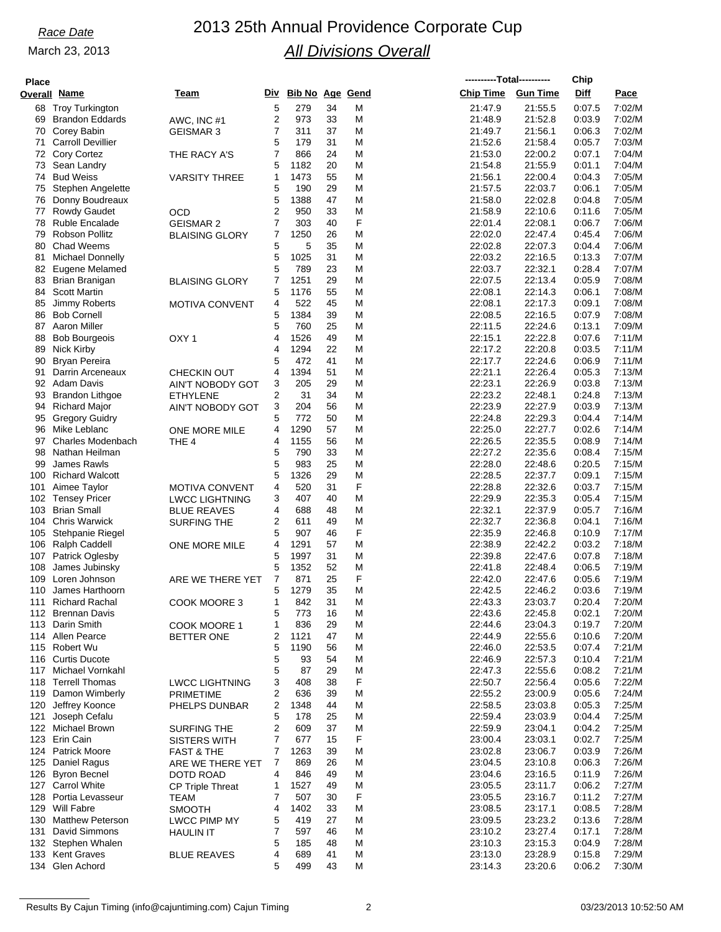| Place  |  |
|--------|--|
| verall |  |

| Place |                          |                         |                         |                        |    |   | ----------Total---------- |                 | Chip   |        |
|-------|--------------------------|-------------------------|-------------------------|------------------------|----|---|---------------------------|-----------------|--------|--------|
|       | verall Name              | Team                    | Div                     | <b>Bib No Age Gend</b> |    |   | Chip Time                 | <b>Gun Time</b> | Diff   | Pace   |
|       |                          |                         |                         |                        |    |   |                           |                 |        |        |
| 68    | <b>Troy Turkington</b>   |                         | 5                       | 279                    | 34 | M | 21:47.9                   | 21:55.5         | 0:07.5 | 7:02/M |
| 69    | <b>Brandon Eddards</b>   | AWC, INC #1             | $\overline{\mathbf{c}}$ | 973                    | 33 | M | 21:48.9                   | 21:52.8         | 0:03.9 | 7:02/M |
| 70    | Corey Babin              | <b>GEISMAR 3</b>        | $\overline{7}$          | 311                    | 37 | м | 21:49.7                   | 21:56.1         | 0:06.3 | 7:02/M |
| 71    | <b>Carroll Devillier</b> |                         | 5                       | 179                    | 31 | M | 21:52.6                   | 21:58.4         | 0:05.7 | 7:03/M |
| 72    | <b>Cory Cortez</b>       | THE RACY A'S            | $\overline{7}$          | 866                    | 24 | M | 21:53.0                   | 22:00.2         | 0:07.1 | 7:04/M |
| 73    | Sean Landry              |                         | 5                       | 1182                   | 20 | M | 21:54.8                   | 21:55.9         | 0:01.1 | 7:04/M |
| 74    | <b>Bud Weiss</b>         | <b>VARSITY THREE</b>    | 1                       | 1473                   | 55 | Μ | 21:56.1                   | 22:00.4         | 0:04.3 | 7:05/M |
| 75    | Stephen Angelette        |                         | 5                       | 190                    | 29 | M | 21:57.5                   | 22:03.7         | 0:06.1 | 7:05/M |
| 76    | Donny Boudreaux          |                         | 5                       | 1388                   | 47 | M | 21:58.0                   | 22:02.8         | 0:04.8 | 7:05/M |
| 77    | <b>Rowdy Gaudet</b>      | OCD                     | $\overline{2}$          | 950                    | 33 | M | 21:58.9                   | 22:10.6         | 0:11.6 | 7:05/M |
| 78    |                          |                         | $\overline{7}$          | 303                    | 40 | F |                           | 22:08.1         | 0.06.7 | 7:06/M |
|       | <b>Ruble Encalade</b>    | <b>GEISMAR 2</b>        |                         |                        |    |   | 22:01.4                   |                 |        |        |
| 79    | <b>Robson Pollitz</b>    | <b>BLAISING GLORY</b>   | 7                       | 1250                   | 26 | M | 22:02.0                   | 22:47.4         | 0.45.4 | 7:06/M |
| 80    | <b>Chad Weems</b>        |                         | 5                       | 5                      | 35 | M | 22:02.8                   | 22:07.3         | 0:04.4 | 7:06/M |
| 81    | Michael Donnelly         |                         | 5                       | 1025                   | 31 | M | 22:03.2                   | 22:16.5         | 0:13.3 | 7:07/M |
| 82    | Eugene Melamed           |                         | 5                       | 789                    | 23 | Μ | 22:03.7                   | 22:32.1         | 0:28.4 | 7:07/M |
| 83    | Brian Branigan           | <b>BLAISING GLORY</b>   | 7                       | 1251                   | 29 | M | 22:07.5                   | 22:13.4         | 0:05.9 | 7:08/M |
| 84    | <b>Scott Martin</b>      |                         | 5                       | 1176                   | 55 | M | 22:08.1                   | 22:14.3         | 0:06.1 | 7:08/M |
| 85    | <b>Jimmy Roberts</b>     | <b>MOTIVA CONVENT</b>   | 4                       | 522                    | 45 | M | 22:08.1                   | 22:17.3         | 0:09.1 | 7:08/M |
| 86    | <b>Bob Cornell</b>       |                         | 5                       | 1384                   | 39 | M | 22:08.5                   | 22:16.5         | 0:07.9 | 7:08/M |
| 87    | Aaron Miller             |                         | 5                       | 760                    | 25 | M | 22:11.5                   | 22:24.6         | 0:13.1 | 7:09/M |
| 88    | <b>Bob Bourgeois</b>     | OXY 1                   | 4                       | 1526                   | 49 | M | 22:15.1                   | 22:22.8         | 0.07.6 | 7:11/M |
|       | Nick Kirby               |                         | 4                       | 1294                   | 22 | M |                           | 22:20.8         |        | 7:11/M |
| 89    |                          |                         |                         |                        |    |   | 22:17.2                   |                 | 0:03.5 |        |
| 90    | Bryan Pereira            |                         | 5                       | 472                    | 41 | М | 22:17.7                   | 22:24.6         | 0.06.9 | 7:11/M |
| 91    | Darrin Arceneaux         | <b>CHECKIN OUT</b>      | 4                       | 1394                   | 51 | M | 22:21.1                   | 22:26.4         | 0:05.3 | 7:13/M |
| 92    | Adam Davis               | <b>AIN'T NOBODY GOT</b> | 3                       | 205                    | 29 | M | 22:23.1                   | 22:26.9         | 0:03.8 | 7:13/M |
| 93    | <b>Brandon Lithgoe</b>   | ETHYLENE                | 2                       | 31                     | 34 | M | 22:23.2                   | 22:48.1         | 0:24.8 | 7:13/M |
| 94    | <b>Richard Major</b>     | AIN'T NOBODY GOT        | 3                       | 204                    | 56 | M | 22:23.9                   | 22:27.9         | 0:03.9 | 7:13/M |
| 95    | <b>Gregory Guidry</b>    |                         | 5                       | 772                    | 50 | M | 22:24.8                   | 22:29.3         | 0.04.4 | 7:14/M |
| 96    | Mike Leblanc             | ONE MORE MILE           | 4                       | 1290                   | 57 | M | 22:25.0                   | 22:27.7         | 0:02.6 | 7:14/M |
| 97    | <b>Charles Modenbach</b> | THE 4                   | 4                       | 1155                   | 56 | M | 22:26.5                   | 22:35.5         | 0:08.9 | 7:14/M |
| 98    | Nathan Heilman           |                         | 5                       | 790                    | 33 | M | 22:27.2                   | 22:35.6         | 0:08.4 | 7:15/M |
| 99    | James Rawls              |                         | 5                       | 983                    | 25 | M | 22:28.0                   | 22:48.6         | 0:20.5 | 7:15/M |
|       |                          |                         |                         |                        |    |   |                           |                 |        |        |
| 100   | <b>Richard Walcott</b>   |                         | 5                       | 1326                   | 29 | M | 22:28.5                   | 22:37.7         | 0:09.1 | 7:15/M |
| 101   | Aimee Taylor             | <b>MOTIVA CONVENT</b>   | 4                       | 520                    | 31 | F | 22:28.8                   | 22:32.6         | 0:03.7 | 7:15/M |
| 102   | <b>Tensey Pricer</b>     | <b>LWCC LIGHTNING</b>   | 3                       | 407                    | 40 | M | 22:29.9                   | 22:35.3         | 0:05.4 | 7:15/M |
| 103   | <b>Brian Small</b>       | <b>BLUE REAVES</b>      | 4                       | 688                    | 48 | M | 22:32.1                   | 22:37.9         | 0:05.7 | 7:16/M |
| 104   | <b>Chris Warwick</b>     | SURFING THE             | 2                       | 611                    | 49 | M | 22:32.7                   | 22:36.8         | 0:04.1 | 7:16/M |
| 105   | Stehpanie Riegel         |                         | 5                       | 907                    | 46 | F | 22:35.9                   | 22:46.8         | 0:10.9 | 7:17/M |
| 106   | Ralph Caddell            | ONE MORE MILE           | 4                       | 1291                   | 57 | M | 22:38.9                   | 22:42.2         | 0:03.2 | 7:18/M |
| 107   | Patrick Oglesby          |                         | 5                       | 1997                   | 31 | M | 22:39.8                   | 22:47.6         | 0:07.8 | 7:18/M |
| 108   | James Jubinsky           |                         | 5                       | 1352                   | 52 | M | 22:41.8                   | 22:48.4         | 0:06.5 | 7:19/M |
| 109   | Loren Johnson            | ARE WE THERE YET        | 7                       | 871                    | 25 | F | 22:42.0                   | 22:47.6         | 0:05.6 | 7:19/M |
| 110   | James Harthoorn          |                         | 5                       | 1279                   | 35 | M | 22:42.5                   | 22:46.2         |        | 7:19/M |
|       |                          |                         |                         |                        |    |   |                           |                 | 0:03.6 |        |
| 111   | <b>Richard Rachal</b>    | COOK MOORE 3            | 1                       | 842                    | 31 | M | 22:43.3                   | 23:03.7         | 0:20.4 | 7:20/M |
|       | 112 Brennan Davis        |                         | 5                       | 773                    | 16 | M | 22:43.6                   | 22:45.8         | 0.02.1 | 7:20/M |
| 113   | Darin Smith              | COOK MOORE 1            | 1                       | 836                    | 29 | M | 22:44.6                   | 23.04.3         | 0:19.7 | 7:20/M |
| 114   | Allen Pearce             | <b>BETTER ONE</b>       | 2                       | 1121                   | 47 | M | 22:44.9                   | 22:55.6         | 0.10.6 | 7:20/M |
| 115   | Robert Wu                |                         | 5                       | 1190                   | 56 | M | 22:46.0                   | 22:53.5         | 0:07.4 | 7:21/M |
| 116   | <b>Curtis Ducote</b>     |                         | 5                       | 93                     | 54 | M | 22:46.9                   | 22:57.3         | 0:10.4 | 7:21/M |
| 117   | Michael Vornkahl         |                         | 5                       | 87                     | 29 | M | 22:47.3                   | 22:55.6         | 0:08.2 | 7:21/M |
| 118   | <b>Terrell Thomas</b>    | <b>LWCC LIGHTNING</b>   | 3                       | 408                    | 38 | F | 22:50.7                   | 22:56.4         | 0:05.6 | 7:22/M |
| 119   | Damon Wimberly           | <b>PRIMETIME</b>        | 2                       | 636                    | 39 | M | 22:55.2                   | 23:00.9         | 0:05.6 | 7:24/M |
|       |                          |                         | 2                       | 1348                   | 44 | M | 22:58.5                   | 23:03.8         | 0:05.3 | 7:25/M |
| 120   | Jeffrey Koonce           | PHELPS DUNBAR           |                         |                        |    |   |                           |                 |        |        |
| 121   | Joseph Cefalu            |                         | 5                       | 178                    | 25 | M | 22:59.4                   | 23:03.9         | 0:04.4 | 7:25/M |
|       | 122 Michael Brown        | SURFING THE             | 2                       | 609                    | 37 | M | 22:59.9                   | 23:04.1         | 0:04.2 | 7:25/M |
| 123   | Erin Cain                | <b>SISTERS WITH</b>     | 7                       | 677                    | 15 | F | 23:00.4                   | 23:03.1         | 0:02.7 | 7:25/M |
| 124   | <b>Patrick Moore</b>     | <b>FAST &amp; THE</b>   | 7                       | 1263                   | 39 | M | 23:02.8                   | 23:06.7         | 0:03.9 | 7:26/M |
| 125   | Daniel Ragus             | ARE WE THERE YET        | 7                       | 869                    | 26 | M | 23:04.5                   | 23:10.8         | 0:06.3 | 7:26/M |
| 126   | <b>Byron Becnel</b>      | DOTD ROAD               | 4                       | 846                    | 49 | M | 23:04.6                   | 23:16.5         | 0:11.9 | 7:26/M |
|       | 127 Carrol White         | CP Triple Threat        | 1                       | 1527                   | 49 | M | 23:05.5                   | 23:11.7         | 0:06.2 | 7:27/M |
| 128   | Portia Levasseur         | TEAM                    | 7                       | 507                    | 30 | F | 23:05.5                   | 23:16.7         | 0:11.2 | 7:27/M |
| 129   | Will Fabre               | <b>SMOOTH</b>           | 4                       | 1402                   | 33 | M | 23:08.5                   | 23:17.1         | 0:08.5 | 7:28/M |
|       |                          |                         |                         |                        |    |   |                           |                 |        |        |
|       | 130 Matthew Peterson     | <b>LWCC PIMP MY</b>     | 5                       | 419                    | 27 | M | 23:09.5                   | 23:23.2         | 0:13.6 | 7:28/M |
| 131   | David Simmons            | HAULIN IT               | 7                       | 597                    | 46 | M | 23:10.2                   | 23.27.4         | 0:17.1 | 7:28/M |
| 132   | Stephen Whalen           |                         | 5                       | 185                    | 48 | M | 23:10.3                   | 23:15.3         | 0:04.9 | 7:28/M |
| 133   | <b>Kent Graves</b>       | <b>BLUE REAVES</b>      | 4                       | 689                    | 41 | M | 23:13.0                   | 23:28.9         | 0:15.8 | 7:29/M |
|       | 134 Glen Achord          |                         | 5                       | 499                    | 43 | М | 23:14.3                   | 23:20.6         | 0:06.2 | 7:30/M |
|       |                          |                         |                         |                        |    |   |                           |                 |        |        |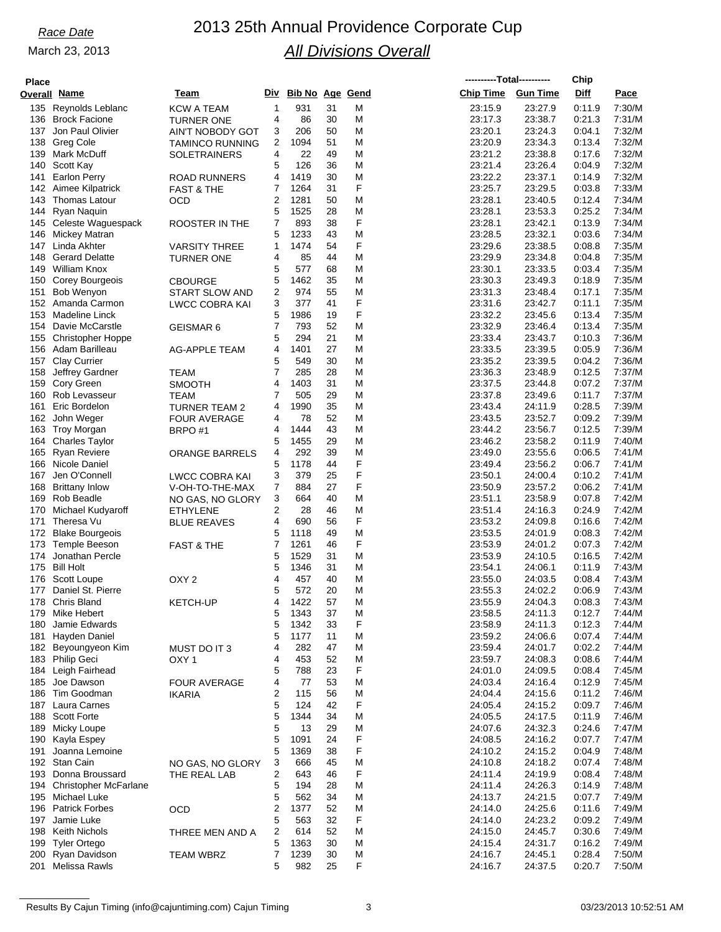# *Race Date* 2013 25th Annual Providence Corporate Cup *All Divisions Overall*

| <b>Place</b> |                                        |                                   |                |                        |          |        | ----------Total---------- |                    | Chip             |                  |
|--------------|----------------------------------------|-----------------------------------|----------------|------------------------|----------|--------|---------------------------|--------------------|------------------|------------------|
|              | Overall Name                           | Team                              | Div            | <b>Bib No Age Gend</b> |          |        | <b>Chip Time</b>          | <b>Gun Time</b>    | Diff             | Pace             |
|              | 135 Reynolds Leblanc                   | KCW A TEAM                        | 1              | 931                    | 31       | M      | 23:15.9                   | 23:27.9            | 0:11.9           | 7:30/M           |
|              | 136 Brock Facione                      | TURNER ONE                        | 4              | 86                     | 30       | M      | 23:17.3                   | 23:38.7            | 0:21.3           | 7:31/M           |
|              | 137 Jon Paul Olivier                   | AIN'T NOBODY GOT                  | 3              | 206                    | 50       | M      | 23:20.1                   | 23:24.3            | 0:04.1           | 7:32/M           |
|              | 138 Greg Cole                          | TAMINCO RUNNING                   | 2              | 1094                   | 51       | M      | 23:20.9                   | 23:34.3            | 0:13.4           | 7:32/M           |
| 139          | Mark McDuff<br>140 Scott Kay           | <b>SOLETRAINERS</b>               | 4<br>5         | 22<br>126              | 49<br>36 | M<br>Μ | 23:21.2<br>23:21.4        | 23:38.8<br>23:26.4 | 0.17.6<br>0:04.9 | 7:32/M<br>7:32/M |
| 141          | <b>Earlon Perry</b>                    | <b>ROAD RUNNERS</b>               | 4              | 1419                   | 30       | M      | 23:22.2                   | 23:37.1            | 0:14.9           | 7:32/M           |
|              | 142 Aimee Kilpatrick                   | <b>FAST &amp; THE</b>             | 7              | 1264                   | 31       | F      | 23:25.7                   | 23:29.5            | 0:03.8           | 7:33/M           |
|              | 143 Thomas Latour                      | <b>OCD</b>                        | 2              | 1281                   | 50       | M      | 23:28.1                   | 23:40.5            | 0:12.4           | 7:34/M           |
| 144          | Ryan Naquin                            |                                   | 5              | 1525                   | 28       | M      | 23:28.1                   | 23:53.3            | 0:25.2           | 7:34/M           |
|              | 145 Celeste Waguespack                 | ROOSTER IN THE                    | 7              | 893                    | 38       | F      | 23:28.1                   | 23:42.1            | 0:13.9           | 7:34/M           |
|              | 146 Mickey Matran                      |                                   | 5              | 1233                   | 43       | M      | 23:28.5                   | 23:32.1            | 0:03.6           | 7:34/M           |
| 147          | Linda Akhter                           | <b>VARSITY THREE</b>              | 1              | 1474                   | 54       | F      | 23:29.6                   | 23:38.5            | 0:08.8           | 7:35/M           |
|              | 148 Gerard Delatte                     | TURNER ONE                        | 4              | 85                     | 44       | Μ      | 23:29.9                   | 23:34.8            | 0.04.8           | 7:35/M           |
|              | 149 William Knox                       |                                   | 5              | 577                    | 68       | M      | 23:30.1                   | 23:33.5            | 0:03.4           | 7:35/M           |
|              | 150 Corey Bourgeois                    | <b>CBOURGE</b>                    | 5              | 1462                   | 35       | M      | 23:30.3                   | 23:49.3            | 0:18.9           | 7:35/M           |
| 151          | <b>Bob Wenyon</b><br>152 Amanda Carmon | <b>START SLOW AND</b>             | 2<br>3         | 974<br>377             | 55<br>41 | M<br>F | 23:31.3<br>23:31.6        | 23:48.4            | 0:17.1<br>0:11.1 | 7:35/M<br>7:35/M |
|              | 153 Madeline Linck                     | <b>LWCC COBRA KAI</b>             | 5              | 1986                   | 19       | F      | 23:32.2                   | 23:42.7<br>23:45.6 | 0.13.4           | 7:35/M           |
| 154          | Davie McCarstle                        | GEISMAR 6                         | 7              | 793                    | 52       | M      | 23:32.9                   | 23:46.4            | 0:13.4           | 7:35/M           |
|              | 155 Christopher Hoppe                  |                                   | 5              | 294                    | 21       | M      | 23:33.4                   | 23:43.7            | 0:10.3           | 7:36/M           |
|              | 156 Adam Barilleau                     | <b>AG-APPLE TEAM</b>              | 4              | 1401                   | 27       | M      | 23:33.5                   | 23:39.5            | 0:05.9           | 7:36/M           |
|              | 157 Clay Currier                       |                                   | 5              | 549                    | 30       | M      | 23:35.2                   | 23:39.5            | 0:04.2           | 7:36/M           |
| 158          | Jeffrey Gardner                        | TEAM                              | $\overline{7}$ | 285                    | 28       | M      | 23:36.3                   | 23:48.9            | 0:12.5           | 7:37/M           |
|              | 159 Cory Green                         | <b>SMOOTH</b>                     | 4              | 1403                   | 31       | M      | 23:37.5                   | 23:44.8            | 0:07.2           | 7:37/M           |
| 160          | Rob Levasseur                          | TEAM                              | 7              | 505                    | 29       | M      | 23:37.8                   | 23:49.6            | 0:11.7           | 7:37/M           |
| 161          | Eric Bordelon                          | TURNER TEAM 2                     | 4              | 1990                   | 35       | M      | 23:43.4                   | 24:11.9            | 0:28.5           | 7:39/M           |
|              | 162 John Weger                         | <b>FOUR AVERAGE</b>               | 4              | 78                     | 52       | M      | 23:43.5                   | 23:52.7            | 0:09.2           | 7:39/M           |
|              | 163 Troy Morgan                        | BRPO#1                            | 4              | 1444                   | 43       | M      | 23:44.2                   | 23:56.7            | 0:12.5           | 7:39/M           |
|              | 164 Charles Taylor                     |                                   | 5              | 1455                   | 29       | M      | 23:46.2                   | 23:58.2            | 0:11.9           | 7:40/M           |
|              | 165 Ryan Reviere                       | <b>ORANGE BARRELS</b>             | 4              | 292                    | 39       | M<br>F | 23:49.0                   | 23:55.6            | 0:06.5           | 7:41/M           |
| 167          | 166 Nicole Daniel<br>Jen O'Connell     |                                   | 5<br>3         | 1178<br>379            | 44<br>25 | F      | 23:49.4<br>23:50.1        | 23:56.2<br>24:00.4 | 0:06.7<br>0:10.2 | 7:41/M<br>7:41/M |
| 168          | Brittany Inlow                         | LWCC COBRA KAI<br>V-OH-TO-THE-MAX | 7              | 884                    | 27       | F      | 23:50.9                   | 23:57.2            | 0:06.2           | 7:41/M           |
|              | 169 Rob Beadle                         | NO GAS, NO GLORY                  | 3              | 664                    | 40       | M      | 23.51.1                   | 23:58.9            | 0:07.8           | 7:42/M           |
|              | 170 Michael Kudyaroff                  | <b>ETHYLENE</b>                   | 2              | 28                     | 46       | M      | 23:51.4                   | 24:16.3            | 0:24.9           | 7:42/M           |
| 171          | Theresa Vu                             | <b>BLUE REAVES</b>                | 4              | 690                    | 56       | F      | 23:53.2                   | 24:09.8            | 0.16.6           | 7:42/M           |
|              | 172 Blake Bourgeois                    |                                   | 5              | 1118                   | 49       | Μ      | 23:53.5                   | 24:01.9            | 0:08.3           | 7:42/M           |
|              | 173 Temple Beeson                      | <b>FAST &amp; THE</b>             | 7              | 1261                   | 46       | F      | 23:53.9                   | 24:01.2            | 0:07.3           | 7:42/M           |
| 174          | Jonathan Percle                        |                                   | 5              | 1529                   | 31       | M      | 23:53.9                   | 24:10.5            | 0:16.5           | 7:42/M           |
|              | 175 Bill Holt                          |                                   | 5              | 1346                   | 31       | Μ      | 23.54.1                   | 24:06.1            | 0:11.9           | 7:43/M           |
| 176          | Scott Loupe                            | OXY <sub>2</sub>                  | 4              | 457                    | 40       | M      | 23:55.0                   | 24:03.5            | 0:08.4           | 7:43/M           |
| 177          | Daniel St. Pierre                      |                                   | 5              | 572                    | 20       | M      | 23:55.3                   | 24:02.2            | 0:06.9           | 7:43/M           |
|              | 178 Chris Bland<br>179 Mike Hebert     | <b>KETCH-UP</b>                   | 4<br>5         | 1422<br>1343           | 57<br>37 | M<br>M | 23:55.9<br>23:58.5        | 24:04.3<br>24:11.3 | 0.08.3<br>0:12.7 | 7:43/M<br>7:44/M |
| 180          | Jamie Edwards                          |                                   | 5              | 1342                   | 33       | F      | 23:58.9                   | 24:11.3            | 0:12.3           | 7:44/M           |
|              | 181 Hayden Daniel                      |                                   | 5              | 1177                   | 11       | M      | 23:59.2                   | 24:06.6            | 0:07.4           | 7:44/M           |
|              | 182 Beyoungyeon Kim                    | MUST DO IT 3                      | 4              | 282                    | 47       | M      | 23:59.4                   | 24:01.7            | 0:02.2           | 7:44/M           |
|              | 183 Philip Geci                        | OXY 1                             | 4              | 453                    | 52       | M      | 23:59.7                   | 24:08.3            | 0:08.6           | 7:44/M           |
|              | 184 Leigh Fairhead                     |                                   | 5              | 788                    | 23       | F      | 24:01.0                   | 24:09.5            | 0:08.4           | 7:45/M           |
|              | 185 Joe Dawson                         | <b>FOUR AVERAGE</b>               | 4              | 77                     | 53       | M      | 24:03.4                   | 24:16.4            | 0.12.9           | 7:45/M           |
|              | 186 Tim Goodman                        | <b>IKARIA</b>                     | 2              | 115                    | 56       | M      | 24:04.4                   | 24:15.6            | 0:11.2           | 7:46/M           |
|              | 187 Laura Carnes                       |                                   | 5              | 124                    | 42       | F      | 24:05.4                   | 24:15.2            | 0:09.7           | 7:46/M           |
|              | 188 Scott Forte                        |                                   | 5              | 1344                   | 34       | M      | 24:05.5                   | 24:17.5            | 0:11.9           | 7:46/M           |
|              | 189 Micky Loupe                        |                                   | 5              | 13                     | 29       | M<br>F | 24:07.6                   | 24:32.3            | 0.24.6           | 7:47/M           |
|              | 190 Kayla Espey<br>191 Joanna Lemoine  |                                   | 5<br>5         | 1091<br>1369           | 24<br>38 | F      | 24:08.5<br>24:10.2        | 24:16.2<br>24:15.2 | 0:07.7<br>0.04.9 | 7:47/M<br>7:48/M |
|              | 192 Stan Cain                          | NO GAS, NO GLORY                  | 3              | 666                    | 45       | M      | 24:10.8                   | 24:18.2            | 0:07.4           | 7:48/M           |
|              | 193 Donna Broussard                    | THE REAL LAB                      | 2              | 643                    | 46       | F      | 24:11.4                   | 24:19.9            | 0:08.4           | 7:48/M           |
|              | 194 Christopher McFarlane              |                                   | 5              | 194                    | 28       | M      | 24:11.4                   | 24:26.3            | 0:14.9           | 7:48/M           |
|              | 195 Michael Luke                       |                                   | 5              | 562                    | 34       | M      | 24:13.7                   | 24:21.5            | 0:07.7           | 7:49/M           |
|              | 196 Patrick Forbes                     | OCD                               | 2              | 1377                   | 52       | M      | 24:14.0                   | 24:25.6            | 0:11.6           | 7:49/M           |
|              | 197 Jamie Luke                         |                                   | 5              | 563                    | 32       | F      | 24:14.0                   | 24:23.2            | 0:09.2           | 7:49/M           |
|              | 198 Keith Nichols                      | THREE MEN AND A                   | 2              | 614                    | 52       | Μ      | 24:15.0                   | 24:45.7            | 0.30.6           | 7:49/M           |
| 199          | <b>Tyler Ortego</b>                    |                                   | 5              | 1363                   | 30       | M      | 24:15.4                   | 24:31.7            | 0:16.2           | 7:49/M           |
|              | 200 Ryan Davidson                      | <b>TEAM WBRZ</b>                  | 7              | 1239                   | 30       | M      | 24:16.7                   | 24:45.1            | 0.28.4           | 7:50/M           |
|              | 201 Melissa Rawls                      |                                   | 5              | 982                    | 25       | F      | 24:16.7                   | 24:37.5            | 0:20.7           | 7:50/M           |

Results By Cajun Timing (info@cajuntiming.com) Cajun Timing 3 3 03/23/2013 10:52:51 AM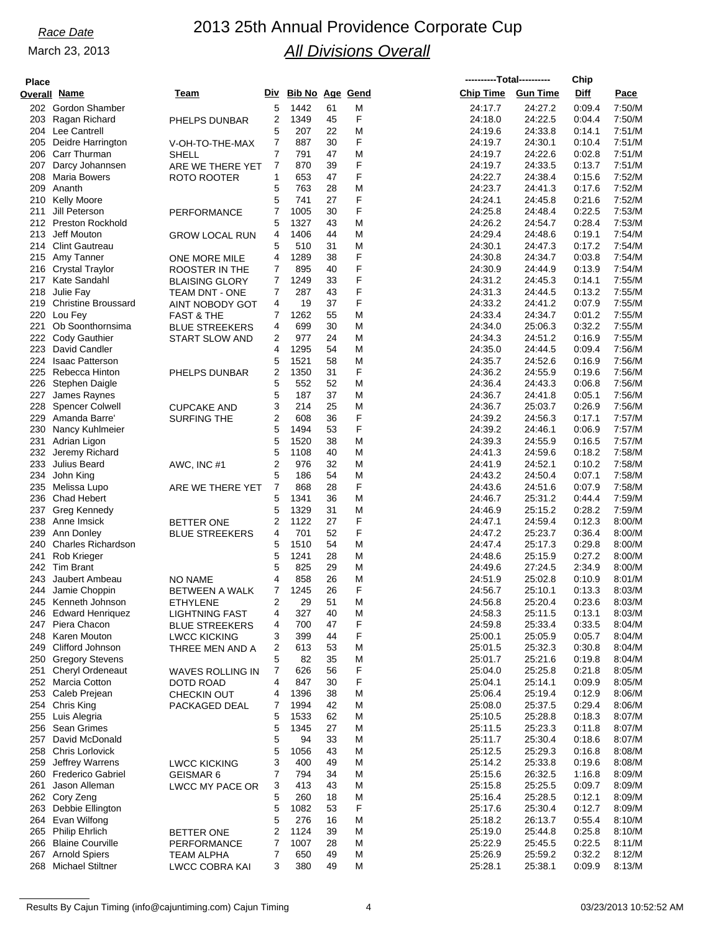| ы<br>.,<br>., |  |
|---------------|--|
|               |  |

| <b>Place</b> |                                          |                                  |                |                        |          |        |                    | ----------Total---------- | Chip             |                  |
|--------------|------------------------------------------|----------------------------------|----------------|------------------------|----------|--------|--------------------|---------------------------|------------------|------------------|
|              | <b>Overall Name</b>                      | Team                             | Div            | <b>Bib No Age Gend</b> |          |        | <b>Chip Time</b>   | <b>Gun Time</b>           | Diff             | Pace             |
|              | 202 Gordon Shamber                       |                                  | 5              | 1442                   | 61       | Μ      | 24:17.7            | 24:27.2                   | 0:09.4           | 7:50/M           |
| 203          | Ragan Richard                            | PHELPS DUNBAR                    | 2              | 1349                   | 45       | F      | 24:18.0            | 24:22.5                   | 0:04.4           | 7:50/M           |
|              | 204 Lee Cantrell                         |                                  | 5              | 207                    | 22       | M      | 24:19.6            | 24:33.8                   | 0:14.1           | 7:51/M           |
| 205          | Deidre Harrington                        | V-OH-TO-THE-MAX                  | 7              | 887                    | 30       | F      | 24:19.7            | 24:30.1                   | 0:10.4           | 7:51/M           |
|              | 206 Carr Thurman                         | <b>SHELL</b>                     | $\overline{7}$ | 791                    | 47       | M      | 24:19.7            | 24:22.6                   | 0:02.8           | 7:51/M           |
| 207          | Darcy Johannsen                          | ARE WE THERE YET                 | 7              | 870                    | 39       | F      | 24:19.7            | 24:33.5                   | 0:13.7           | 7:51/M           |
| 208          | Maria Bowers                             | <b>ROTO ROOTER</b>               | 1              | 653                    | 47       | F      | 24:22.7            | 24:38.4                   | 0:15.6           | 7:52/M           |
| 209          | Ananth                                   |                                  | 5              | 763                    | 28       | M      | 24.23.7            | 24:41.3                   | 0:17.6           | 7:52/M           |
| 210          | Kelly Moore                              |                                  | 5              | 741                    | 27       | F      | 24:24.1            | 24:45.8                   | 0:21.6           | 7:52/M           |
| 211          | Jill Peterson                            | <b>PERFORMANCE</b>               | 7              | 1005                   | 30       | F      | 24:25.8            | 24:48.4                   | 0:22.5           | 7:53/M           |
|              | 212 Preston Rockhold                     |                                  | 5              | 1327                   | 43       | M      | 24:26.2            | 24:54.7                   | 0:28.4           | 7:53/M           |
| 213          | Jeff Mouton                              | <b>GROW LOCAL RUN</b>            | 4              | 1406                   | 44       | M      | 24:29.4            | 24:48.6                   | 0.19.1           | 7:54/M           |
|              | 214 Clint Gautreau                       |                                  | 5              | 510                    | 31       | M      | 24:30.1            | 24:47.3                   | 0:17.2           | 7:54/M           |
| 215          | Amy Tanner                               | ONE MORE MILE                    | 4              | 1289                   | 38       | F      | 24:30.8            | 24:34.7                   | 0:03.8           | 7:54/M           |
|              | 216 Crystal Traylor                      | ROOSTER IN THE                   | 7              | 895                    | 40       | F      | 24:30.9            | 24:44.9                   | 0:13.9           | 7:54/M           |
|              | 217 Kate Sandahl                         | <b>BLAISING GLORY</b>            | 7              | 1249                   | 33       | F      | 24:31.2            | 24:45.3                   | 0:14.1           | 7:55/M           |
| 218          | Julie Fay                                | <b>TEAM DNT - ONE</b>            | $\overline{7}$ | 287                    | 43       | F      | 24:31.3            | 24:44.5                   | 0:13.2           | 7:55/M           |
| 219          | <b>Christine Broussard</b>               | AINT NOBODY GOT                  | 4              | 19                     | 37       | F      | 24:33.2            | 24:41.2                   | 0:07.9           | 7:55/M           |
|              | 220 Lou Fey                              | <b>FAST &amp; THE</b>            | 7              | 1262                   | 55       | M      | 24:33.4            | 24:34.7                   | 0:01.2           | 7:55/M           |
| 221          | Ob Soonthornsima                         | <b>BLUE STREEKERS</b>            | 4              | 699                    | 30       | M      | 24:34.0            | 25:06.3                   | 0:32.2           | 7:55/M           |
|              | 222 Cody Gauthier                        | <b>START SLOW AND</b>            | 2              | 977                    | 24       | M      | 24:34.3            | 24:51.2                   | 0:16.9           | 7:55/M           |
| 223          | David Candler                            |                                  | 4              | 1295                   | 54       | M      | 24:35.0            | 24:44.5                   | 0:09.4           | 7:56/M           |
|              | 224 Isaac Patterson                      |                                  | 5              | 1521                   | 58       | M      | 24:35.7            | 24:52.6                   | 0:16.9           | 7:56/M           |
| 225          | Rebecca Hinton                           | PHELPS DUNBAR                    | 2              | 1350                   | 31       | F      | 24:36.2            | 24:55.9                   | 0:19.6           | 7:56/M           |
| 226          | Stephen Daigle                           |                                  | 5              | 552                    | 52       | M      | 24:36.4            | 24:43.3                   | 0:06.8           | 7:56/M           |
| 227          | James Raynes                             |                                  | 5              | 187                    | 37       | M      | 24:36.7            | 24:41.8                   | 0.05.1           | 7:56/M           |
| 228          | <b>Spencer Colwell</b>                   | <b>CUPCAKE AND</b>               | 3              | 214                    | 25       | M      | 24:36.7            | 25:03.7                   | 0.26.9           | 7:56/M           |
| 229          | Amanda Barre                             | <b>SURFING THE</b>               | 2              | 608                    | 36       | F      | 24:39.2            | 24:56.3                   | 0:17.1           | 7:57/M           |
| 230          | Nancy Kuhlmeier                          |                                  | 5              | 1494                   | 53       | F      | 24:39.2            | 24:46.1                   | 0:06.9           | 7:57/M           |
| 231          | Adrian Ligon                             |                                  | 5              | 1520                   | 38       | M      | 24:39.3            | 24:55.9                   | 0:16.5           | 7:57/M           |
|              | 232 Jeremy Richard                       |                                  | 5              | 1108                   | 40       | M      | 24:41.3            | 24:59.6                   | 0:18.2           | 7:58/M           |
| 233          | Julius Beard                             | AWC, INC #1                      | 2              | 976                    | 32       | M      | 24:41.9            | 24:52.1                   | 0:10.2           | 7:58/M           |
| 234          | John King                                |                                  | 5              | 186                    | 54       | M      | 24:43.2            | 24:50.4                   | 0:07.1           | 7:58/M           |
| 235          | Melissa Lupo                             | ARE WE THERE YET                 | 7              | 868                    | 28       | F      | 24.43.6            | 24:51.6                   | 0:07.9           | 7:58/M           |
| 236          | <b>Chad Hebert</b>                       |                                  | 5              | 1341                   | 36       | M      | 24:46.7            | 25:31.2                   | 0.44.4           | 7:59/M           |
| 237          | Greg Kennedy                             |                                  | 5              | 1329                   | 31       | M      | 24:46.9            | 25:15.2                   | 0:28.2           | 7:59/M           |
|              | 238 Anne Imsick                          | <b>BETTER ONE</b>                | 2              | 1122                   | 27       | F      | 24:47.1            | 24:59.4                   | 0:12.3           | 8:00/M           |
| 239          | Ann Donley                               | <b>BLUE STREEKERS</b>            | 4              | 701                    | 52       | F      | 24:47.2            | 25:23.7                   | 0:36.4           | 8:00/M           |
| 240          | Charles Richardson                       |                                  | 5              | 1510                   | 54       | M      | 24:47.4            | 25:17.3                   | 0:29.8           | 8:00/M           |
| 241          | Rob Krieger                              |                                  | 5              | 1241                   | 28       | M      | 24:48.6            | 25:15.9                   | 0:27.2           | 8:00/M           |
|              | 242 Tim Brant                            |                                  | 5              | 825                    | 29       | M      | 24:49.6            | 27:24.5                   | 2:34.9           | 8:00/M           |
| 243          | Jaubert Ambeau                           | <b>NO NAME</b>                   | 4              | 858                    | 26       | M      | 24:51.9            | 25:02.8                   | 0:10.9           | 8:01/M           |
|              | 244 Jamie Choppin                        | <b>BETWEEN A WALK</b>            | 7              | 1245                   | 26       | F      | 24:56.7            | 25:10.1                   | 0:13.3           | 8:03/M           |
|              | 245 Kenneth Johnson                      | <b>ETHYLENE</b>                  | 2              | 29                     | 51       | M      | 24.56.8            | 25:20.4                   | 0.23.6           | 8:03/M           |
|              | 246 Edward Henriquez                     | <b>LIGHTNING FAST</b>            | 4              | 327                    | 40       | M      | 24:58.3            | 25:11.5                   | 0:13.1           | 8:03/M           |
|              | 247 Piera Chacon                         | <b>BLUE STREEKERS</b>            | 4              | 700                    | 47       | F      | 24:59.8            | 25:33.4                   | 0:33.5           | 8:04/M           |
|              | 248 Karen Mouton                         | <b>LWCC KICKING</b>              | 3              | 399                    | 44       | F      | 25:00.1            | 25:05.9                   | 0:05.7           | 8:04/M           |
|              | 249 Clifford Johnson                     | THREE MEN AND A                  | 2              | 613                    | 53       | M      | 25:01.5            | 25:32.3                   | 0:30.8           | 8:04/M           |
|              | 250 Gregory Stevens                      |                                  | 5              | 82                     | 35       | M      | 25:01.7            | 25:21.6                   | 0:19.8           | 8:04/M           |
|              | 251 Cheryl Ordeneaut                     | <b>WAVES ROLLING IN</b>          | 7              | 626                    | 56       | F      | 25:04.0            | 25:25.8                   | 0:21.8           | 8:05/M           |
|              | 252 Marcia Cotton                        | <b>DOTD ROAD</b>                 | 4              | 847                    | 30       | F      | 25:04.1            | 25:14.1                   | 0:09.9           | 8:05/M           |
|              | 253 Caleb Prejean                        | <b>CHECKIN OUT</b>               | 4              | 1396                   | 38       | M      | 25:06.4            | 25:19.4                   | 0.12.9           | 8:06/M           |
|              | 254 Chris King                           | PACKAGED DEAL                    | 7              | 1994                   | 42       | M      | 25:08.0            | 25:37.5                   | 0.29.4           | 8:06/M           |
|              | 255 Luis Alegria                         |                                  | 5              | 1533                   | 62       | M      | 25:10.5            | 25:28.8                   | 0.18.3           | 8:07/M           |
|              | 256 Sean Grimes                          |                                  | 5              | 1345                   | 27       | M      | 25:11.5            | 25:23.3                   | 0:11.8           | 8:07/M           |
|              | 257 David McDonald                       |                                  | 5              | 94                     | 33       | M      | 25:11.7            | 25:30.4                   | 0:18.6           | 8:07/M           |
|              | 258 Chris Lorlovick                      |                                  | 5              | 1056                   | 43       | M      | 25:12.5            | 25:29.3                   | 0:16.8           | 8:08/M           |
|              | 259 Jeffrey Warrens                      | <b>LWCC KICKING</b>              | 3              | 400                    | 49       | M      | 25:14.2            | 25:33.8                   | 0:19.6           | 8:08/M           |
|              | 260 Frederico Gabriel<br>Jason Alleman   | GEISMAR 6                        | 7<br>3         | 794                    | 34       | M<br>M | 25:15.6            | 26:32.5                   | 1:16.8           | 8:09/M<br>8:09/M |
| 261          |                                          | LWCC MY PACE OR                  |                | 413                    | 43       |        | 25:15.8            | 25:25.5                   | 0:09.7           |                  |
|              | 262 Cory Zeng                            |                                  | 5<br>5         | 260<br>1082            | 18<br>53 | M<br>F | 25:16.4            | 25:28.5<br>25:30.4        | 0:12.1<br>0.12.7 | 8:09/M<br>8:09/M |
|              | 263 Debbie Ellington<br>264 Evan Wilfong |                                  | 5              | 276                    | 16       | M      | 25:17.6<br>25:18.2 | 26:13.7                   | 0.55.4           | 8:10/M           |
|              | 265 Philip Ehrlich                       |                                  | 2              | 1124                   | 39       | M      | 25:19.0            | 25:44.8                   | 0:25.8           | 8:10/M           |
|              | 266 Blaine Courville                     | <b>BETTER ONE</b><br>PERFORMANCE | 7              | 1007                   | 28       | M      | 25:22.9            | 25:45.5                   | 0.22.5           | 8:11/M           |
|              | 267 Arnold Spiers                        | <b>TEAM ALPHA</b>                | 7              | 650                    | 49       | M      | 25:26.9            | 25:59.2                   | 0:32.2           | 8:12/M           |
|              | 268 Michael Stiltner                     | LWCC COBRA KAI                   | 3              | 380                    | 49       | M      | 25:28.1            | 25:38.1                   | 0:09.9           | 8:13/M           |
|              |                                          |                                  |                |                        |          |        |                    |                           |                  |                  |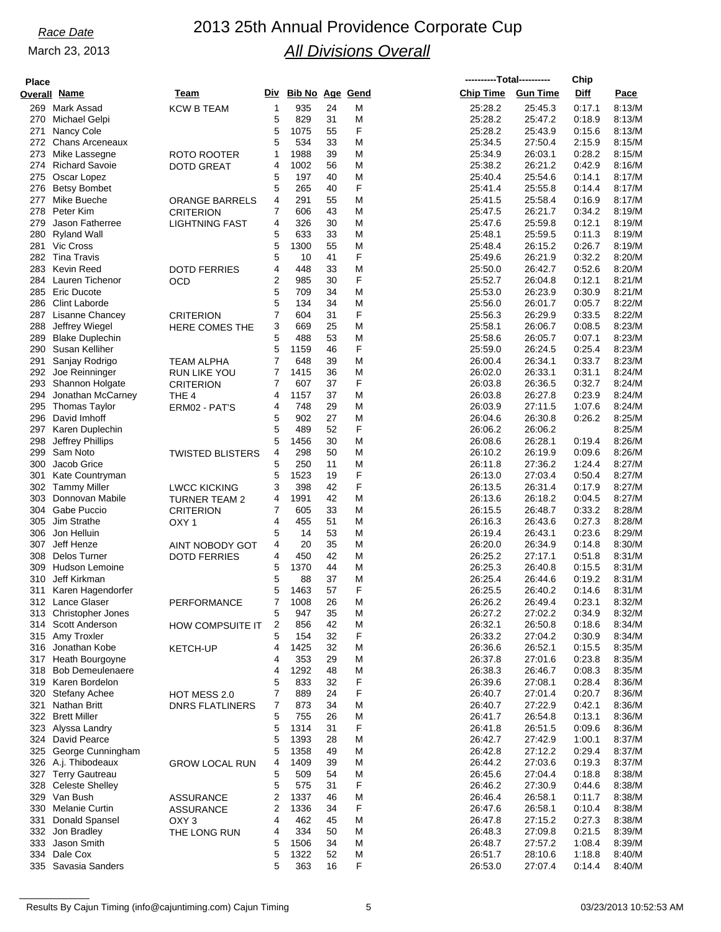# *Race Date* 2013 25th Annual Providence Corporate Cup *All Divisions Overall*

| <b>Place</b> |                                           |                         |                     |                        |          |        |                    | ----------Total---------- | Chip             |                  |
|--------------|-------------------------------------------|-------------------------|---------------------|------------------------|----------|--------|--------------------|---------------------------|------------------|------------------|
|              | <b>Overall Name</b>                       | Team                    | Div                 | <b>Bib No Age Gend</b> |          |        | <b>Chip Time</b>   | <b>Gun Time</b>           | Diff             | Pace             |
|              | 269 Mark Assad                            | <b>KCW B TEAM</b>       | 1                   | 935                    | 24       | M      | 25:28.2            | 25:45.3                   | 0:17.1           | 8:13/M           |
| 270          | Michael Gelpi                             |                         | 5                   | 829                    | 31       | M      | 25:28.2            | 25:47.2                   | 0:18.9           | 8:13/M           |
| 271          | Nancy Cole                                |                         | 5                   | 1075                   | 55       | F      | 25:28.2            | 25:43.9                   | 0:15.6           | 8:13/M           |
|              | 272 Chans Arceneaux                       |                         | 5                   | 534                    | 33       | M      | 25:34.5            | 27:50.4                   | 2:15.9           | 8:15/M           |
| 273          | Mike Lassegne                             | <b>ROTO ROOTER</b>      | 1                   | 1988                   | 39       | M      | 25:34.9            | 26:03.1                   | 0:28.2           | 8:15/M           |
| 274          | <b>Richard Savoie</b>                     | <b>DOTD GREAT</b>       | 4                   | 1002                   | 56       | M      | 25:38.2            | 26:21.2                   | 0:42.9           | 8:16/M           |
| 275          | Oscar Lopez                               |                         | 5                   | 197                    | 40       | M      | 25:40.4            | 25:54.6                   | 0:14.1           | 8:17/M           |
| 276          | <b>Betsy Bombet</b>                       |                         | 5                   | 265                    | 40       | F      | 25:41.4            | 25:55.8                   | 0:14.4           | 8:17/M           |
| 277          | Mike Bueche                               |                         | 4                   | 291                    | 55       | M      | 25:41.5            | 25:58.4                   | 0:16.9           | 8:17/M           |
| 278          | Peter Kim                                 | <b>ORANGE BARRELS</b>   | 7                   | 606                    | 43       | M      | 25:47.5            | 26:21.7                   | 0:34.2           | 8:19/M           |
| 279          | Jason Fatherree                           | <b>CRITERION</b>        | 4                   | 326                    | 30       | M      | 25:47.6            | 25:59.8                   | 0:12.1           | 8:19/M           |
|              |                                           | <b>LIGHTNING FAST</b>   |                     | 633                    | 33       | M      |                    | 25:59.5                   | 0:11.3           | 8:19/M           |
| 280<br>281   | Ryland Wall<br><b>Vic Cross</b>           |                         | 5<br>5              | 1300                   | 55       | M      | 25:48.1            |                           | 0:26.7           | 8:19/M           |
|              | 282 Tina Travis                           |                         | 5                   | 10                     | 41       | F      | 25:48.4            | 26:15.2<br>26:21.9        | 0:32.2           | 8:20/M           |
|              | Kevin Reed                                |                         |                     |                        |          |        | 25:49.6            |                           |                  |                  |
| 283          |                                           | <b>DOTD FERRIES</b>     | 4<br>$\overline{2}$ | 448                    | 33       | M<br>F | 25:50.0            | 26:42.7                   | 0:52.6           | 8:20/M<br>8:21/M |
| 285          | 284 Lauren Tichenor<br><b>Eric Ducote</b> | OCD                     | 5                   | 985<br>709             | 30<br>34 |        | 25:52.7<br>25:53.0 | 26:04.8<br>26:23.9        | 0.12.1<br>0:30.9 | 8:21/M           |
|              |                                           |                         |                     |                        |          | M      |                    |                           |                  |                  |
|              | 286 Clint Laborde                         |                         | 5                   | 134                    | 34       | M      | 25:56.0            | 26:01.7                   | 0:05.7           | 8:22/M<br>8:22/M |
| 287          | Lisanne Chancey                           | <b>CRITERION</b>        | 7                   | 604                    | 31       | F      | 25:56.3            | 26:29.9                   | 0:33.5           | 8:23/M           |
| 288          | Jeffrey Wiegel                            | HERE COMES THE          | 3                   | 669                    | 25       | M      | 25:58.1            | 26:06.7                   | 0:08.5           |                  |
| 289          | <b>Blake Duplechin</b>                    |                         | 5                   | 488                    | 53       | M      | 25:58.6            | 26:05.7                   | 0.07.1           | 8:23/M           |
|              | 290 Susan Kelliher                        |                         | 5                   | 1159                   | 46       | F      | 25:59.0            | 26:24.5                   | 0:25.4           | 8:23/M           |
| 291          | Sanjay Rodrigo                            | TEAM ALPHA              | 7                   | 648                    | 39       | M      | 26:00.4            | 26:34.1                   | 0:33.7           | 8:23/M           |
|              | 292 Joe Reinninger                        | RUN LIKE YOU            | 7                   | 1415                   | 36       | M      | 26:02.0            | 26:33.1                   | 0:31.1           | 8:24/M           |
| 293          | Shannon Holgate                           | <b>CRITERION</b>        | 7                   | 607                    | 37       | F      | 26:03.8            | 26:36.5                   | 0:32.7           | 8:24/M           |
| 294          | Jonathan McCarney                         | THE 4                   | 4                   | 1157                   | 37       | M      | 26:03.8            | 26:27.8                   | 0.23.9           | 8:24/M           |
| 295          | Thomas Taylor                             | ERM02 - PAT'S           | 4                   | 748                    | 29       | M      | 26:03.9            | 27:11.5                   | 1:07.6           | 8:24/M           |
|              | 296 David Imhoff                          |                         | 5                   | 902                    | 27       | M      | 26:04.6            | 26:30.8                   | 0:26.2           | 8:25/M           |
| 297          | Karen Duplechin                           |                         | 5                   | 489                    | 52       | F      | 26:06.2            | 26:06.2                   |                  | 8:25/M           |
| 298          | Jeffrey Phillips                          |                         | 5                   | 1456                   | 30       | M      | 26:08.6            | 26:28.1                   | 0.19.4           | 8:26/M           |
| 299          | Sam Noto                                  | <b>TWISTED BLISTERS</b> | 4                   | 298                    | 50       | M      | 26:10.2            | 26:19.9                   | 0:09.6           | 8:26/M           |
| 300          | Jacob Grice                               |                         | 5                   | 250                    | 11       | M      | 26:11.8            | 27:36.2                   | 1:24.4           | 8:27/M           |
| 301          | Kate Countryman                           |                         | 5                   | 1523                   | 19       | F      | 26:13.0            | 27:03.4                   | 0:50.4           | 8:27/M           |
|              | 302 Tammy Miller                          | <b>LWCC KICKING</b>     | 3                   | 398                    | 42       | F      | 26:13.5            | 26:31.4                   | 0:17.9           | 8:27/M           |
| 303          | Donnovan Mabile                           | <b>TURNER TEAM 2</b>    | 4                   | 1991                   | 42       | M      | 26:13.6            | 26:18.2                   | 0:04.5           | 8:27/M           |
|              | 304 Gabe Puccio                           | <b>CRITERION</b>        | 7                   | 605                    | 33       | M      | 26:15.5            | 26:48.7                   | 0:33.2           | 8:28/M           |
| 305          | Jim Strathe                               | OXY <sub>1</sub>        | 4                   | 455                    | 51       | M      | 26:16.3            | 26:43.6                   | 0:27.3           | 8:28/M           |
| 306          | Jon Helluin                               |                         | 5                   | 14                     | 53       | M      | 26:19.4            | 26:43.1                   | 0.23.6           | 8:29/M           |
| 307          | Jeff Henze                                | AINT NOBODY GOT         | 4                   | 20                     | 35       | M      | 26:20.0            | 26:34.9                   | 0:14.8           | 8:30/M           |
| 308          | Delos Turner                              | <b>DOTD FERRIES</b>     | 4                   | 450                    | 42       | M      | 26:25.2            | 27:17.1                   | 0:51.8           | 8:31/M           |
| 309          | <b>Hudson Lemoine</b>                     |                         | 5                   | 1370                   | 44       | M      | 26:25.3            | 26:40.8                   | 0:15.5           | 8:31/M           |
| 310          | Jeff Kirkman                              |                         | 5                   | 88                     | 37       | M      | 26:25.4            | 26:44.6                   | 0:19.2           | 8:31/M           |
|              | 311 Karen Hagendorfer                     |                         | 5                   | 1463                   | 57       | F      | 26:25.5            | 26:40.2                   | 0:14.6           | 8:31/M           |
|              | 312 Lance Glaser                          | PERFORMANCE             | 7                   | 1008                   | 26       | M      | 26:26.2            | 26:49.4                   | 0:23.1           | 8:32/M           |
|              | 313 Christopher Jones                     |                         | 5                   | 947                    | 35       | M      | 26:27.2            | 27:02.2                   | 0:34.9           | 8:32/M           |
|              | 314 Scott Anderson                        | HOW COMPSUITE IT        | 2                   | 856                    | 42       | M      | 26:32.1            | 26:50.8                   | 0.18.6           | 8:34/M           |
|              | 315 Amy Troxler                           |                         | 5                   | 154                    | 32       | F      | 26:33.2            | 27:04.2                   | 0:30.9           | 8:34/M           |
|              | 316 Jonathan Kobe                         | <b>KETCH-UP</b>         | 4                   | 1425                   | 32       | M      | 26:36.6            | 26:52.1                   | 0.15.5           | 8:35/M           |
|              | 317 Heath Bourgoyne                       |                         | 4                   | 353                    | 29       | M      | 26:37.8            | 27:01.6                   | 0.23.8           | 8:35/M           |
|              | 318 Bob Demeulenaere                      |                         | 4                   | 1292                   | 48       | M      | 26:38.3            | 26:46.7                   | 0:08.3           | 8:35/M           |
|              | 319 Karen Bordelon                        |                         | 5                   | 833                    | 32       | F      | 26:39.6            | 27:08.1                   | 0.28.4           | 8:36/M           |
|              | 320 Stefany Achee                         | HOT MESS 2.0            | 7                   | 889                    | 24       | F      | 26:40.7            | 27:01.4                   | 0.20.7           | 8:36/M           |
| 321          | Nathan Britt                              | <b>DNRS FLATLINERS</b>  | 7                   | 873                    | 34       | M      | 26:40.7            | 27:22.9                   | 0:42.1           | 8:36/M           |
|              | 322 Brett Miller                          |                         | 5                   | 755                    | 26       | M      | 26:41.7            | 26:54.8                   | 0:13.1           | 8:36/M           |
|              | 323 Alyssa Landry                         |                         | 5                   | 1314                   | 31       | F      | 26:41.8            | 26:51.5                   | 0.09.6           | 8:36/M           |
|              | 324 David Pearce                          |                         | 5                   | 1393                   | 28       | M      | 26:42.7            | 27:42.9                   | 1:00.1           | 8:37/M           |
|              | 325 George Cunningham                     |                         | 5                   | 1358                   | 49       | M      | 26:42.8            | 27:12.2                   | 0.29.4           | 8:37/M           |
|              | 326 A.j. Thibodeaux                       | <b>GROW LOCAL RUN</b>   | 4                   | 1409                   | 39       | M      | 26:44.2            | 27:03.6                   | 0:19.3           | 8:37/M           |
|              | 327 Terry Gautreau                        |                         | 5                   | 509                    | 54       | M      | 26:45.6            | 27:04.4                   | 0.18.8           | 8:38/M           |
|              | 328 Celeste Shelley                       |                         | 5                   | 575                    | 31       | F      | 26:46.2            | 27:30.9                   | 0.44.6           | 8:38/M           |
|              | 329 Van Bush                              | <b>ASSURANCE</b>        | 2                   | 1337                   | 46       | M      | 26:46.4            | 26:58.1                   | 0:11.7           | 8:38/M           |
|              | 330 Melanie Curtin                        | <b>ASSURANCE</b>        | 2                   | 1336                   | 34       | F      | 26:47.6            | 26:58.1                   | 0:10.4           | 8:38/M           |
| 331          | <b>Donald Spansel</b>                     | OXY <sub>3</sub>        | 4                   | 462                    | 45       | M      | 26:47.8            | 27:15.2                   | 0.27.3           | 8:38/M           |
|              | 332 Jon Bradley                           | THE LONG RUN            | 4                   | 334                    | 50       | M      | 26:48.3            | 27:09.8                   | 0.21.5           | 8:39/M           |
|              | 333 Jason Smith                           |                         | 5                   | 1506                   | 34       | M      | 26:48.7            | 27:57.2                   | 1:08.4           | 8:39/M           |
|              | 334 Dale Cox                              |                         | 5                   | 1322                   | 52       | M      | 26:51.7            | 28:10.6                   | 1:18.8           | 8:40/M           |
|              | 335 Savasia Sanders                       |                         | 5                   | 363                    | 16       | F      | 26:53.0            | 27:07.4                   | 0.14.4           | 8:40/M           |

Results By Cajun Timing (info@cajuntiming.com) Cajun Timing 5 03/23/2013 10:52:53 AM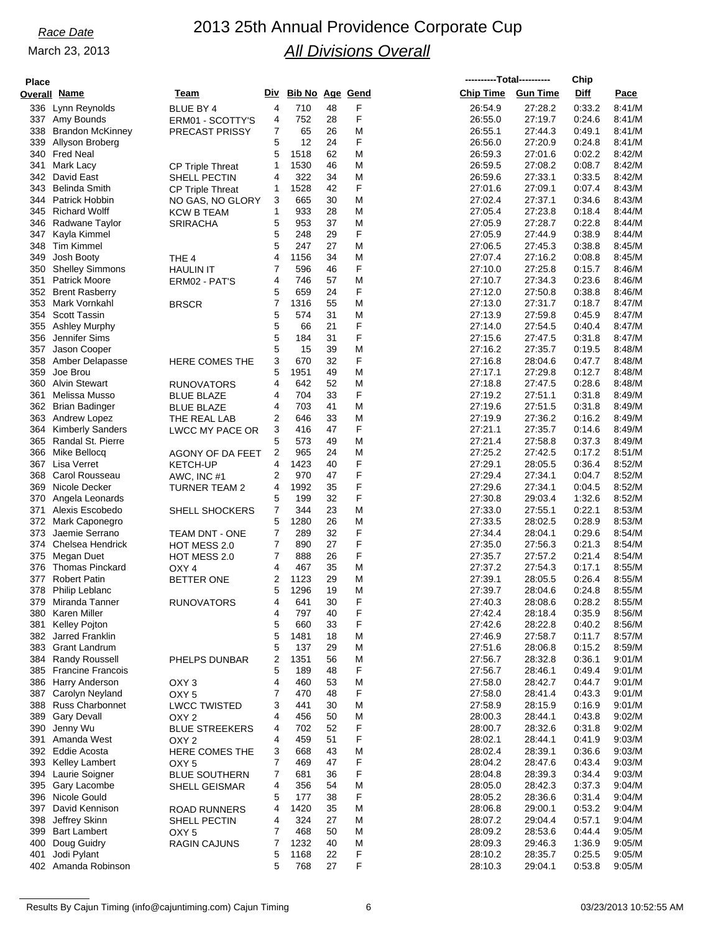| <b>Place</b> |                                            |                                         |                |                        |          |        | ----------Total---------- |                    | Chip             |                  |
|--------------|--------------------------------------------|-----------------------------------------|----------------|------------------------|----------|--------|---------------------------|--------------------|------------------|------------------|
|              | Overall Name                               | Team                                    | Div            | <b>Bib No Age Gend</b> |          |        | <b>Chip Time</b>          | <b>Gun Time</b>    | Diff             | Pace             |
| 336          | Lynn Reynolds                              | BLUE BY 4                               | 4              | 710                    | 48       | F      | 26:54.9                   | 27:28.2            | 0:33.2           | 8:41/M           |
|              | 337 Amy Bounds                             | ERM01 - SCOTTY'S                        | 4              | 752                    | 28       | F      | 26:55.0                   | 27:19.7            | 0:24.6           | 8:41/M           |
|              | 338 Brandon McKinney                       | PRECAST PRISSY                          | 7              | 65                     | 26       | M      | 26:55.1                   | 27:44.3            | 0:49.1           | 8:41/M           |
| 339<br>340   | Allyson Broberg<br>Fred Neal               |                                         | 5<br>5         | 12<br>1518             | 24<br>62 | F<br>M | 26:56.0<br>26:59.3        | 27:20.9<br>27:01.6 | 0.24.8<br>0:02.2 | 8:41/M<br>8:42/M |
| 341          | Mark Lacy                                  | <b>CP Triple Threat</b>                 | $\mathbf{1}$   | 1530                   | 46       | M      | 26:59.5                   | 27:08.2            | 0:08.7           | 8:42/M           |
|              | 342 David East                             | SHELL PECTIN                            | 4              | 322                    | 34       | M      | 26:59.6                   | 27:33.1            | 0:33.5           | 8:42/M           |
| 343          | Belinda Smith                              | <b>CP Triple Threat</b>                 | 1              | 1528                   | 42       | F      | 27:01.6                   | 27:09.1            | 0.07.4           | 8:43/M           |
|              | 344 Patrick Hobbin                         | NO GAS, NO GLORY                        | 3              | 665                    | 30       | Μ      | 27:02.4                   | 27:37.1            | 0.34.6           | 8:43/M           |
|              | 345 Richard Wolff                          | KCW B TEAM                              | 1              | 933                    | 28       | M      | 27:05.4                   | 27:23.8            | 0.18.4           | 8:44/M           |
| 346          | Radwane Taylor                             | <b>SRIRACHA</b>                         | 5              | 953                    | 37       | M      | 27:05.9                   | 27:28.7            | 0.22.8           | 8:44/M           |
| 347<br>348   | Kayla Kimmel<br><b>Tim Kimmel</b>          |                                         | 5<br>5         | 248<br>247             | 29<br>27 | F<br>M | 27:05.9<br>27:06.5        | 27:44.9<br>27:45.3 | 0:38.9<br>0:38.8 | 8.44/M<br>8:45/M |
| 349          | Josh Booty                                 | THE 4                                   | 4              | 1156                   | 34       | M      | 27:07.4                   | 27:16.2            | 0.08.8           | 8:45/M           |
| 350          | <b>Shelley Simmons</b>                     | <b>HAULIN IT</b>                        | 7              | 596                    | 46       | F      | 27:10.0                   | 27:25.8            | 0:15.7           | 8.46/M           |
| 351          | <b>Patrick Moore</b>                       | ERM02 - PAT'S                           | 4              | 746                    | 57       | M      | 27:10.7                   | 27:34.3            | 0.23.6           | 8:46/M           |
|              | 352 Brent Rasberry                         |                                         | 5              | 659                    | 24       | F      | 27:12.0                   | 27:50.8            | 0.38.8           | 8:46/M           |
| 353          | Mark Vornkahl                              | <b>BRSCR</b>                            | 7              | 1316                   | 55       | M      | 27:13.0                   | 27:31.7            | 0:18.7           | 8:47/M           |
|              | 354 Scott Tassin                           |                                         | 5              | 574                    | 31       | M      | 27:13.9                   | 27:59.8            | 0:45.9           | 8:47/M           |
| 355<br>356   | <b>Ashley Murphy</b><br>Jennifer Sims      |                                         | 5<br>5         | 66<br>184              | 21<br>31 | F<br>F | 27:14.0<br>27:15.6        | 27:54.5<br>27:47.5 | 0.40.4<br>0:31.8 | 8:47/M<br>8:47/M |
| 357          | Jason Cooper                               |                                         | 5              | 15                     | 39       | M      | 27:16.2                   | 27:35.7            | 0:19.5           | 8:48/M           |
|              | 358 Amber Delapasse                        | HERE COMES THE                          | 3              | 670                    | 32       | F      | 27:16.8                   | 28:04.6            | 0:47.7           | 8.48/M           |
| 359          | Joe Brou                                   |                                         | 5              | 1951                   | 49       | M      | 27:17.1                   | 27:29.8            | 0:12.7           | 8:48/M           |
|              | 360 Alvin Stewart                          | <b>RUNOVATORS</b>                       | 4              | 642                    | 52       | M      | 27:18.8                   | 27:47.5            | 0.28.6           | 8:48/M           |
| 361          | Melissa Musso                              | <b>BLUE BLAZE</b>                       | 4              | 704                    | 33       | F      | 27:19.2                   | 27:51.1            | 0:31.8           | 8:49/M           |
|              | 362 Brian Badinger                         | <b>BLUE BLAZE</b>                       | 4              | 703                    | 41       | M      | 27:19.6                   | 27:51.5            | 0.31.8           | 8:49/M           |
|              | 363 Andrew Lopez                           | THE REAL LAB                            | 2              | 646                    | 33       | M<br>F | 27:19.9                   | 27:36.2            | 0:16.2           | 8:49/M           |
| 365          | 364 Kimberly Sanders<br>Randal St. Pierre  | LWCC MY PACE OR                         | 3<br>5         | 416<br>573             | 47<br>49 | M      | 27:21.1<br>27:21.4        | 27:35.7<br>27:58.8 | 0.14.6<br>0.37.3 | 8:49/M<br>8:49/M |
| 366          | Mike Bellocq                               | AGONY OF DA FEET                        | 2              | 965                    | 24       | M      | 27:25.2                   | 27:42.5            | 0:17.2           | 8.51/M           |
| 367          | Lisa Verret                                | <b>KETCH-UP</b>                         | 4              | 1423                   | 40       | F      | 27:29.1                   | 28:05.5            | 0.36.4           | 8:52/M           |
|              | 368 Carol Rousseau                         | AWC, INC #1                             | $\overline{2}$ | 970                    | 47       | F      | 27:29.4                   | 27:34.1            | 0:04.7           | 8:52/M           |
| 369          | Nicole Decker                              | <b>TURNER TEAM 2</b>                    | 4              | 1992                   | 35       | F      | 27:29.6                   | 27:34.1            | 0:04.5           | 8:52/M           |
| 370          | Angela Leonards                            |                                         | 5              | 199                    | 32       | F      | 27:30.8                   | 29:03.4            | 1:32.6           | 8:52/M           |
| 371          | Alexis Escobedo                            | SHELL SHOCKERS                          | 7              | 344                    | 23       | M      | 27:33.0                   | 27:55.1            | 0.22.1           | 8:53/M           |
| 372<br>373   | Mark Caponegro<br>Jaemie Serrano           | <b>TEAM DNT - ONE</b>                   | 5<br>7         | 1280<br>289            | 26<br>32 | M<br>F | 27:33.5<br>27:34.4        | 28:02.5<br>28:04.1 | 0:28.9<br>0.29.6 | 8:53/M<br>8:54/M |
|              | 374 Chelsea Hendrick                       | HOT MESS 2.0                            | 7              | 890                    | 27       | F      | 27:35.0                   | 27:56.3            | 0:21.3           | 8:54/M           |
| 375          | Megan Duet                                 | HOT MESS 2.0                            | 7              | 888                    | 26       | F      | 27:35.7                   | 27:57.2            | 0.21.4           | 8:54/M           |
|              | 376 Thomas Pinckard                        | OXY <sub>4</sub>                        | 4              | 467                    | 35       | Μ      | 27:37.2                   | 27:54.3            | 0:17.1           | 8:55/M           |
| 377          | <b>Robert Patin</b>                        | <b>BETTER ONE</b>                       | 2              | 1123                   | 29       | M      | 27:39.1                   | 28:05.5            | 0.26.4           | 8:55/M           |
|              | 378 Philip Leblanc                         |                                         | 5              | 1296                   | 19       | M      | 27:39.7                   | 28:04.6            | 0.24.8           | 8:55/M           |
| 379<br>380   | Miranda Tanner<br>Karen Miller             | <b>RUNOVATORS</b>                       | 4<br>4         | 641<br>797             | 30<br>40 | F<br>F | 27:40.3<br>27:42.4        | 28:08.6<br>28:18.4 | 0:28.2<br>0:35.9 | 8:55/M<br>8:56/M |
| 381          | Kelley Pojton                              |                                         | 5              | 660                    | 33       | F      | 27:42.6                   | 28:22.8            | 0:40.2           | 8:56/M           |
|              | 382 Jarred Franklin                        |                                         | 5              | 1481                   | 18       | M      | 27:46.9                   | 27:58.7            | 0:11.7           | 8:57/M           |
|              | 383 Grant Landrum                          |                                         | 5              | 137                    | 29       | M      | 27:51.6                   | 28:06.8            | 0:15.2           | 8:59/M           |
|              | 384 Randy Roussell                         | PHELPS DUNBAR                           | 2              | 1351                   | 56       | M      | 27:56.7                   | 28:32.8            | 0:36.1           | 9:01/M           |
|              | 385 Francine Francois                      |                                         | 5              | 189                    | 48       | F      | 27:56.7                   | 28:46.1            | 0:49.4           | 9:01/M           |
|              | 386 Harry Anderson                         | OXY <sub>3</sub>                        | 4              | 460                    | 53       | M      | 27:58.0                   | 28:42.7            | 0:44.7           | 9:01/M           |
|              | 387 Carolyn Neyland<br>388 Russ Charbonnet | OXY <sub>5</sub>                        | 7<br>3         | 470<br>441             | 48<br>30 | F<br>M | 27:58.0<br>27:58.9        | 28:41.4<br>28:15.9 | 0:43.3<br>0:16.9 | 9:01/M<br>9:01/M |
|              | 389 Gary Devall                            | <b>LWCC TWISTED</b><br>OXY <sub>2</sub> | 4              | 456                    | 50       | M      | 28:00.3                   | 28:44.1            | 0:43.8           | 9:02/M           |
| 390          | Jenny Wu                                   | <b>BLUE STREEKERS</b>                   | 4              | 702                    | 52       | F      | 28:00.7                   | 28:32.6            | 0:31.8           | 9:02/M           |
| 391          | Amanda West                                | OXY <sub>2</sub>                        | 4              | 459                    | 51       | F      | 28:02.1                   | 28:44.1            | 0:41.9           | 9:03/M           |
|              | 392 Eddie Acosta                           | HERE COMES THE                          | 3              | 668                    | 43       | M      | 28:02.4                   | 28:39.1            | 0.36.6           | 9:03/M           |
|              | 393 Kelley Lambert                         | OXY <sub>5</sub>                        | 7              | 469                    | 47       | F      | 28:04.2                   | 28:47.6            | 0:43.4           | 9:03/M           |
|              | 394 Laurie Soigner                         | <b>BLUE SOUTHERN</b>                    | $\overline{7}$ | 681                    | 36       | F      | 28:04.8                   | 28:39.3            | 0.34.4           | 9:03/M           |
|              | 395 Gary Lacombe                           | SHELL GEISMAR                           | 4              | 356                    | 54       | M<br>F | 28:05.0                   | 28:42.3            | 0:37.3           | 9:04/M           |
|              | 396 Nicole Gould<br>397 David Kennison     | <b>ROAD RUNNERS</b>                     | 5<br>4         | 177<br>1420            | 38<br>35 | M      | 28:05.2<br>28:06.8        | 28:36.6<br>29:00.1 | 0:31.4<br>0:53.2 | 9:04/M<br>9:04/M |
| 398          | Jeffrey Skinn                              | SHELL PECTIN                            | 4              | 324                    | 27       | Μ      | 28:07.2                   | 29:04.4            | 0.57.1           | 9:04/M           |
|              | 399 Bart Lambert                           | OXY <sub>5</sub>                        | 7              | 468                    | 50       | M      | 28:09.2                   | 28:53.6            | 0.44.4           | 9:05/M           |
| 400          | Doug Guidry                                | <b>RAGIN CAJUNS</b>                     | $\overline{7}$ | 1232                   | 40       | M      | 28:09.3                   | 29:46.3            | 1:36.9           | 9:05/M           |
| 401          | Jodi Pylant                                |                                         | 5              | 1168                   | 22       | F      | 28:10.2                   | 28:35.7            | 0:25.5           | 9:05/M           |
|              | 402 Amanda Robinson                        |                                         | 5              | 768                    | 27       | F      | 28:10.3                   | 29:04.1            | 0:53.8           | 9:05/M           |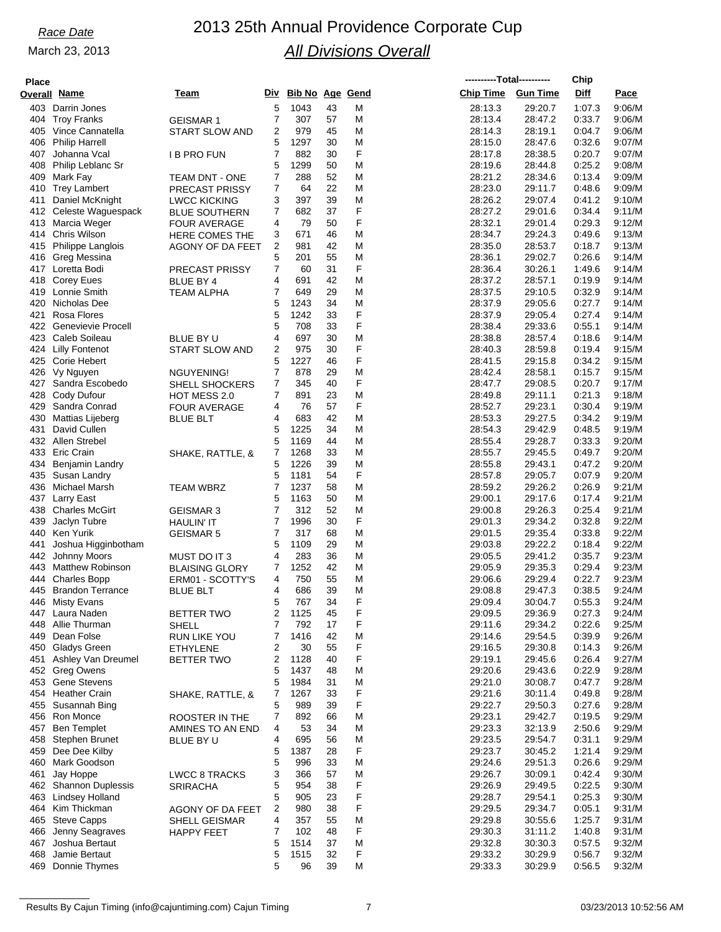## *Race Date* 2013 25th Annual Providence Corporate Cup *All Divisions Overall*

**----------Total----------**

**Chip**

| <b>Place</b> |                                         |                       |                |                     |          |        |                    | ----------Total---------- | Chip             |                  |
|--------------|-----------------------------------------|-----------------------|----------------|---------------------|----------|--------|--------------------|---------------------------|------------------|------------------|
|              | Overall Name                            | Team                  |                | Div Bib No Age Gend |          |        | <b>Chip Time</b>   | <b>Gun Time</b>           | Diff             | Pace             |
|              | 403 Darrin Jones                        |                       | 5              | 1043                | 43       | M      | 28:13.3            | 29:20.7                   | 1:07.3           | 9:06/M           |
| 404          | <b>Troy Franks</b>                      | <b>GEISMAR 1</b>      | 7              | 307                 | 57       | M      | 28:13.4            | 28:47.2                   | 0:33.7           | 9:06/M           |
| 405          | Vince Cannatella                        | <b>START SLOW AND</b> | 2              | 979                 | 45       | M      | 28:14.3            | 28:19.1                   | 0:04.7           | 9:06/M           |
| 406          | <b>Philip Harrell</b>                   |                       | 5              | 1297                | 30       | M      | 28:15.0            | 28:47.6                   | 0:32.6           | 9:07/M           |
| 407          | Johanna Vcal                            | I B PRO FUN           | 7              | 882                 | 30       | F      | 28:17.8            | 28:38.5                   | 0.20.7           | 9:07/M           |
| 408          | Philip Leblanc Sr                       |                       | 5              | 1299                | 50       | M      | 28:19.6            | 28:44.8                   | 0:25.2           | 9:08/M           |
| 409          | Mark Fay                                | TEAM DNT - ONE        | 7              | 288                 | 52       | М      | 28:21.2            | 28:34.6                   | 0:13.4           | 9:09/M           |
|              | 410 Trey Lambert                        | PRECAST PRISSY        | 7              | 64                  | 22       | M      | 28:23.0            | 29:11.7                   | 0:48.6           | 9:09/M           |
| 411          | Daniel McKnight                         | <b>LWCC KICKING</b>   | 3              | 397                 | 39       | M      | 28:26.2            | 29:07.4                   | 0:41.2           | 9:10/M           |
|              | 412 Celeste Waguespack                  | <b>BLUE SOUTHERN</b>  | 7              | 682                 | 37       | F      | 28:27.2            | 29:01.6                   | 0.34.4           | 9:11/M           |
| 413          | Marcia Weger                            | <b>FOUR AVERAGE</b>   | 4              | 79                  | 50       | F      | 28:32.1            | 29:01.4                   | 0:29.3           | 9:12/M           |
|              | 414 Chris Wilson                        | HERE COMES THE        | 3              | 671                 | 46       | M      | 28:34.7            | 29:24.3                   | 0:49.6           | 9:13/M           |
| 415          | Philippe Langlois                       | AGONY OF DA FEET      | 2              | 981                 | 42       | M      | 28:35.0            | 28:53.7                   | 0.18.7           | 9:13/M           |
| 416          | Greg Messina                            |                       | 5              | 201                 | 55       | M      | 28:36.1            | 29:02.7                   | 0:26.6           | 9:14/M           |
|              | 417 Loretta Bodi                        | <b>PRECAST PRISSY</b> | 7              | 60                  | 31       | F      | 28:36.4            | 30:26.1                   | 1:49.6           | 9:14/M           |
|              | 418 Corey Eues                          | BLUE BY 4             | 4              | 691                 | 42       | M      | 28:37.2            | 28:57.1                   | 0:19.9           | 9:14/M           |
| 419          | Lonnie Smith                            | <b>TEAM ALPHA</b>     | 7              | 649                 | 29       | M      | 28:37.5            | 29:10.5                   | 0:32.9           | 9:14/M           |
|              | 420 Nicholas Dee                        |                       | 5              | 1243                | 34       | M      | 28:37.9            | 29:05.6                   | 0:27.7           | 9:14/M           |
| 421          | Rosa Flores                             |                       | 5              | 1242                | 33       | F      | 28:37.9            | 29:05.4                   | 0.27.4           | 9:14/M           |
|              | 422 Genevievie Procell                  |                       | 5              | 708                 | 33       | F      | 28:38.4            | 29:33.6                   | 0:55.1           | 9:14/M           |
|              | 423 Caleb Soileau                       | BLUE BY U             | 4              | 697                 | 30       | M      | 28:38.8            | 28:57.4                   | 0.18.6           | 9:14/M           |
|              | 424 Lilly Fontenot                      | <b>START SLOW AND</b> | 2              | 975                 | 30       | F      | 28:40.3            | 28:59.8                   | 0:19.4           | 9:15/M           |
|              | 425 Corie Hebert                        |                       | 5              | 1227                | 46       | F      | 28:41.5            | 29:15.8                   | 0:34.2           | 9:15/M           |
|              | 426 Vy Nguyen                           | NGUYENING!            | 7              | 878                 | 29       | M      | 28:42.4            | 28:58.1                   | 0:15.7           | 9:15/M           |
| 427          | Sandra Escobedo                         | <b>SHELL SHOCKERS</b> | 7              | 345                 | 40       | F      | 28:47.7            | 29:08.5                   | 0:20.7           | 9:17/M           |
|              | 428 Cody Dufour                         | HOT MESS 2.0          | 7              | 891                 | 23       | M      | 28:49.8            | 29:11.1                   | 0:21.3           | 9:18/M           |
| 429          | Sandra Conrad                           | <b>FOUR AVERAGE</b>   | 4              | 76                  | 57       | F      | 28:52.7            | 29:23.1                   | 0:30.4           | 9:19/M           |
| 430          | Mattias Lijeberg                        | <b>BLUE BLT</b>       | 4              | 683                 | 42       | Μ      | 28:53.3            | 29:27.5                   | 0:34.2           | 9:19/M           |
| 431          | David Cullen                            |                       | 5              | 1225                | 34       | M      | 28:54.3            | 29:42.9                   | 0.48.5           | 9:19/M           |
|              | 432 Allen Strebel                       |                       | 5              | 1169                | 44       | M      | 28:55.4            | 29:28.7                   | 0:33.3           | 9:20/M           |
| 433          | Eric Crain                              | SHAKE, RATTLE, &      | 7              | 1268                | 33       | М      | 28:55.7            | 29:45.5                   | 0:49.7           | 9:20/M           |
| 434          | <b>Benjamin Landry</b>                  |                       | 5              | 1226                | 39       | M      | 28:55.8            | 29:43.1                   | 0:47.2           | 9:20/M           |
|              | 435 Susan Landry                        |                       | 5              | 1181                | 54       | F      | 28:57.8            | 29:05.7                   | 0:07.9           | 9:20/M           |
|              | 436 Michael Marsh                       | TEAM WBRZ             |                | 1237                | 58       | M      | 28:59.2            | 29:26.2                   | 0.26.9           | 9:21/M           |
|              | 437 Larry East                          |                       | 5              | 1163                | 50       | M      | 29:00.1            | 29:17.6                   | 0:17.4           | 9:21/M           |
| 438          | <b>Charles McGirt</b>                   | <b>GEISMAR 3</b>      | 7              | 312                 | 52       | M      | 29:00.8            | 29:26.3                   | 0:25.4           | 9:21/M           |
| 439          | Jaclyn Tubre                            | <b>HAULIN' IT</b>     | 7              | 1996                | 30       | F      | 29:01.3            | 29:34.2                   | 0.32.8           | 9:22/M           |
| 440          | Ken Yurik                               | <b>GEISMAR 5</b>      | $\overline{7}$ | 317                 | 68       | M      | 29:01.5            | 29:35.4                   | 0:33.8           | 9:22/M           |
| 441          | Joshua Higginbotham                     |                       | 5              | 1109                | 29       | M      | 29:03.8            | 29:22.2                   | 0:18.4           | 9:22/M           |
|              | 442 Johnny Moors                        | MUST DO IT 3          | 4              | 283                 | 36       | M      | 29:05.5            | 29:41.2                   | 0:35.7           | 9:23/M           |
|              | 443 Matthew Robinson                    | <b>BLAISING GLORY</b> | 7              | 1252                | 42       | M      | 29:05.9            | 29:35.3                   | 0.29.4           | 9:23/M           |
| 444          | <b>Charles Bopp</b>                     | ERM01 - SCOTTY'S      | 4              | 750                 | 55       | M      | 29:06.6            | 29:29.4                   | 0:22.7           | 9:23/M           |
| 445          | <b>Brandon Terrance</b>                 | <b>BLUE BLT</b>       | 4              | 686                 | 39       | M      | 29:08.8            | 29:47.3                   | 0:38.5           | 9:24/M           |
|              | 446 Misty Evans                         |                       | 5              | 767                 | 34       | F      | 29:09.4            | 30:04.7                   | 0:55.3           | 9:24/M           |
|              | 447 Laura Naden                         | <b>BETTER TWO</b>     | 2              | 1125                | 45       | F      | 29:09.5            | 29:36.9                   | 0.27.3           | 9:24/M           |
|              | 448 Allie Thurman                       | SHELL                 | 7              | 792                 | 17       | F      | 29:11.6            | 29:34.2                   | 0:22.6           | 9:25/M           |
|              | 449 Dean Folse                          | RUN LIKE YOU          | 7              | 1416                | 42       | M      | 29:14.6            | 29:54.5                   | 0:39.9           | 9:26/M           |
|              | 450 Gladys Green                        | <b>ETHYLENE</b>       | 2              | 30                  | 55       | F      | 29:16.5            | 29:30.8                   | 0:14.3           | 9:26/M           |
|              | 451 Ashley Van Dreumel                  | <b>BETTER TWO</b>     | 2              | 1128                | 40       | F      | 29:19.1            | 29:45.6                   | 0.26.4           | 9:27/M           |
|              | 452 Greg Owens                          |                       | 5              | 1437                | 48       | M      | 29:20.6            | 29:43.6                   | 0:22.9           | 9:28/M           |
|              | 453 Gene Stevens                        |                       | 5              | 1984                | 31       | M      | 29:21.0            | 30:08.7                   | 0:47.7           | 9:28/M           |
|              | 454 Heather Crain                       | SHAKE, RATTLE, &      | 7              | 1267                | 33       | F      | 29:21.6            | 30:11.4                   | 0.49.8           | 9:28/M           |
|              | 455 Susannah Bing                       |                       | 5              | 989                 | 39       | F      | 29:22.7            | 29:50.3                   | 0:27.6           | 9:28/M           |
|              | 456 Ron Monce                           | ROOSTER IN THE        | 7              | 892                 | 66       | M      | 29:23.1            | 29:42.7                   | 0:19.5           | 9:29/M           |
|              | 457 Ben Templet                         | AMINES TO AN END      | 4              | 53                  | 34       | M      | 29.23.3            | 32:13.9                   | 2:50.6           | 9:29/M           |
|              | 458 Stephen Brunet                      | BLUE BY U             | 4              | 695                 | 56       | M      | 29:23.5            | 29:54.7                   | 0:31.1           | 9:29/M           |
|              | 459 Dee Dee Kilby                       |                       | 5              | 1387                | 28       | F      | 29:23.7            | 30:45.2                   | 1:21.4           | 9:29/M           |
|              | 460 Mark Goodson                        |                       | 5              | 996                 | 33       | M      | 29:24.6            | 29:51.3                   | 0.26.6           | 9:29/M           |
| 461          | Jay Hoppe                               | <b>LWCC 8 TRACKS</b>  | 3              | 366                 | 57       | M      | 29:26.7            | 30:09.1                   | 0.42.4           | 9:30/M           |
|              | 462 Shannon Duplessis                   | SRIRACHA              | 5              | 954                 | 38       | F      | 29:26.9            | 29:49.5                   | 0.22.5           | 9:30/M           |
|              | 463 Lindsey Holland<br>464 Kim Thickman |                       | 5              | 905<br>980          | 23<br>38 | F<br>F | 29:28.7<br>29:29.5 | 29:54.1<br>29:34.7        | 0:25.3<br>0:05.1 | 9:30/M<br>9:31/M |
|              | 465 Steve Capps                         | AGONY OF DA FEET      | 2<br>4         |                     |          |        | 29:29.8            |                           |                  |                  |
| 466          | Jenny Seagraves                         | SHELL GEISMAR         | 7              | 357<br>102          | 55<br>48 | M<br>F | 29:30.3            | 30:55.6<br>31:11.2        | 1:25.7<br>1:40.8 | 9:31/M<br>9:31/M |
|              | 467 Joshua Bertaut                      | HAPPY FEET            | 5              | 1514                | 37       | M      | 29:32.8            | 30:30.3                   | 0:57.5           | 9:32/M           |
| 468          | Jamie Bertaut                           |                       | 5              | 1515                | 32       | F      | 29:33.2            | 30:29.9                   | 0:56.7           | 9:32/M           |
|              | 469 Donnie Thymes                       |                       | 5              | 96                  | 39       | Μ      | 29:33.3            | 30:29.9                   | 0:56.5           | 9:32/M           |
|              |                                         |                       |                |                     |          |        |                    |                           |                  |                  |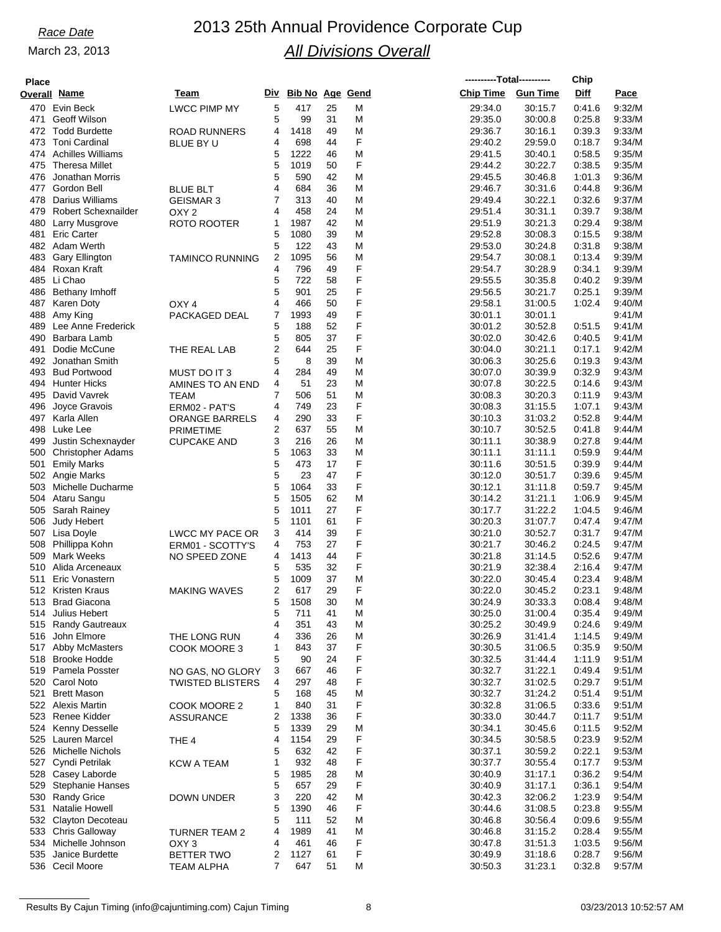# *Race Date* 2013 25th Annual Providence Corporate Cup *All Divisions Overall*

| <b>Place</b> |                            |                         |                |                        |    |   |                  | ----------Total---------- | Chip   |        |
|--------------|----------------------------|-------------------------|----------------|------------------------|----|---|------------------|---------------------------|--------|--------|
|              | Overall Name               | Team                    | Div            | <b>Bib No Age Gend</b> |    |   | <b>Chip Time</b> | <b>Gun Time</b>           | Diff   | Pace   |
|              | 470 Evin Beck              | <b>LWCC PIMP MY</b>     | 5              | 417                    | 25 | M | 29:34.0          | 30:15.7                   | 0:41.6 | 9:32/M |
| 471          | Geoff Wilson               |                         | 5              | 99                     | 31 | M | 29:35.0          | 30:00.8                   | 0.25.8 | 9:33/M |
| 472          | <b>Todd Burdette</b>       | <b>ROAD RUNNERS</b>     | 4              | 1418                   | 49 | M | 29:36.7          | 30:16.1                   | 0:39.3 | 9:33/M |
| 473          | <b>Toni Cardinal</b>       | BLUE BY U               | 4              | 698                    | 44 | F | 29:40.2          | 29:59.0                   | 0:18.7 | 9:34/M |
|              | 474 Achilles Williams      |                         | 5              | 1222                   | 46 | M | 29:41.5          | 30:40.1                   | 0:58.5 | 9:35/M |
| 475          | Theresa Millet             |                         | 5              | 1019                   | 50 | F | 29:44.2          | 30:22.7                   | 0:38.5 | 9:35/M |
| 476          | Jonathan Morris            |                         | 5              | 590                    | 42 | M | 29:45.5          | 30:46.8                   | 1:01.3 | 9:36/M |
|              |                            |                         | 4              |                        |    |   |                  |                           |        |        |
| 477          | Gordon Bell                | <b>BLUE BLT</b>         |                | 684                    | 36 | M | 29:46.7          | 30:31.6                   | 0.44.8 | 9.36/M |
| 478          | Darius Williams            | <b>GEISMAR 3</b>        | 7              | 313                    | 40 | M | 29:49.4          | 30:22.1                   | 0:32.6 | 9:37/M |
| 479          | <b>Robert Schexnailder</b> | OXY <sub>2</sub>        | 4              | 458                    | 24 | M | 29:51.4          | 30:31.1                   | 0:39.7 | 9:38/M |
| 480          | Larry Musgrove             | ROTO ROOTER             | 1              | 1987                   | 42 | M | 29:51.9          | 30:21.3                   | 0.29.4 | 9:38/M |
| 481          | <b>Eric Carter</b>         |                         | 5              | 1080                   | 39 | M | 29:52.8          | 30:08.3                   | 0:15.5 | 9:38/M |
|              | 482 Adam Werth             |                         | 5              | 122                    | 43 | M | 29.53.0          | 30:24.8                   | 0:31.8 | 9:38/M |
| 483          | <b>Gary Ellington</b>      | <b>TAMINCO RUNNING</b>  | 2              | 1095                   | 56 | M | 29:54.7          | 30:08.1                   | 0:13.4 | 9:39/M |
|              | 484 Roxan Kraft            |                         | 4              | 796                    | 49 | F | 29:54.7          | 30:28.9                   | 0.34.1 | 9:39/M |
| 485          | Li Chao                    |                         | 5              | 722                    | 58 | F | 29:55.5          | 30:35.8                   | 0:40.2 | 9:39/M |
| 486          | <b>Bethany Imhoff</b>      |                         | 5              | 901                    | 25 | F | 29:56.5          | 30:21.7                   | 0.25.1 | 9:39/M |
|              | 487 Karen Doty             | OXY <sub>4</sub>        | 4              | 466                    | 50 | F | 29:58.1          | 31:00.5                   | 1:02.4 | 9:40/M |
| 488          | Amy King                   | PACKAGED DEAL           | 7              | 1993                   | 49 | F | 30:01.1          | 30:01.1                   |        | 9:41/M |
| 489          | Lee Anne Frederick         |                         | 5              | 188                    | 52 | F | 30:01.2          | 30:52.8                   | 0:51.5 | 9.41/M |
| 490          | Barbara Lamb               |                         | 5              | 805                    | 37 | F | 30:02.0          | 30:42.6                   | 0:40.5 | 9.41/M |
| 491          | Dodie McCune               | THE REAL LAB            | $\overline{2}$ | 644                    | 25 | F | 30:04.0          | 30:21.1                   | 0:17.1 | 9:42/M |
| 492          | Jonathan Smith             |                         | 5              | 8                      | 39 | M | 30:06.3          | 30:25.6                   | 0:19.3 | 9.43/M |
|              | 493 Bud Portwood           | MUST DO IT 3            | 4              | 284                    | 49 | M | 30:07.0          | 30:39.9                   | 0:32.9 | 9.43/M |
|              | 494 Hunter Hicks           | AMINES TO AN END        | 4              | 51                     | 23 | M | 30:07.8          | 30:22.5                   | 0:14.6 | 9.43/M |
|              | 495 David Vavrek           | <b>TEAM</b>             | 7              | 506                    | 51 | M | 30:08.3          | 30:20.3                   | 0:11.9 | 9:43/M |
| 496          | Joyce Gravois              | ERM02 - PAT'S           | 4              | 749                    | 23 | F | 30:08.3          | 31:15.5                   | 1:07.1 | 9.43/M |
|              | 497 Karla Allen            | <b>ORANGE BARRELS</b>   | 4              | 290                    | 33 | F | 30:10.3          | 31:03.2                   | 0.52.8 | 9:44/M |
| 498          | Luke Lee                   | <b>PRIMETIME</b>        | 2              | 637                    | 55 | M | 30:10.7          | 30:52.5                   | 0:41.8 | 9.44/M |
| 499          | Justin Schexnayder         | <b>CUPCAKE AND</b>      | 3              | 216                    | 26 | M | 30:11.1          | 30:38.9                   | 0:27.8 | 9:44/M |
|              | 500 Christopher Adams      |                         | 5              | 1063                   | 33 | M | 30:11.1          | 31:11.1                   | 0:59.9 | 9:44/M |
| 501          | <b>Emily Marks</b>         |                         | 5              | 473                    | 17 | F | 30:11.6          | 30:51.5                   | 0:39.9 | 9.44/M |
|              | 502 Angie Marks            |                         | 5              | 23                     | 47 | F | 30:12.0          | 30:51.7                   | 0:39.6 | 9:45/M |
| 503          | Michelle Ducharme          |                         | 5              | 1064                   | 33 | F | 30:12.1          | 31:11.8                   | 0:59.7 | 9:45/M |
|              | 504 Ataru Sangu            |                         | 5              | 1505                   | 62 | M | 30:14.2          | 31:21.1                   | 1:06.9 | 9:45/M |
| 505          | Sarah Rainey               |                         | 5              | 1011                   | 27 | F | 30:17.7          | 31:22.2                   | 1:04.5 | 9:46/M |
| 506          | Judy Hebert                |                         | 5              | 1101                   | 61 | F | 30:20.3          | 31:07.7                   | 0:47.4 | 9.47/M |
|              | 507 Lisa Doyle             | LWCC MY PACE OR         | 3              | 414                    | 39 | F | 30:21.0          | 30:52.7                   | 0:31.7 | 9.47/M |
| 508          | Phillippa Kohn             | ERM01 - SCOTTY'S        | 4              | 753                    | 27 | F | 30:21.7          | 30:46.2                   | 0:24.5 | 9.47/M |
| 509          | Mark Weeks                 | NO SPEED ZONE           | 4              | 1413                   | 44 | F | 30:21.8          | 31:14.5                   | 0.52.6 | 9.47/M |
| 510          | Alida Arceneaux            |                         | 5              | 535                    | 32 | F | 30:21.9          | 32:38.4                   | 2:16.4 | 9.47/M |
| 511          | Eric Vonastern             |                         | 5              | 1009                   | 37 | M | 30:22.0          | 30:45.4                   | 0.23.4 | 9:48/M |
|              | 512 Kristen Kraus          | <b>MAKING WAVES</b>     | 2              | 617                    | 29 | F | 30:22.0          | 30:45.2                   | 0.23.1 | 9.48/M |
|              | 513 Brad Giacona           |                         | 5              | 1508                   | 30 | M | 30:24.9          | 30:33.3                   | 0.08.4 | 9:48/M |
| 514          | Julius Hebert              |                         | 5              | 711                    | 41 | M | 30:25.0          | 31:00.4                   | 0.35.4 | 9:49/M |
|              | 515 Randy Gautreaux        |                         | 4              | 351                    | 43 | M | 30:25.2          |                           | 0.24.6 | 9:49/M |
|              |                            |                         |                |                        |    |   |                  | 30:49.9                   |        |        |
|              | 516 John Elmore            | THE LONG RUN            | 4              | 336                    | 26 | M | 30:26.9          | 31:41.4                   | 1:14.5 | 9:49/M |
|              | 517 Abby McMasters         | COOK MOORE 3            | 1              | 843                    | 37 | F | 30:30.5          | 31:06.5                   | 0:35.9 | 9:50/M |
|              | 518 Brooke Hodde           |                         | 5              | 90                     | 24 | F | 30:32.5          | 31:44.4                   | 1:11.9 | 9:51/M |
|              | 519 Pamela Posster         | NO GAS, NO GLORY        | 3              | 667                    | 46 | F | 30:32.7          | 31:22.1                   | 0:49.4 | 9:51/M |
| 520          | Carol Noto                 | <b>TWISTED BLISTERS</b> | 4              | 297                    | 48 | F | 30:32.7          | 31:02.5                   | 0.29.7 | 9:51/M |
| 521          | <b>Brett Mason</b>         |                         | 5              | 168                    | 45 | M | 30:32.7          | 31:24.2                   | 0.51.4 | 9:51/M |
|              | 522 Alexis Martin          | COOK MOORE 2            | 1              | 840                    | 31 | F | 30:32.8          | 31:06.5                   | 0:33.6 | 9:51/M |
|              | 523 Renee Kidder           | <b>ASSURANCE</b>        | 2              | 1338                   | 36 | F | 30:33.0          | 30:44.7                   | 0:11.7 | 9:51/M |
|              | 524 Kenny Desselle         |                         | 5              | 1339                   | 29 | M | 30:34.1          | 30:45.6                   | 0:11.5 | 9:52/M |
|              | 525 Lauren Marcel          | THE 4                   | 4              | 1154                   | 29 | F | 30:34.5          | 30:58.5                   | 0.23.9 | 9:52/M |
|              | 526 Michelle Nichols       |                         | 5              | 632                    | 42 | F | 30:37.1          | 30:59.2                   | 0.22.1 | 9:53/M |
|              | 527 Cyndi Petrilak         | <b>KCW A TEAM</b>       | 1              | 932                    | 48 | F | 30:37.7          | 30:55.4                   | 0:17.7 | 9:53/M |
|              | 528 Casey Laborde          |                         | 5              | 1985                   | 28 | M | 30:40.9          | 31:17.1                   | 0:36.2 | 9:54/M |
| 529          | Stephanie Hanses           |                         | 5              | 657                    | 29 | F | 30:40.9          | 31:17.1                   | 0.36.1 | 9:54/M |
| 530          | <b>Randy Grice</b>         | <b>DOWN UNDER</b>       | 3              | 220                    | 42 | M | 30:42.3          | 32:06.2                   | 1:23.9 | 9:54/M |
| 531          | Natalie Howell             |                         | 5              | 1390                   | 46 | F | 30:44.6          | 31:08.5                   | 0.23.8 | 9:55/M |
|              | 532 Clayton Decoteau       |                         | 5              | 111                    | 52 | M | 30:46.8          | 30:56.4                   | 0.09.6 | 9:55/M |
|              | 533 Chris Galloway         | <b>TURNER TEAM 2</b>    | 4              | 1989                   | 41 | M | 30:46.8          | 31:15.2                   | 0.28.4 | 9:55/M |
|              | 534 Michelle Johnson       | OXY 3                   | 4              | 461                    | 46 | F | 30:47.8          | 31:51.3                   | 1:03.5 | 9:56/M |
| 535          | Janice Burdette            | <b>BETTER TWO</b>       | 2              | 1127                   | 61 | F | 30:49.9          | 31:18.6                   | 0:28.7 | 9:56/M |
|              | 536 Cecil Moore            | <b>TEAM ALPHA</b>       | 7              | 647                    | 51 | M | 30:50.3          | 31:23.1                   | 0.32.8 | 9:57/M |

Results By Cajun Timing (info@cajuntiming.com) Cajun Timing 8 03/23/2013 10:52:57 AM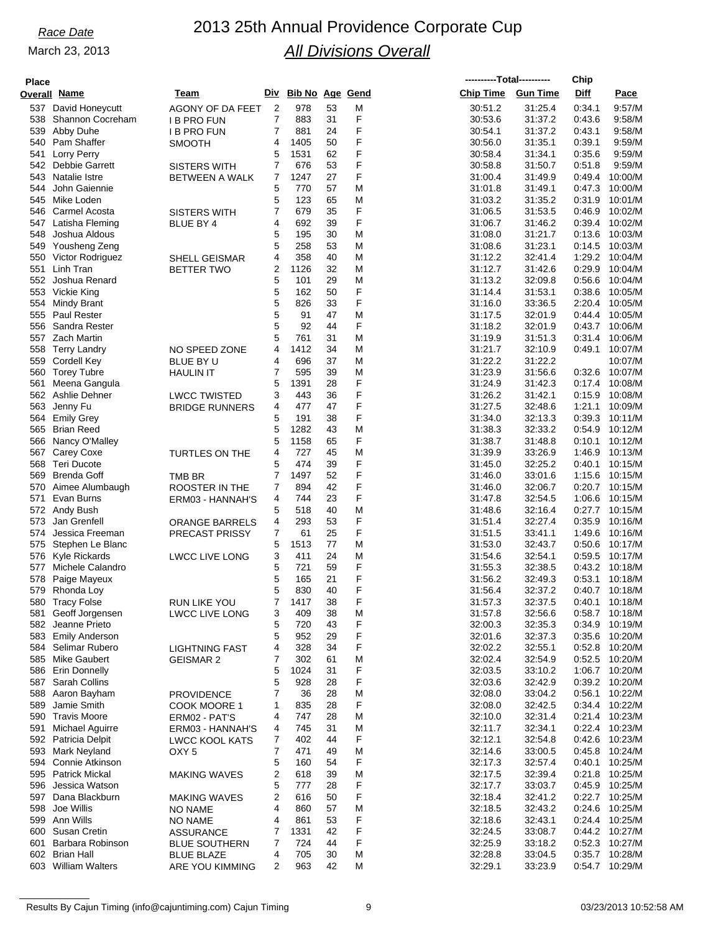| <b>Place</b> |                                           |                       |                |                        |          |        | ----------Total---------- |                    | Chip             |                           |
|--------------|-------------------------------------------|-----------------------|----------------|------------------------|----------|--------|---------------------------|--------------------|------------------|---------------------------|
|              | Overall Name                              | Team                  | Div            | <b>Bib No Age Gend</b> |          |        | <b>Chip Time</b>          | <b>Gun Time</b>    | Diff             | Pace                      |
|              | 537 David Honeycutt                       | AGONY OF DA FEET      | $\overline{2}$ | 978                    | 53       | M      | 30:51.2                   | 31:25.4            | 0:34.1           | 9:57/M                    |
| 538          | Shannon Cocreham                          | <b>I B PRO FUN</b>    | 7              | 883                    | 31       | F      | 30:53.6                   | 31:37.2            | 0.43.6           | 9:58/M                    |
| 539          | Abby Duhe                                 | <b>IB PRO FUN</b>     | 7              | 881                    | 24       | F<br>F | 30:54.1                   | 31:37.2            | 0:43.1           | 9:58/M                    |
| 541          | 540 Pam Shaffer<br>Lorry Perry            | SMOOTH                | 4<br>5         | 1405<br>1531           | 50<br>62 | F      | 30:56.0<br>30:58.4        | 31:35.1<br>31:34.1 | 0:39.1<br>0:35.6 | 9:59/M<br>9:59/M          |
|              | 542 Debbie Garrett                        | <b>SISTERS WITH</b>   | 7              | 676                    | 53       | F      | 30:58.8                   | 31:50.7            | 0:51.8           | 9:59/M                    |
|              | 543 Natalie Istre                         | BETWEEN A WALK        | 7              | 1247                   | 27       | F      | 31:00.4                   | 31:49.9            | 0:49.4           | 10:00/M                   |
| 544          | John Gaiennie                             |                       | 5              | 770                    | 57       | M      | 31:01.8                   | 31:49.1            | 0:47.3           | 10:00/M                   |
| 545          | Mike Loden                                |                       | 5              | 123                    | 65       | M      | 31:03.2                   | 31:35.2            | 0:31.9           | 10:01/M                   |
|              | 546 Carmel Acosta                         | <b>SISTERS WITH</b>   | 7              | 679                    | 35       | F      | 31:06.5                   | 31:53.5            | 0:46.9           | 10:02/M                   |
|              | 547 Latisha Fleming<br>548 Joshua Aldous  | <b>BLUE BY 4</b>      | 4<br>5         | 692<br>195             | 39<br>30 | F<br>M | 31:06.7<br>31:08.0        | 31:46.2<br>31:21.7 | 0:39.4<br>0:13.6 | 10:02/M<br>10:03/M        |
| 549          | Yousheng Zeng                             |                       | 5              | 258                    | 53       | M      | 31:08.6                   | 31:23.1            | 0:14.5           | 10:03/M                   |
|              | 550 Victor Rodriguez                      | SHELL GEISMAR         | 4              | 358                    | 40       | M      | 31:12.2                   | 32:41.4            |                  | 1:29.2 10:04/M            |
| 551          | Linh Tran                                 | <b>BETTER TWO</b>     | 2              | 1126                   | 32       | M      | 31:12.7                   | 31:42.6            | 0:29.9           | 10:04/M                   |
|              | 552 Joshua Renard                         |                       | 5              | 101                    | 29       | M      | 31:13.2                   | 32:09.8            | 0:56.6           | 10:04/M                   |
|              | 553 Vickie King                           |                       | 5              | 162                    | 50       | F      | 31:14.4                   | 31:53.1            | 0:38.6           | 10:05/M                   |
|              | 554 Mindy Brant<br>555 Paul Rester        |                       | 5<br>5         | 826<br>91              | 33<br>47 | F<br>M | 31:16.0<br>31:17.5        | 33:36.5<br>32:01.9 | 2:20.4<br>0:44.4 | 10:05/M<br>10:05/M        |
|              | 556 Sandra Rester                         |                       | 5              | 92                     | 44       | F      | 31:18.2                   | 32:01.9            | 0:43.7           | 10:06/M                   |
|              | 557 Zach Martin                           |                       | 5              | 761                    | 31       | M      | 31:19.9                   | 31:51.3            | 0:31.4           | 10:06/M                   |
| 558          | Terry Landry                              | NO SPEED ZONE         | 4              | 1412                   | 34       | M      | 31:21.7                   | 32:10.9            | 0:49.1           | 10:07/M                   |
|              | 559 Cordell Key                           | <b>BLUE BY U</b>      | 4              | 696                    | 37       | M      | 31:22.2                   | 31:22.2            |                  | 10:07/M                   |
|              | 560 Torey Tubre                           | <b>HAULIN IT</b>      | 7              | 595                    | 39       | M      | 31:23.9                   | 31:56.6            | 0:32.6           | 10:07/M                   |
| 561          | Meena Gangula                             |                       | 5              | 1391                   | 28       | F      | 31:24.9                   | 31:42.3            | 0:17.4           | 10:08/M                   |
|              | 562 Ashlie Dehner                         | <b>LWCC TWISTED</b>   | 3              | 443                    | 36       | F      | 31:26.2                   | 31:42.1            | 0:15.9           | 10:08/M                   |
| 564          | 563 Jenny Fu<br><b>Emily Grey</b>         | <b>BRIDGE RUNNERS</b> | 4<br>5         | 477<br>191             | 47<br>38 | F<br>F | 31:27.5<br>31:34.0        | 32:48.6<br>32:13.3 | 1:21.1<br>0:39.3 | 10:09/M<br>10:11/M        |
| 565          | <b>Brian Reed</b>                         |                       | 5              | 1282                   | 43       | M      | 31:38.3                   | 32:33.2            | 0:54.9           | 10:12/M                   |
|              | 566 Nancy O'Malley                        |                       | 5              | 1158                   | 65       | F      | 31:38.7                   | 31:48.8            | 0:10.1           | 10:12/M                   |
|              | 567 Carey Coxe                            | <b>TURTLES ON THE</b> | 4              | 727                    | 45       | M      | 31:39.9                   | 33:26.9            | 1:46.9           | 10:13/M                   |
|              | 568 Teri Ducote                           |                       | 5              | 474                    | 39       | F      | 31:45.0                   | 32:25.2            | 0:40.1           | 10:15/M                   |
| 569          | Brenda Goff                               | TMB BR                | 7              | 1497                   | 52       | F      | 31:46.0                   | 33:01.6            | 1:15.6           | 10:15/M                   |
|              | 570 Aimee Alumbaugh                       | ROOSTER IN THE        | 7              | 894                    | 42       | F      | 31:46.0                   | 32:06.7            | 0:20.7           | 10:15/M                   |
| 571          | Evan Burns<br>572 Andy Bush               | ERM03 - HANNAH'S      | 4<br>5         | 744<br>518             | 23<br>40 | F<br>M | 31:47.8<br>31:48.6        | 32:54.5<br>32:16.4 | 1:06.6<br>0:27.7 | 10:15/M<br>10:15/M        |
| 573          | Jan Grenfell                              | <b>ORANGE BARRELS</b> | 4              | 293                    | 53       | F      | 31:51.4                   | 32:27.4            | 0:35.9           | 10:16/M                   |
|              | 574 Jessica Freeman                       | <b>PRECAST PRISSY</b> | 7              | 61                     | 25       | F      | 31:51.5                   | 33:41.1            | 1:49.6           | 10:16/M                   |
|              | 575 Stephen Le Blanc                      |                       | 5              | 1513                   | 77       | M      | 31:53.0                   | 32:43.7            | 0.50.6           | 10:17/M                   |
| 576          | Kyle Rickards                             | <b>LWCC LIVE LONG</b> | 3              | 411                    | 24       | M      | 31:54.6                   | 32:54.1            | 0:59.5           | 10:17/M                   |
| 577          | Michele Calandro                          |                       | 5              | 721                    | 59       | F      | 31:55.3                   | 32:38.5            | 0:43.2           | 10:18/M                   |
| 578          | Paige Mayeux<br>579 Rhonda Loy            |                       | 5<br>5         | 165<br>830             | 21<br>40 | F<br>F | 31:56.2                   | 32:49.3<br>32:37.2 | 0:53.1<br>0:40.7 | 10:18/M<br>10:18/M        |
| 580          | <b>Tracy Folse</b>                        | <b>RUN LIKE YOU</b>   |                | 1417                   | 38       | F      | 31:56.4<br>31:57.3        | 32:37.5            | 0:40.1           | 10:18/M                   |
| 581          | Geoff Jorgensen                           | <b>LWCC LIVE LONG</b> | 3              | 409                    | 38       | M      | 31:57.8                   | 32:56.6            | 0:58.7           | 10:18/M                   |
|              | 582 Jeanne Prieto                         |                       | 5              | 720                    | 43       | F      | 32:00.3                   | 32:35.3            | 0:34.9           | 10:19/M                   |
|              | 583 Emily Anderson                        |                       | 5              | 952                    | 29       | F      | 32:01.6                   | 32:37.3            |                  | 0:35.6 10:20/M            |
|              | 584 Selimar Rubero                        | <b>LIGHTNING FAST</b> | 4              | 328                    | 34       | F      | 32:02.2                   | 32:55.1            | 0:52.8           | 10:20/M                   |
|              | 585 Mike Gaubert                          | <b>GEISMAR 2</b>      | 7              | 302                    | 61       | M      | 32:02.4                   | 32:54.9            |                  | 0:52.5 10:20/M            |
|              | 586 Erin Donnelly<br>587 Sarah Collins    |                       | 5<br>5         | 1024<br>928            | 31<br>28 | F<br>F | 32:03.5<br>32:03.6        | 33:10.2            | 1:06.7           | 10:20/M<br>0:39.2 10:20/M |
|              | 588 Aaron Bayham                          | <b>PROVIDENCE</b>     | 7              | 36                     | 28       | M      | 32:08.0                   | 32:42.9<br>33:04.2 | 0:56.1           | 10:22/M                   |
| 589          | Jamie Smith                               | COOK MOORE 1          | 1              | 835                    | 28       | F      | 32:08.0                   | 32:42.5            |                  | 0:34.4 10:22/M            |
|              | 590 Travis Moore                          | ERM02 - PAT'S         | 4              | 747                    | 28       | M      | 32:10.0                   | 32:31.4            |                  | 0:21.4 10:23/M            |
| 591          | Michael Aguirre                           | ERM03 - HANNAH'S      | 4              | 745                    | 31       | M      | 32:11.7                   | 32:34.1            |                  | 0:22.4 10:23/M            |
|              | 592 Patricia Delpit                       | <b>LWCC KOOL KATS</b> | 7              | 402                    | 44       | F      | 32:12.1                   | 32:54.8            | 0.42.6           | 10:23/M                   |
|              | 593 Mark Neyland                          | OXY <sub>5</sub>      | 7              | 471                    | 49       | M      | 32:14.6                   | 33:00.5            |                  | 0:45.8 10:24/M            |
|              | 594 Connie Atkinson<br>595 Patrick Mickal |                       | 5              | 160                    | 54<br>39 | F<br>M | 32:17.3<br>32:17.5        | 32:57.4<br>32:39.4 | 0:40.1           | 10:25/M<br>10:25/M        |
|              | 596 Jessica Watson                        | <b>MAKING WAVES</b>   | 2<br>5         | 618<br>777             | 28       | F      | 32:17.7                   | 33:03.7            | 0:21.8<br>0:45.9 | 10:25/M                   |
|              | 597 Dana Blackburn                        | <b>MAKING WAVES</b>   | 2              | 616                    | 50       | F      | 32:18.4                   | 32:41.2            | 0:22.7           | 10:25/M                   |
|              | 598 Joe Willis                            | NO NAME               | 4              | 860                    | 57       | M      | 32:18.5                   | 32:43.2            | 0:24.6           | 10:25/M                   |
|              | 599 Ann Wills                             | <b>NO NAME</b>        | 4              | 861                    | 53       | F      | 32:18.6                   | 32:43.1            |                  | 0:24.4 10:25/M            |
|              | 600 Susan Cretin                          | <b>ASSURANCE</b>      | 7              | 1331                   | 42       | F      | 32:24.5                   | 33:08.7            |                  | 0:44.2 10:27/M            |
| 601          | Barbara Robinson                          | <b>BLUE SOUTHERN</b>  | 7              | 724                    | 44       | F      | 32:25.9                   | 33:18.2            |                  | 0:52.3 10:27/M            |
|              | 602 Brian Hall<br>603 William Walters     | <b>BLUE BLAZE</b>     | 4<br>2         | 705<br>963             | 30<br>42 | M<br>M | 32:28.8<br>32:29.1        | 33:04.5<br>33.23.9 | 0:35.7           | 10:28/M<br>0:54.7 10:29/M |
|              |                                           | ARE YOU KIMMING       |                |                        |          |        |                           |                    |                  |                           |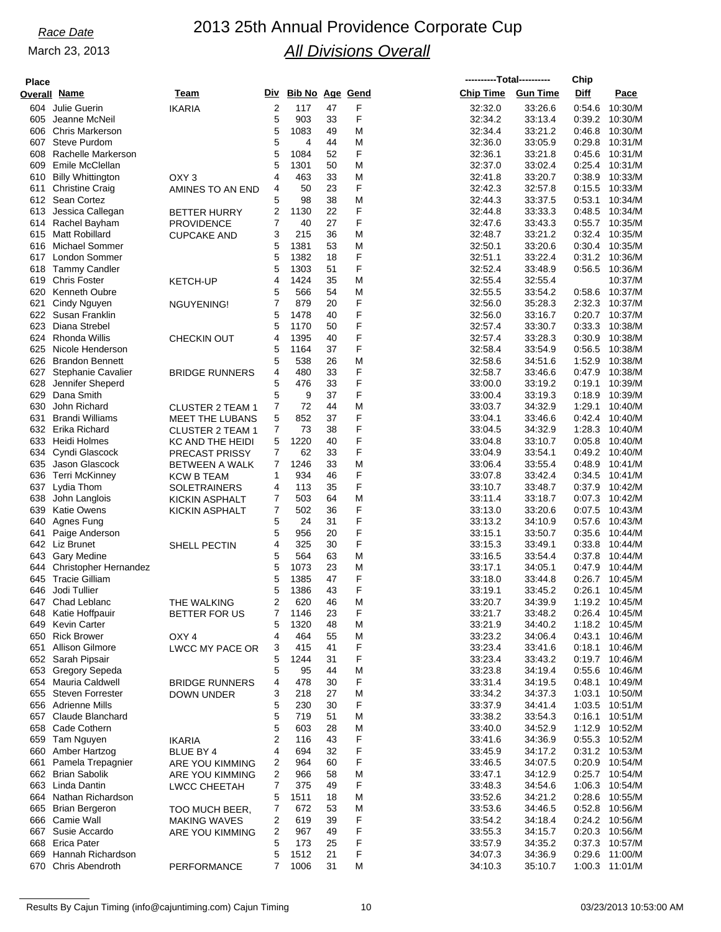# *Race Date* 2013 25th Annual Providence Corporate Cup *All Divisions Overall*

| <b>Place</b> |                                             |                                                   |                |                        |          |        |                    | ----------Total---------- | Chip             |                           |
|--------------|---------------------------------------------|---------------------------------------------------|----------------|------------------------|----------|--------|--------------------|---------------------------|------------------|---------------------------|
|              | Overall Name                                | Team                                              | Div            | <b>Bib No Age Gend</b> |          |        | <b>Chip Time</b>   | <b>Gun Time</b>           | Diff             | Pace                      |
| 604          | Julie Guerin                                | <b>IKARIA</b>                                     | $\overline{2}$ | 117                    | 47       | F      | 32:32.0            | 33.26.6                   | 0:54.6           | 10:30/M                   |
| 605          | Jeanne McNeil                               |                                                   | 5              | 903                    | 33       | F      | 32:34.2            | 33:13.4                   | 0:39.2           | 10:30/M                   |
| 606          | <b>Chris Markerson</b>                      |                                                   | 5              | 1083                   | 49       | M      | 32:34.4            | 33:21.2                   | 0.46.8           | 10:30/M                   |
|              | 607 Steve Purdom                            |                                                   | 5              | 4                      | 44       | M      | 32:36.0            | 33:05.9                   | 0.29.8           | 10:31/M                   |
| 608<br>609   | Rachelle Markerson<br>Emile McClellan       |                                                   | 5<br>5         | 1084<br>1301           | 52<br>50 | F      | 32:36.1            | 33:21.8<br>33:02.4        | 0.45.6<br>0.25.4 | 10:31/M<br>10:31/M        |
| 610          | <b>Billy Whittington</b>                    | OXY <sub>3</sub>                                  | 4              | 463                    | 33       | M<br>M | 32:37.0<br>32:41.8 | 33:20.7                   | 0.38.9           | 10:33/M                   |
| 611          | <b>Christine Craig</b>                      | AMINES TO AN END                                  | 4              | 50                     | 23       | F      | 32:42.3            | 32:57.8                   | 0:15.5           | 10:33/M                   |
|              | 612 Sean Cortez                             |                                                   | 5              | 98                     | 38       | M      | 32:44.3            | 33:37.5                   | 0:53.1           | 10:34/M                   |
| 613          | Jessica Callegan                            | <b>BETTER HURRY</b>                               | 2              | 1130                   | 22       | F      | 32:44.8            | 33.33.3                   | 0.48.5           | 10:34/M                   |
|              | 614 Rachel Bayham                           | <b>PROVIDENCE</b>                                 | 7              | 40                     | 27       | F      | 32:47.6            | 33:43.3                   | 0.55.7           | 10:35/M                   |
|              | 615 Matt Robillard                          | <b>CUPCAKE AND</b>                                | 3              | 215                    | 36       | M      | 32:48.7            | 33:21.2                   | 0.32.4           | 10:35/M                   |
| 616          | Michael Sommer                              |                                                   | 5              | 1381                   | 53       | M      | 32:50.1            | 33:20.6                   | 0.30.4           | 10:35/M                   |
|              | 617 London Sommer                           |                                                   | 5              | 1382                   | 18       | F      | 32:51.1            | 33:22.4                   | 0:31.2           | 10:36/M                   |
| 618          | <b>Tammy Candler</b>                        |                                                   | 5              | 1303                   | 51       | F      | 32:52.4            | 33.48.9                   | 0.56.5           | 10:36/M                   |
| 619<br>620   | <b>Chris Foster</b><br><b>Kenneth Oubre</b> | <b>KETCH-UP</b>                                   | 4<br>5         | 1424<br>566            | 35<br>54 | M<br>M | 32:55.4            | 32:55.4<br>33.54.2        | 0.58.6           | 10:37/M<br>10:37/M        |
| 621          | Cindy Nguyen                                | NGUYENING!                                        | 7              | 879                    | 20       | F      | 32:55.5<br>32:56.0 | 35:28.3                   | 2:32.3           | 10:37/M                   |
| 622          | Susan Franklin                              |                                                   | 5              | 1478                   | 40       | F      | 32:56.0            | 33:16.7                   | 0.20.7           | 10:37/M                   |
| 623          | Diana Strebel                               |                                                   | 5              | 1170                   | 50       | F      | 32:57.4            | 33:30.7                   | 0:33.3           | 10:38/M                   |
| 624          | <b>Rhonda Willis</b>                        | <b>CHECKIN OUT</b>                                | 4              | 1395                   | 40       | F      | 32.57.4            | 33.28.3                   | 0.30.9           | 10:38/M                   |
| 625          | Nicole Henderson                            |                                                   | 5              | 1164                   | 37       | F      | 32:58.4            | 33:54.9                   | 0.56.5           | 10:38/M                   |
| 626          | <b>Brandon Bennett</b>                      |                                                   | 5              | 538                    | 26       | M      | 32:58.6            | 34:51.6                   | 1:52.9           | 10:38/M                   |
| 627          | Stephanie Cavalier                          | <b>BRIDGE RUNNERS</b>                             | 4              | 480                    | 33       | F      | 32:58.7            | 33:46.6                   | 0.47.9           | 10:38/M                   |
| 628          | Jennifer Sheperd                            |                                                   | 5              | 476                    | 33       | F      | 33:00.0            | 33:19.2                   | 0:19.1           | 10:39/M                   |
| 629          | Dana Smith                                  |                                                   | 5              | 9                      | 37       | F      | 33:00.4            | 33:19.3                   | 0.18.9           | 10:39/M                   |
| 630<br>631   | John Richard<br><b>Brandi Williams</b>      | <b>CLUSTER 2 TEAM 1</b>                           | 7<br>5         | 72<br>852              | 44<br>37 | M<br>F | 33:03.7            | 34:32.9                   | 1:29.1           | 10:40/M<br>10:40/M        |
| 632          | Erika Richard                               | <b>MEET THE LUBANS</b><br><b>CLUSTER 2 TEAM 1</b> | 7              | 73                     | 38       | F      | 33:04.1<br>33:04.5 | 33:46.6<br>34:32.9        | 0:42.4<br>1:28.3 | 10:40/M                   |
|              | 633 Heidi Holmes                            | KC AND THE HEIDI                                  | 5              | 1220                   | 40       | F      | 33:04.8            | 33:10.7                   | 0:05.8           | 10:40/M                   |
| 634          | Cyndi Glascock                              | PRECAST PRISSY                                    | 7              | 62                     | 33       | F      | 33:04.9            | 33:54.1                   | 0.49.2           | 10:40/M                   |
| 635          | Jason Glascock                              | <b>BETWEEN A WALK</b>                             | 7              | 1246                   | 33       | M      | 33:06.4            | 33:55.4                   | 0.48.9           | 10:41/M                   |
|              | 636 Terri McKinney                          | <b>KCW B TEAM</b>                                 | 1              | 934                    | 46       | F      | 33:07.8            | 33:42.4                   | 0:34.5           | 10:41/M                   |
| 637          | Lydia Thom                                  | <b>SOLETRAINERS</b>                               | 4              | 113                    | 35       | F      | 33:10.7            | 33:48.7                   | 0.37.9           | 10:42/M                   |
| 638          | John Langlois                               | <b>KICKIN ASPHALT</b>                             | 7              | 503                    | 64       | M      | 33:11.4            | 33:18.7                   | 0.07.3           | 10:42/M                   |
| 639          | <b>Katie Owens</b>                          | KICKIN ASPHALT                                    | 7              | 502                    | 36       | F      | 33:13.0            | 33:20.6                   | 0:07.5           | 10:43/M                   |
| 640          | Agnes Fung                                  |                                                   | 5              | 24                     | 31       | F      | 33:13.2            | 34:10.9                   | 0.57.6           | 10:43/M                   |
| 641          | Paige Anderson<br>642 Liz Brunet            |                                                   | 5<br>4         | 956<br>325             | 20<br>30 | F<br>F | 33:15.1<br>33:15.3 | 33:50.7<br>33:49.1        | 0.35.6<br>0:33.8 | 10:44/M<br>10:44/M        |
| 643          | Gary Medine                                 | SHELL PECTIN                                      | 5              | 564                    | 63       | M      | 33:16.5            | 33:54.4                   | 0:37.8           | 10:44/M                   |
| 644          | <b>Christopher Hernandez</b>                |                                                   | 5              | 1073                   | 23       | M      | 33:17.1            | 34:05.1                   | 0.47.9           | 10:44/M                   |
| 645          | <b>Tracie Gilliam</b>                       |                                                   | 5              | 1385                   | 47       | F      | 33:18.0            | 33:44.8                   | 0:26.7           | 10:45/M                   |
| 646          | Jodi Tullier                                |                                                   | 5              | 1386                   | 43       | F      | 33:19.1            | 33:45.2                   | 0:26.1           | 10:45/M                   |
| 647          | Chad Leblanc                                | THE WALKING                                       | 2              | 620                    | 46       | M      | 33:20.7            | 34:39.9                   | 1:19.2           | 10:45/M                   |
|              | 648 Katie Hoffpauir                         | BETTER FOR US                                     | 7              | 1146                   | 23       | F      | 33:21.7            | 33:48.2                   |                  | 0:26.4 10:45/M            |
|              | 649 Kevin Carter                            |                                                   | 5              | 1320                   | 48       | M      | 33:21.9            | 34:40.2                   |                  | 1:18.2 10:45/M            |
|              | 650 Rick Brower                             | OXY 4                                             | 4              | 464                    | 55       | M      | 33:23.2            | 34:06.4                   |                  | 0:43.1 10:46/M            |
|              | 651 Allison Gilmore                         | <b>LWCC MY PACE OR</b>                            | 3              | 415                    | 41       | F      | 33.23.4            | 33:41.6                   |                  | 0:18.1 10:46/M            |
|              | 652 Sarah Pipsair<br>653 Gregory Sepeda     |                                                   | 5<br>5         | 1244<br>95             | 31<br>44 | F<br>M | 33:23.4<br>33.23.8 | 33:43.2<br>34:19.4        | 0.55.6           | 0:19.7 10:46/M<br>10:46/M |
|              | 654 Mauria Caldwell                         | <b>BRIDGE RUNNERS</b>                             | 4              | 478                    | 30       | F      | 33.31.4            | 34:19.5                   |                  | 0:48.1 10:49/M            |
|              | 655 Steven Forrester                        | DOWN UNDER                                        | 3              | 218                    | 27       | M      | 33:34.2            | 34:37.3                   |                  | 1:03.1 10:50/M            |
|              | 656 Adrienne Mills                          |                                                   | 5              | 230                    | 30       | F      | 33:37.9            | 34:41.4                   | 1:03.5           | 10:51/M                   |
|              | 657 Claude Blanchard                        |                                                   | 5              | 719                    | 51       | M      | 33:38.2            | 33:54.3                   |                  | $0.16.1$ 10:51/M          |
|              | 658 Cade Cothern                            |                                                   | 5              | 603                    | 28       | M      | 33:40.0            | 34.52.9                   | 1:12.9           | 10:52/M                   |
|              | 659 Tam Nguyen                              | <b>IKARIA</b>                                     | 2              | 116                    | 43       | F      | 33:41.6            | 34:36.9                   | 0.55.3           | 10:52/M                   |
|              | 660 Amber Hartzog                           | BLUE BY 4                                         | 4              | 694                    | 32       | F      | 33:45.9            | 34:17.2                   |                  | 0:31.2 10:53/M            |
| 661          | Pamela Trepagnier                           | ARE YOU KIMMING                                   | 2              | 964                    | 60       | F      | 33:46.5            | 34:07.5                   | 0.20.9           | 10:54/M                   |
|              | 662 Brian Sabolik                           | ARE YOU KIMMING                                   | 2              | 966                    | 58       | M      | 33:47.1            | 34:12.9                   |                  | 0:25.7 10:54/M            |
|              | 663 Linda Dantin<br>664 Nathan Richardson   | LWCC CHEETAH                                      | 7<br>5         | 375<br>1511            | 49<br>18 | F<br>M | 33:48.3<br>33.52.6 | 34.54.6<br>34:21.2        | 1:06.3           | 10:54/M<br>0:28.6 10:55/M |
|              | 665 Brian Bergeron                          | TOO MUCH BEER,                                    | 7              | 672                    | 53       | M      | 33.53.6            | 34:46.5                   |                  | 0:52.8 10:56/M            |
|              | 666 Camie Wall                              | <b>MAKING WAVES</b>                               | 2              | 619                    | 39       | F      | 33:54.2            | 34:18.4                   |                  | 0:24.2 10:56/M            |
|              | 667 Susie Accardo                           | ARE YOU KIMMING                                   | 2              | 967                    | 49       | F      | 33.55.3            | 34:15.7                   |                  | 0:20.3 10:56/M            |
|              | 668 Erica Pater                             |                                                   | 5              | 173                    | 25       | F      | 33.57.9            | 34:35.2                   |                  | 0:37.3 10:57/M            |
| 669          | Hannah Richardson                           |                                                   | 5              | 1512                   | 21       | F      | 34:07.3            | 34:36.9                   | 0.29.6           | 11:00/M                   |
|              | 670 Chris Abendroth                         | <b>PERFORMANCE</b>                                | 7              | 1006                   | 31       | M      | 34:10.3            | 35:10.7                   |                  | 1:00.3 11:01/M            |

Results By Cajun Timing (info@cajuntiming.com) Cajun Timing 10 10 03/23/2013 10:53:00 AM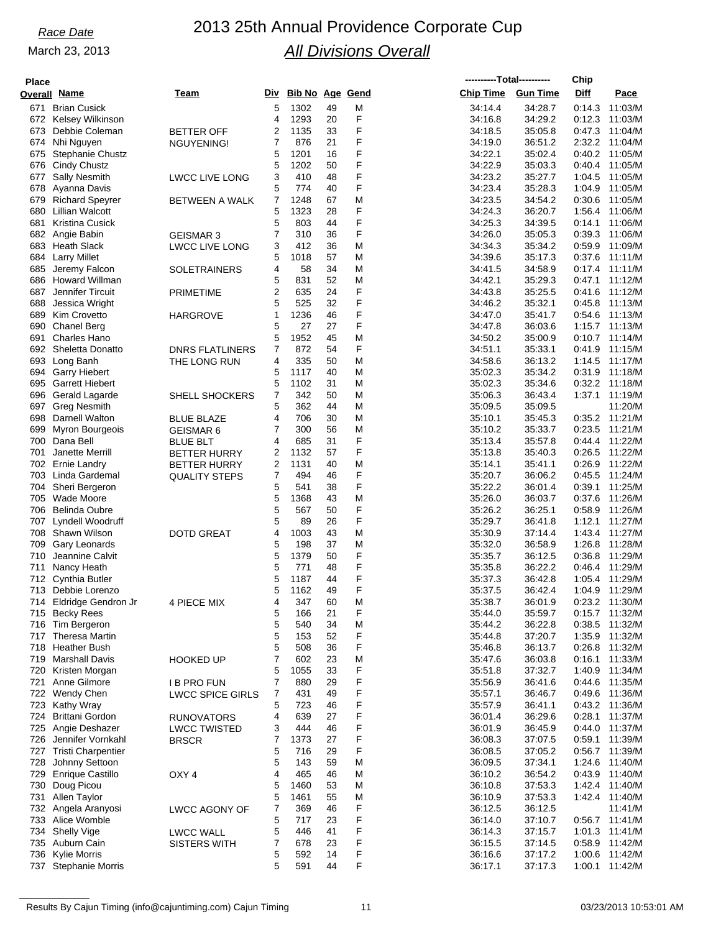## *Race Date* 2013 25th Annual Providence Corporate Cup *All Divisions Overall*

| <b>Place</b> |                           |                         |   |                     |    |   | ----------Total---------- |                 | Chip   |                    |
|--------------|---------------------------|-------------------------|---|---------------------|----|---|---------------------------|-----------------|--------|--------------------|
|              | Overall Name              | Team                    |   | Div Bib No Age Gend |    |   | <b>Chip Time</b>          | <b>Gun Time</b> | Diff   | Pace               |
| 671          | <b>Brian Cusick</b>       |                         | 5 | 1302                | 49 | M | 34:14.4                   | 34:28.7         | 0:14.3 | 11:03/M            |
|              | 672 Kelsey Wilkinson      |                         | 4 | 1293                | 20 | F | 34:16.8                   | 34:29.2         | 0.12.3 | 11:03/M            |
| 673          | Debbie Coleman            | <b>BETTER OFF</b>       | 2 | 1135                | 33 | F | 34:18.5                   | 35:05.8         | 0:47.3 | 11:04/M            |
| 674          | Nhi Nguyen                | NGUYENING!              | 7 | 876                 | 21 | F | 34:19.0                   | 36:51.2         | 2:32.2 | 11:04/M            |
| 675          | <b>Stephanie Chustz</b>   |                         | 5 | 1201                | 16 | F | 34:22.1                   | 35:02.4         | 0:40.2 | 11:05/M            |
| 676          | Cindy Chustz              |                         | 5 | 1202                | 50 | F | 34:22.9                   | 35:03.3         | 0:40.4 | 11:05/M            |
| 677          | <b>Sally Nesmith</b>      | <b>LWCC LIVE LONG</b>   | 3 | 410                 | 48 | F | 34:23.2                   | 35:27.7         | 1:04.5 | 11:05/M            |
| 678          | Ayanna Davis              |                         | 5 | 774                 | 40 | F | 34:23.4                   | 35:28.3         | 1:04.9 | 11:05/M            |
| 679          | <b>Richard Speyrer</b>    | <b>BETWEEN A WALK</b>   | 7 | 1248                | 67 | M | 34:23.5                   | 34:54.2         | 0:30.6 | 11:05/M            |
| 680          | Lillian Walcott           |                         | 5 | 1323                | 28 | F | 34:24.3                   | 36:20.7         | 1:56.4 | 11:06/M            |
| 681          | <b>Kristina Cusick</b>    |                         | 5 | 803                 | 44 | F | 34:25.3                   | 34:39.5         | 0:14.1 | 11:06/M            |
| 682          | Angie Babin               | <b>GEISMAR 3</b>        | 7 | 310                 | 36 | F | 34:26.0                   | 35:05.3         | 0.39.3 | 11:06/M            |
| 683          | <b>Heath Slack</b>        | <b>LWCC LIVE LONG</b>   | 3 | 412                 | 36 | M | 34:34.3                   | 35:34.2         | 0.59.9 | 11:09/M            |
| 684          | <b>Larry Millet</b>       |                         | 5 | 1018                | 57 | M | 34:39.6                   | 35:17.3         | 0.37.6 | 11:11/M            |
| 685          | Jeremy Falcon             | <b>SOLETRAINERS</b>     | 4 | 58                  | 34 | M | 34:41.5                   | 34:58.9         |        | $0:17.4$ 11:11/M   |
| 686          | Howard Willman            |                         | 5 | 831                 | 52 | M | 34:42.1                   | 35:29.3         | 0:47.1 | 11:12/M            |
| 687          | Jennifer Tircuit          |                         | 2 | 635                 | 24 | F | 34:43.8                   | 35:25.5         | 0.41.6 | 11:12/M            |
| 688          | Jessica Wright            | <b>PRIMETIME</b>        | 5 | 525                 | 32 | F | 34:46.2                   | 35:32.1         | 0:45.8 | 11:13/M            |
| 689          | Kim Crovetto              |                         | 1 | 1236                | 46 | F | 34:47.0                   | 35:41.7         | 0.54.6 | 11:13/M            |
| 690          | <b>Chanel Berg</b>        | <b>HARGROVE</b>         | 5 | 27                  | 27 | F | 34:47.8                   | 36:03.6         | 1:15.7 | 11:13/M            |
|              |                           |                         |   |                     |    | M |                           |                 |        | $0:10.7$ 11:14/M   |
| 691          | Charles Hano              |                         | 5 | 1952                | 45 |   | 34:50.2                   | 35:00.9         |        |                    |
| 692          | Sheletta Donatto          | <b>DNRS FLATLINERS</b>  | 7 | 872                 | 54 | F | 34:51.1                   | 35:33.1         | 0:41.9 | 11:15/M            |
| 693          | Long Banh                 | THE LONG RUN            | 4 | 335                 | 50 | M | 34:58.6                   | 36:13.2         | 1:14.5 | 11:17/M            |
| 694          | <b>Garry Hiebert</b>      |                         | 5 | 1117                | 40 | M | 35:02.3                   | 35:34.2         | 0:31.9 | 11:18/M            |
| 695          | <b>Garrett Hiebert</b>    |                         | 5 | 1102                | 31 | M | 35:02.3                   | 35:34.6         | 0:32.2 | 11:18/M            |
| 696          | Gerald Lagarde            | <b>SHELL SHOCKERS</b>   | 7 | 342                 | 50 | M | 35:06.3                   | 36:43.4         | 1:37.1 | 11:19/M            |
| 697          | <b>Greg Nesmith</b>       |                         | 5 | 362                 | 44 | M | 35:09.5                   | 35:09.5         |        | 11:20/M            |
| 698          | Darnell Walton            | <b>BLUE BLAZE</b>       | 4 | 706                 | 30 | M | 35:10.1                   | 35:45.3         |        | 0:35.2 11:21/M     |
| 699          | Myron Bourgeois           | GEISMAR 6               | 7 | 300                 | 56 | M | 35:10.2                   | 35:33.7         | 0:23.5 | 11:21/M            |
| 700          | Dana Bell                 | <b>BLUE BLT</b>         | 4 | 685                 | 31 | F | 35:13.4                   | 35:57.8         | 0:44.4 | 11:22/M            |
| 701          | Janette Merrill           | <b>BETTER HURRY</b>     | 2 | 1132                | 57 | F | 35:13.8                   | 35:40.3         | 0:26.5 | 11:22/M            |
| 702          | Ernie Landry              | <b>BETTER HURRY</b>     | 2 | 1131                | 40 | M | 35:14.1                   | 35:41.1         | 0:26.9 | 11:22/M            |
| 703          | Linda Gardemal            | <b>QUALITY STEPS</b>    | 7 | 494                 | 46 | F | 35:20.7                   | 36:06.2         | 0:45.5 | 11:24/M            |
| 704          | Sheri Bergeron            |                         | 5 | 541                 | 38 | F | 35:22.2                   | 36:01.4         | 0:39.1 | 11:25/M            |
| 705          | Wade Moore                |                         | 5 | 1368                | 43 | M | 35:26.0                   | 36:03.7         | 0.37.6 | 11:26/M            |
| 706          | <b>Belinda Oubre</b>      |                         | 5 | 567                 | 50 | F | 35:26.2                   | 36:25.1         | 0:58.9 | 11:26/M            |
| 707          | Lyndell Woodruff          |                         | 5 | 89                  | 26 | F | 35:29.7                   | 36:41.8         | 1:12.1 | 11:27/M            |
| 708          | Shawn Wilson              | <b>DOTD GREAT</b>       | 4 | 1003                | 43 | M | 35:30.9                   | 37:14.4         | 1:43.4 | 11:27/M            |
| 709          | Gary Leonards             |                         | 5 | 198                 | 37 | M | 35:32.0                   | 36:58.9         | 1:26.8 | 11:28/M            |
| 710          | Jeannine Calvit           |                         | 5 | 1379                | 50 | F | 35:35.7                   | 36:12.5         | 0.36.8 | 11:29/M            |
| 711          | Nancy Heath               |                         | 5 | 771                 | 48 | F | 35:35.8                   | 36:22.2         | 0:46.4 | 11:29/M            |
|              | 712 Cynthia Butler        |                         | 5 | 1187                | 44 | F | 35:37.3                   | 36:42.8         | 1:05.4 | 11:29/M            |
|              | 713 Debbie Lorenzo        |                         | 5 | 1162                | 49 | F | 35:37.5                   | 36:42.4         | 1:04.9 | 11:29/M            |
|              | 714 Eldridge Gendron Jr   | 4 PIECE MIX             | 4 | 347                 | 60 | M | 35:38.7                   | 36:01.9         |        | 0:23.2 11:30/M     |
|              | 715 Becky Rees            |                         | 5 | 166                 | 21 | F | 35:44.0                   | 35:59.7         |        | $0:15.7$ 11:32/M   |
|              | 716 Tim Bergeron          |                         | 5 | 540                 | 34 | M | 35:44.2                   | 36:22.8         | 0:38.5 | 11:32/M            |
|              | 717 Theresa Martin        |                         | 5 | 153                 | 52 | F | 35:44.8                   | 37:20.7         |        | 1:35.9 11:32/M     |
| 718          | Heather Bush              |                         | 5 | 508                 | 36 | F | 35:46.8                   | 36:13.7         |        | 0:26.8 11:32/M     |
| 719          | <b>Marshall Davis</b>     | <b>HOOKED UP</b>        | 7 | 602                 | 23 | M | 35:47.6                   | 36:03.8         | 0:16.1 | 11:33/M            |
| 720          | Kristen Morgan            |                         | 5 | 1055                | 33 | F | 35:51.8                   | 37:32.7         |        | 1:40.9 11:34/M     |
| 721          | Anne Gilmore              | <b>IB PRO FUN</b>       | 7 | 880                 | 29 | F | 35:56.9                   | 36:41.6         | 0.44.6 | 11:35/M            |
|              | 722 Wendy Chen            | <b>LWCC SPICE GIRLS</b> | 7 | 431                 | 49 | F | 35:57.1                   | 36:46.7         |        | 0:49.6 11:36/M     |
|              | 723 Kathy Wray            |                         | 5 | 723                 | 46 | F | 35:57.9                   | 36:41.1         |        | 0:43.2 11:36/M     |
|              | 724 Brittani Gordon       | <b>RUNOVATORS</b>       | 4 | 639                 | 27 | F | 36:01.4                   | 36:29.6         | 0.28.1 | 11:37/M            |
|              | 725 Angie Deshazer        | <b>LWCC TWISTED</b>     | 3 | 444                 | 46 | F | 36:01.9                   | 36:45.9         |        | 0:44.0 11:37/M     |
| 726          | Jennifer Vornkahl         | <b>BRSCR</b>            | 7 | 1373                | 27 | F | 36:08.3                   | 37:07.5         | 0.59.1 | 11:39/M            |
| 727          | <b>Tristi Charpentier</b> |                         | 5 | 716                 | 29 | F | 36:08.5                   | 37:05.2         |        | 0:56.7 11:39/M     |
| 728          | Johnny Settoon            |                         | 5 | 143                 | 59 | M | 36:09.5                   | 37:34.1         |        | 1:24.6 11:40/M     |
| 729          | <b>Enrique Castillo</b>   | OXY <sub>4</sub>        | 4 | 465                 | 46 | M | 36:10.2                   | 36:54.2         |        | 0:43.9 11:40/M     |
| 730          | Doug Picou                |                         | 5 | 1460                | 53 | M | 36:10.8                   | 37:53.3         | 1.42.4 | 11:40/M            |
| 731          | Allen Taylor              |                         | 5 | 1461                | 55 | M | 36:10.9                   | 37:53.3         |        | 1:42.4 11:40/M     |
|              | 732 Angela Aranyosi       | <b>LWCC AGONY OF</b>    | 7 | 369                 | 46 | F | 36:12.5                   | 36:12.5         |        | 11:41/M            |
|              | 733 Alice Womble          |                         | 5 | 717                 | 23 | F | 36:14.0                   | 37:10.7         |        | $0.56.7$ 11:41/M   |
| 734          | <b>Shelly Vige</b>        | <b>LWCC WALL</b>        | 5 | 446                 | 41 | F | 36:14.3                   | 37:15.7         |        | $1:01.3$ $11:41/M$ |
| 735          | Auburn Cain               | <b>SISTERS WITH</b>     | 7 | 678                 | 23 | F | 36:15.5                   | 37:14.5         | 0.58.9 | 11:42/M            |
|              | 736 Kylie Morris          |                         | 5 | 592                 | 14 | F | 36:16.6                   | 37:17.2         |        | 1:00.6 11:42/M     |
|              |                           |                         |   |                     |    |   |                           |                 |        |                    |

Stephanie Morris 5 591 44 F 36:17.1 37:17.3 1:00.1 11:42/M

Kylie Morris 5 592 14 F 36:16.6 37:17.2 1:00.6 11:42/M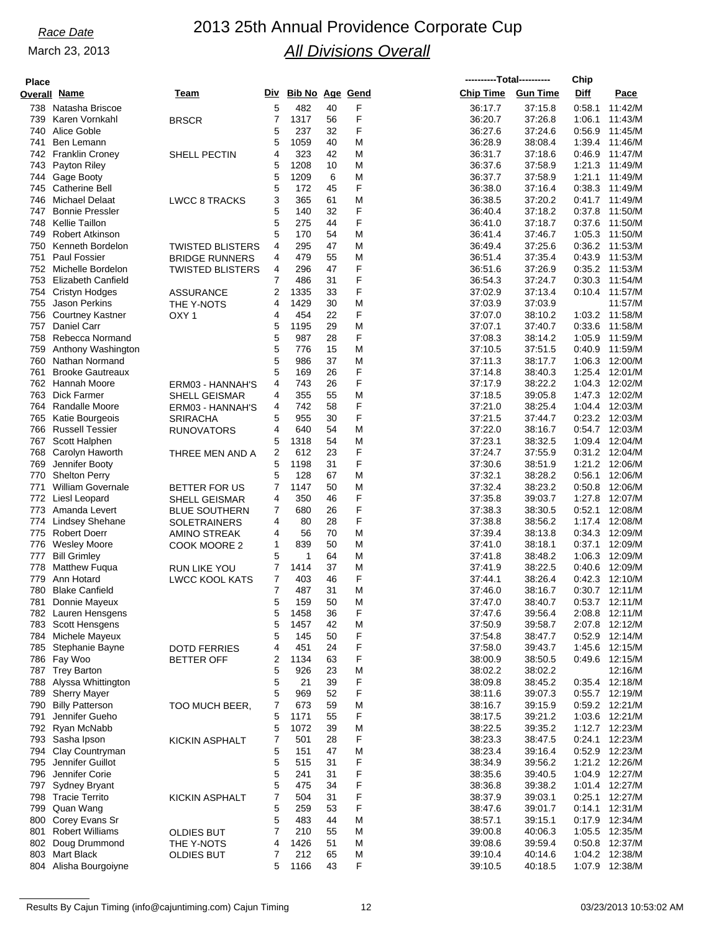| <b>Place</b> |                                           |                                             |                |                 |          |        | ----------Total---------- |                    | Chip             |                                  |
|--------------|-------------------------------------------|---------------------------------------------|----------------|-----------------|----------|--------|---------------------------|--------------------|------------------|----------------------------------|
|              | Overall Name                              | Team                                        | Div            | Bib No Age Gend |          |        | <b>Chip Time</b>          | <b>Gun Time</b>    | Diff             | Pace                             |
|              | 738 Natasha Briscoe                       |                                             | 5              | 482             | 40       | F      | 36:17.7                   | 37:15.8            | 0:58.1           | 11:42/M                          |
| 739          | Karen Vornkahl                            | <b>BRSCR</b>                                | 7              | 1317            | 56       | F      | 36:20.7                   | 37:26.8            | 1:06.1           | 11:43/M                          |
|              | 740 Alice Goble                           |                                             | 5              | 237             | 32       | F      | 36:27.6                   | 37:24.6            | 0:56.9           | 11:45/M                          |
| 741          | Ben Lemann                                |                                             | 5              | 1059            | 40       | M      | 36:28.9                   | 38:08.4            | 1:39.4           | 11:46/M                          |
|              | 742 Franklin Croney                       | SHELL PECTIN                                | 4              | 323             | 42       | M      | 36:31.7                   | 37:18.6            | 0.46.9           | 11:47/M                          |
|              | 743 Payton Riley                          |                                             | 5              | 1208            | 10       | M      | 36:37.6                   | 37:58.9            |                  | 1:21.3 11:49/M                   |
|              | 744 Gage Booty                            |                                             | 5              | 1209            | 6        | M      | 36:37.7                   | 37:58.9            | 1:21.1           | 11:49/M                          |
| 746          | 745 Catherine Bell<br>Michael Delaat      |                                             | 5              | 172<br>365      | 45<br>61 | F<br>M | 36:38.0                   | 37:16.4<br>37:20.2 | 0:38.3           | 11:49/M<br>0:41.7 11:49/M        |
| 747          | <b>Bonnie Pressler</b>                    | <b>LWCC 8 TRACKS</b>                        | 3<br>5         | 140             | 32       | F      | 36:38.5<br>36:40.4        | 37:18.2            | 0.37.8           | 11:50/M                          |
| 748          | Kellie Taillon                            |                                             | 5              | 275             | 44       | F      | 36:41.0                   | 37:18.7            | 0.37.6           | 11:50/M                          |
| 749          | <b>Robert Atkinson</b>                    |                                             | 5              | 170             | 54       | M      | 36:41.4                   | 37:46.7            | 1:05.3           | 11:50/M                          |
| 750          | Kenneth Bordelon                          | <b>TWISTED BLISTERS</b>                     | 4              | 295             | 47       | M      | 36:49.4                   | 37:25.6            |                  | 0:36.2 11:53/M                   |
| 751          | <b>Paul Fossier</b>                       | <b>BRIDGE RUNNERS</b>                       | 4              | 479             | 55       | M      | 36:51.4                   | 37:35.4            | 0:43.9           | 11:53/M                          |
|              | 752 Michelle Bordelon                     | <b>TWISTED BLISTERS</b>                     | 4              | 296             | 47       | F      | 36:51.6                   | 37:26.9            | 0:35.2           | 11:53/M                          |
|              | 753 Elizabeth Canfield                    |                                             | 7              | 486             | 31       | F      | 36:54.3                   | 37:24.7            | 0:30.3           | 11:54/M                          |
|              | 754 Cristyn Hodges                        | <b>ASSURANCE</b>                            | 2              | 1335            | 33       | F      | 37:02.9                   | 37:13.4            |                  | $0:10.4$ 11:57/M                 |
| 755          | Jason Perkins                             | THE Y-NOTS                                  | 4              | 1429            | 30       | M      | 37:03.9                   | 37:03.9            |                  | 11:57/M                          |
| 756          | Courtney Kastner                          | OXY <sub>1</sub>                            | 4              | 454             | 22       | F      | 37:07.0                   | 38:10.2            |                  | 1:03.2 11:58/M                   |
| 757          | Daniel Carr                               |                                             | 5              | 1195            | 29       | M      | 37:07.1                   | 37:40.7            | 0.33.6           | 11:58/M                          |
|              | 758 Rebecca Normand                       |                                             | 5              | 987             | 28       | F      | 37:08.3                   | 38:14.2            | 1:05.9           | 11:59/M                          |
| 759<br>760   | Anthony Washington<br>Nathan Normand      |                                             | 5<br>5         | 776<br>986      | 15<br>37 | M<br>M | 37:10.5<br>37:11.3        | 37:51.5<br>38:17.7 | 0.40.9<br>1:06.3 | 11:59/M<br>12:00/M               |
| 761          | <b>Brooke Gautreaux</b>                   |                                             | 5              | 169             | 26       | F      | 37:14.8                   | 38:40.3            |                  | 1:25.4 12:01/M                   |
|              | 762 Hannah Moore                          | ERM03 - HANNAH'S                            | 4              | 743             | 26       | F      | 37:17.9                   | 38:22.2            | 1:04.3           | 12:02/M                          |
| 763          | Dick Farmer                               | <b>SHELL GEISMAR</b>                        | 4              | 355             | 55       | M      | 37:18.5                   | 39:05.8            | 1:47.3           | 12:02/M                          |
|              | 764 Randalle Moore                        | ERM03 - HANNAH'S                            | 4              | 742             | 58       | F      | 37:21.0                   | 38:25.4            |                  | 1:04.4 12:03/M                   |
| 765          | Katie Bourgeois                           | <b>SRIRACHA</b>                             | 5              | 955             | 30       | F      | 37:21.5                   | 37:44.7            |                  | 0:23.2 12:03/M                   |
|              | 766 Russell Tessier                       | <b>RUNOVATORS</b>                           | 4              | 640             | 54       | M      | 37:22.0                   | 38:16.7            |                  | 0:54.7 12:03/M                   |
|              | 767 Scott Halphen                         |                                             | 5              | 1318            | 54       | M      | 37:23.1                   | 38:32.5            | 1:09.4           | 12:04/M                          |
| 768          | Carolyn Haworth                           | THREE MEN AND A                             | 2              | 612             | 23       | F      | 37:24.7                   | 37:55.9            | 0:31.2           | 12:04/M                          |
| 769          | Jennifer Booty                            |                                             | 5              | 1198            | 31       | F      | 37:30.6                   | 38:51.9            |                  | 1:21.2 12:06/M                   |
| 770          | <b>Shelton Perry</b>                      |                                             | 5              | 128             | 67       | M      | 37:32.1                   | 38:28.2            | 0.56.1           | 12:06/M                          |
| 771          | <b>William Governale</b>                  | BETTER FOR US                               | 7              | 1147            | 50       | M      | 37:32.4                   | 38:23.2            | 0:50.8           | 12:06/M                          |
| 772<br>773   | Liesl Leopard<br>Amanda Levert            | <b>SHELL GEISMAR</b>                        | 4<br>7         | 350<br>680      | 46<br>26 | F<br>F | 37:35.8<br>37:38.3        | 39:03.7<br>38:30.5 | 1:27.8<br>0:52.1 | 12:07/M<br>12:08/M               |
|              | 774 Lindsey Shehane                       | <b>BLUE SOUTHERN</b><br><b>SOLETRAINERS</b> | 4              | 80              | 28       | F      | 37:38.8                   | 38:56.2            |                  | 1:17.4 12:08/M                   |
|              | 775 Robert Doerr                          | AMINO STREAK                                | 4              | 56              | 70       | M      | 37:39.4                   | 38:13.8            |                  | 0:34.3 12:09/M                   |
| 776          | <b>Wesley Moore</b>                       | COOK MOORE 2                                | 1              | 839             | 50       | M      | 37:41.0                   | 38:18.1            | 0:37.1           | 12:09/M                          |
| 777          | <b>Bill Grimley</b>                       |                                             | 5              | 1               | 64       | M      | 37:41.8                   | 38:48.2            | 1:06.3           | 12:09/M                          |
| 778          | Matthew Fuqua                             | <b>RUN LIKE YOU</b>                         | 7              | 1414            | 37       | M      | 37:41.9                   | 38:22.5            | 0.40.6           | 12:09/M                          |
| 779          | Ann Hotard                                | <b>LWCC KOOL KATS</b>                       | 7              | 403             | 46       | F      | 37:44.1                   | 38:26.4            | 0:42.3           | 12:10/M                          |
|              | 780 Blake Canfield                        |                                             | $\overline{7}$ | 487             | 31       | М      | 37:46.0                   | 38:16.7            |                  | $0:30.7$ 12:11/M                 |
| 781          | Donnie Mayeux                             |                                             | 5              | 159             | 50       | M      | 37:47.0                   | 38:40.7            |                  | 0:53.7 12:11/M                   |
|              | 782 Lauren Hensgens                       |                                             | 5              | 1458            | 36       | F      | 37:47.6                   | 39:56.4            | 2:08.8           | 12:11/M                          |
|              | 783 Scott Hensgens                        |                                             | 5              | 1457            | 42       | M      | 37:50.9                   | 39:58.7            |                  | 2:07.8 12:12/M                   |
|              | 784 Michele Mayeux<br>785 Stephanie Bayne |                                             | 5<br>4         | 145<br>451      | 50<br>24 | F<br>F | 37:54.8<br>37:58.0        | 38:47.7<br>39:43.7 | 0.52.9           | 12:14/M<br>1:45.6 12:15/M        |
|              | 786 Fay Woo                               | <b>DOTD FERRIES</b><br><b>BETTER OFF</b>    | 2              | 1134            | 63       | F      | 38:00.9                   | 38:50.5            |                  | 0:49.6 12:15/M                   |
|              | 787 Trey Barton                           |                                             | 5              | 926             | 23       | M      | 38:02.2                   | 38:02.2            |                  | 12:16/M                          |
| 788          | Alyssa Whittington                        |                                             | 5              | 21              | 39       | F      | 38:09.8                   | 38:45.2            |                  | 0:35.4 12:18/M                   |
| 789          | <b>Sherry Mayer</b>                       |                                             | 5              | 969             | 52       | F      | 38:11.6                   | 39:07.3            |                  | 0:55.7 12:19/M                   |
| 790          | <b>Billy Patterson</b>                    | TOO MUCH BEER,                              | 7              | 673             | 59       | M      | 38:16.7                   | 39:15.9            | 0.59.2           | 12:21/M                          |
| 791          | Jennifer Gueho                            |                                             | 5              | 1171            | 55       | F      | 38:17.5                   | 39:21.2            |                  | 1:03.6 12:21/M                   |
|              | 792 Ryan McNabb                           |                                             | 5              | 1072            | 39       | M      | 38:22.5                   | 39:35.2            | 1:12.7           | 12:23/M                          |
|              | 793 Sasha Ipson                           | <b>KICKIN ASPHALT</b>                       | 7              | 501             | 28       | F      | 38.23.3                   | 38:47.5            |                  | 0:24.1 12:23/M                   |
|              | 794 Clay Countryman                       |                                             | 5              | 151             | 47       | M      | 38.23.4                   | 39.16.4            | 0.52.9           | 12:23/M                          |
| 795          | Jennifer Guillot                          |                                             | 5              | 515             | 31       | F      | 38:34.9                   | 39:56.2            | 1:21.2           | 12:26/M                          |
|              | 796 Jennifer Corie<br>797 Sydney Bryant   |                                             | 5<br>5         | 241<br>475      | 31<br>34 | F<br>F | 38.35.6<br>38:36.8        | 39:40.5<br>39:38.2 |                  | 1:04.9 12:27/M<br>1:01.4 12:27/M |
|              | 798 Tracie Territo                        | <b>KICKIN ASPHALT</b>                       | 7              | 504             | 31       | F      | 38:37.9                   | 39:03.1            | 0:25.1           | 12:27/M                          |
|              | 799 Quan Wang                             |                                             | 5              | 259             | 53       | F      | 38:47.6                   | 39:01.7            | 0:14.1           | 12:31/M                          |
| 800          | Corey Evans Sr                            |                                             | 5              | 483             | 44       | M      | 38:57.1                   | 39:15.1            | 0:17.9           | 12:34/M                          |
|              | 801 Robert Williams                       | <b>OLDIES BUT</b>                           | 7              | 210             | 55       | M      | 39:00.8                   | 40:06.3            |                  | 1:05.5 12:35/M                   |
| 802          | Doug Drummond                             | THE Y-NOTS                                  | 4              | 1426            | 51       | M      | 39:08.6                   | 39:59.4            | 0:50.8           | 12:37/M                          |
| 803          | Mart Black                                | <b>OLDIES BUT</b>                           | 7              | 212             | 65       | M      | 39:10.4                   | 40:14.6            | 1:04.2           | 12:38/M                          |
|              | 804 Alisha Bourgoiyne                     |                                             | 5              | 1166            | 43       | F      | 39:10.5                   | 40:18.5            |                  | 1:07.9 12:38/M                   |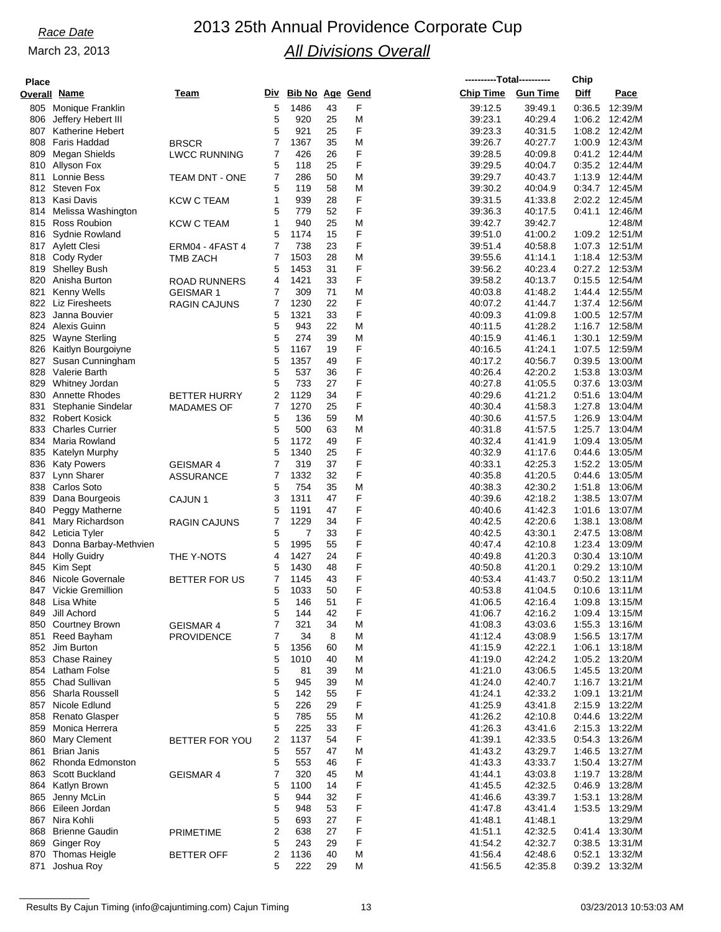| <b>Place</b> |                                            |                                     |                |                        |          |        |                    | ----------Total---------- | Chip             |                                  |
|--------------|--------------------------------------------|-------------------------------------|----------------|------------------------|----------|--------|--------------------|---------------------------|------------------|----------------------------------|
|              | Overall Name                               | Team                                | Div            | <b>Bib No Age Gend</b> |          |        | <b>Chip Time</b>   | <b>Gun Time</b>           | Diff             | Pace                             |
| 805          | Monique Franklin                           |                                     | 5              | 1486                   | 43       | F      | 39:12.5            | 39.49.1                   | 0:36.5           | 12:39/M                          |
| 806          | Jeffery Hebert III                         |                                     | 5              | 920                    | 25       | M      | 39:23.1            | 40:29.4                   | 1:06.2           | 12:42/M                          |
| 807          | <b>Katherine Hebert</b>                    |                                     | 5              | 921                    | 25       | F      | 39.23.3            | 40:31.5                   | 1:08.2           | 12:42/M                          |
| 808<br>809   | Faris Haddad<br>Megan Shields              | <b>BRSCR</b><br><b>LWCC RUNNING</b> | 7<br>7         | 1367<br>426            | 35<br>26 | M<br>F | 39:26.7<br>39:28.5 | 40:27.7<br>40:09.8        | 1:00.9<br>0.41.2 | 12:43/M<br>12:44/M               |
|              | 810 Allyson Fox                            |                                     | 5              | 118                    | 25       | F      | 39:29.5            | 40:04.7                   |                  | 0:35.2 12:44/M                   |
| 811          | Lonnie Bess                                | <b>TEAM DNT - ONE</b>               | 7              | 286                    | 50       | M      | 39:29.7            | 40:43.7                   | 1:13.9           | 12:44/M                          |
|              | 812 Steven Fox                             |                                     | 5              | 119                    | 58       | M      | 39:30.2            | 40:04.9                   |                  | 0:34.7 12:45/M                   |
|              | 813 Kasi Davis                             | <b>KCW C TEAM</b>                   | 1              | 939                    | 28       | F      | 39:31.5            | 41:33.8                   | 2:02.2           | 12:45/M                          |
|              | 814 Melissa Washington                     |                                     | 5<br>1         | 779                    | 52       | F      | 39:36.3            | 40:17.5                   | 0:41.1           | 12:46/M                          |
| 815          | Ross Roubion<br>816 Sydnie Rowland         | <b>KCW C TEAM</b>                   | 5              | 940<br>1174            | 25<br>15 | M<br>F | 39:42.7<br>39:51.0 | 39:42.7<br>41:00.2        |                  | 12:48/M<br>1:09.2 12:51/M        |
|              | 817 Aylett Clesi                           | <b>ERM04 - 4FAST 4</b>              | 7              | 738                    | 23       | F      | 39.51.4            | 40:58.8                   | 1:07.3           | 12:51/M                          |
|              | 818 Cody Ryder                             | <b>TMB ZACH</b>                     | $\overline{7}$ | 1503                   | 28       | M      | 39:55.6            | 41:14.1                   |                  | 1:18.4 12:53/M                   |
| 819          | <b>Shelley Bush</b>                        |                                     | 5              | 1453                   | 31       | F      | 39:56.2            | 40:23.4                   | 0:27.2           | 12:53/M                          |
| 820          | Anisha Burton                              | <b>ROAD RUNNERS</b>                 | 4              | 1421                   | 33       | F      | 39:58.2            | 40:13.7                   | 0.15.5           | 12:54/M                          |
| 821          | <b>Kenny Wells</b>                         | <b>GEISMAR 1</b>                    | 7              | 309                    | 71       | M      | 40:03.8            | 41:48.2                   | 1:44.4           | 12:55/M                          |
| 822<br>823   | Liz Firesheets<br>Janna Bouvier            | <b>RAGIN CAJUNS</b>                 | 7<br>5         | 1230<br>1321           | 22<br>33 | F<br>F | 40:07.2            | 41:44.7<br>41:09.8        | 1:00.5           | 1:37.4 12:56/M<br>12:57/M        |
|              | 824 Alexis Guinn                           |                                     | 5              | 943                    | 22       | M      | 40:09.3<br>40:11.5 | 41:28.2                   |                  | 1:16.7 12:58/M                   |
| 825          | <b>Wayne Sterling</b>                      |                                     | 5              | 274                    | 39       | M      | 40:15.9            | 41:46.1                   | 1:30.1           | 12:59/M                          |
| 826          | Kaitlyn Bourgoiyne                         |                                     | 5              | 1167                   | 19       | F      | 40:16.5            | 41:24.1                   | 1:07.5           | 12:59/M                          |
| 827          | Susan Cunningham                           |                                     | 5              | 1357                   | 49       | F      | 40:17.2            | 40:56.7                   | 0:39.5           | 13:00/M                          |
| 828          | Valerie Barth                              |                                     | 5              | 537                    | 36       | F      | 40:26.4            | 42:20.2                   | 1:53.8           | 13:03/M                          |
| 829          | Whitney Jordan                             |                                     | 5              | 733                    | 27       | F      | 40:27.8            | 41:05.5                   | 0.37.6           | 13:03/M                          |
| 830          | <b>Annette Rhodes</b>                      | <b>BETTER HURRY</b>                 | 2              | 1129                   | 34       | F      | 40:29.6            | 41:21.2                   | 0.51.6           | 13:04/M                          |
| 831          | Stephanie Sindelar<br>832 Robert Kosick    | <b>MADAMES OF</b>                   | 7<br>5         | 1270<br>136            | 25<br>59 | F<br>M | 40:30.4<br>40:30.6 | 41:58.3<br>41:57.5        | 1:27.8<br>1:26.9 | 13:04/M<br>13:04/M               |
| 833          | <b>Charles Currier</b>                     |                                     | 5              | 500                    | 63       | M      | 40:31.8            | 41:57.5                   | 1:25.7           | 13:04/M                          |
|              | 834 Maria Rowland                          |                                     | 5              | 1172                   | 49       | F      | 40:32.4            | 41:41.9                   | 1:09.4           | 13:05/M                          |
| 835          | Katelyn Murphy                             |                                     | 5              | 1340                   | 25       | F      | 40:32.9            | 41:17.6                   | 0.44.6           | 13:05/M                          |
| 836          | <b>Katy Powers</b>                         | <b>GEISMAR 4</b>                    | 7              | 319                    | 37       | F      | 40:33.1            | 42:25.3                   | 1:52.2           | 13:05/M                          |
| 837          | Lynn Sharer                                | <b>ASSURANCE</b>                    | 7              | 1332                   | 32       | F      | 40:35.8            | 41:20.5                   | 0.44.6           | 13:05/M                          |
| 838          | Carlos Soto                                |                                     | 5              | 754                    | 35<br>47 | M      | 40:38.3            | 42:30.2                   | 1:51.8           | 13:06/M                          |
| 839<br>840   | Dana Bourgeois<br>Peggy Matherne           | CAJUN <sub>1</sub>                  | 3<br>5         | 1311<br>1191           | 47       | F<br>F | 40:39.6<br>40:40.6 | 42:18.2<br>41:42.3        | 1:38.5<br>1:01.6 | 13:07/M<br>13:07/M               |
| 841          | Mary Richardson                            | <b>RAGIN CAJUNS</b>                 | 7              | 1229                   | 34       | F      | 40:42.5            | 42:20.6                   | 1:38.1           | 13:08/M                          |
|              | 842 Leticia Tyler                          |                                     | 5              | 7                      | 33       | F      | 40:42.5            | 43:30.1                   | 2:47.5           | 13:08/M                          |
| 843          | Donna Barbay-Methvien                      |                                     | 5              | 1995                   | 55       | F      | 40:47.4            | 42:10.8                   | 1:23.4           | 13:09/M                          |
| 844          | <b>Holly Guidry</b>                        | THE Y-NOTS                          | 4              | 1427                   | 24       | F      | 40:49.8            | 41:20.3                   | 0:30.4           | 13:10/M                          |
| 845          | Kim Sept                                   |                                     | 5              | 1430                   | 48       | F      | 40:50.8            | 41:20.1                   | 0:29.2           | 13:10/M                          |
| 846          | Nicole Governale<br>847 Vickie Gremillion  | BETTER FOR US                       | 7<br>5         | 1145<br>1033           | 43<br>50 | F<br>F | 40:53.4<br>40.53.8 | 41:43.7<br>41:04.5        | 0:50.2<br>0.10.6 | 13:11/M<br>13:11/M               |
| 848          | Lisa White                                 |                                     | 5              | 146                    | 51       | F      | 41:06.5            | 42:16.4                   | 1:09.8           | 13:15/M                          |
| 849          | Jill Achord                                |                                     | 5              | 144                    | 42       | F      | 41:06.7            | 42:16.2                   |                  | 1:09.4 13:15/M                   |
|              | 850 Courtney Brown                         | <b>GEISMAR 4</b>                    | 7              | 321                    | 34       | M      | 41:08.3            | 43.03.6                   |                  | 1:55.3 13:16/M                   |
| 851          | Reed Bayham                                | <b>PROVIDENCE</b>                   | 7              | 34                     | 8        | M      | 41:12.4            | 43:08.9                   |                  | 1:56.5 13:17/M                   |
|              | 852 Jim Burton                             |                                     | 5              | 1356                   | 60       | M      | 41:15.9            | 42:22.1                   |                  | 1:06.1 13:18/M                   |
|              | 853 Chase Rainey                           |                                     | 5              | 1010                   | 40       | M      | 41:19.0            | 42:24.2                   |                  | 1:05.2 13:20/M                   |
|              | 854 Latham Folse<br>855 Chad Sullivan      |                                     | 5<br>5         | 81<br>945              | 39<br>39 | M<br>M | 41:21.0<br>41:24.0 | 43:06.5<br>42:40.7        |                  | 1:45.5 13:20/M<br>1:16.7 13:21/M |
|              | 856 Sharla Roussell                        |                                     | 5              | 142                    | 55       | F      | 41:24.1            | 42:33.2                   |                  | 1:09.1 13:21/M                   |
|              | 857 Nicole Edlund                          |                                     | 5              | 226                    | 29       | F      | 41:25.9            | 43:41.8                   | 2:15.9           | 13:22/M                          |
|              | 858 Renato Glasper                         |                                     | 5              | 785                    | 55       | M      | 41:26.2            | 42:10.8                   |                  | 0:44.6 13:22/M                   |
|              | 859 Monica Herrera                         |                                     | 5              | 225                    | 33       | F      | 41:26.3            | 43:41.6                   |                  | 2:15.3 13:22/M                   |
|              | 860 Mary Clement                           | BETTER FOR YOU                      | 2              | 1137                   | 54       | F      | 41:39.1            | 42:33.5                   | 0.54.3           | 13:26/M                          |
|              | 861 Brian Janis                            |                                     | 5              | 557                    | 47       | M      | 41:43.2            | 43.29.7                   |                  | 1:46.5 13:27/M                   |
|              | 862 Rhonda Edmonston<br>863 Scott Buckland |                                     | 5<br>7         | 553<br>320             | 46<br>45 | F<br>M | 41:43.3<br>41:44.1 | 43:33.7<br>43:03.8        |                  | 1:50.4 13:27/M<br>1:19.7 13:28/M |
|              | 864 Katlyn Brown                           | <b>GEISMAR 4</b>                    | 5              | 1100                   | 14       | F      | 41:45.5            | 42:32.5                   | 0.46.9           | 13:28/M                          |
| 865          | Jenny McLin                                |                                     | 5              | 944                    | 32       | F      | 41:46.6            | 43:39.7                   | 1:53.1           | 13:28/M                          |
|              | 866 Eileen Jordan                          |                                     | 5              | 948                    | 53       | F      | 41:47.8            | 43.41.4                   | 1:53.5           | 13:29/M                          |
|              | 867 Nira Kohli                             |                                     | 5              | 693                    | 27       | F      | 41:48.1            | 41:48.1                   |                  | 13:29/M                          |
|              | 868 Brienne Gaudin                         | <b>PRIMETIME</b>                    | $\overline{2}$ | 638                    | 27       | F      | 41:51.1            | 42:32.5                   |                  | 0:41.4 13:30/M                   |
|              | 869 Ginger Roy                             |                                     | 5              | 243                    | 29       | F      | 41:54.2            | 42:32.7                   |                  | 0:38.5 13:31/M                   |
| 870<br>871   | <b>Thomas Heigle</b><br>Joshua Roy         | <b>BETTER OFF</b>                   | 2<br>5         | 1136<br>222            | 40<br>29 | M<br>M | 41:56.4<br>41:56.5 | 42:48.6<br>42:35.8        | 0:52.1           | 13:32/M<br>0:39.2 13:32/M        |
|              |                                            |                                     |                |                        |          |        |                    |                           |                  |                                  |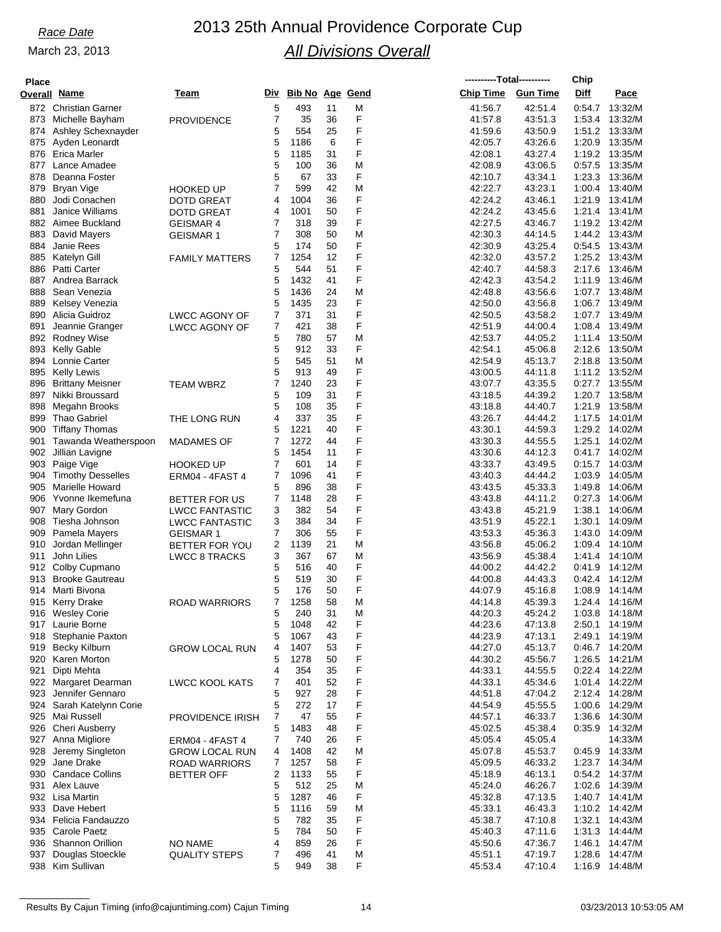## *Race Date* 2013 25th Annual Providence Corporate Cup *All Divisions Overall*

**----------Total----------**

**Chip**

| <b>Place</b> |                          |                       |   |                     |    |   |                  | ----------Total---------- | Chip             |                  |
|--------------|--------------------------|-----------------------|---|---------------------|----|---|------------------|---------------------------|------------------|------------------|
|              | <b>Overall Name</b>      | Team                  |   | Div Bib No Age Gend |    |   | <b>Chip Time</b> | <b>Gun Time</b>           | Diff             | Pace             |
|              | 872 Christian Garner     |                       | 5 | 493                 | 11 | M | 41:56.7          | 42:51.4                   | 0.54.7           | 13:32/M          |
|              | 873 Michelle Bayham      | <b>PROVIDENCE</b>     | 7 | 35                  | 36 | F | 41:57.8          | 43.51.3                   | 1:53.4           | 13:32/M          |
|              | 874 Ashley Schexnayder   |                       | 5 | 554                 | 25 | F | 41:59.6          | 43:50.9                   | 1:51.2           | 13:33/M          |
|              | 875 Ayden Leonardt       |                       | 5 | 1186                | 6  | F | 42:05.7          | 43:26.6                   | 1:20.9           | 13:35/M          |
|              | 876 Erica Marler         |                       | 5 | 1185                | 31 | F | 42:08.1          | 43:27.4                   | 1:19.2           | 13:35/M          |
| 877          | Lance Amadee             |                       | 5 | 100                 | 36 | M | 42:08.9          | 43:06.5                   | 0.57.5           | 13:35/M          |
| 878          | Deanna Foster            |                       | 5 | 67                  | 33 | F | 42:10.7          | 43:34.1                   | 1:23.3           | 13:36/M          |
| 879          | Bryan Vige               | <b>HOOKED UP</b>      | 7 | 599                 | 42 | M | 42:22.7          | 43:23.1                   |                  | 1:00.4 13:40/M   |
| 880          | Jodi Conachen            | <b>DOTD GREAT</b>     | 4 | 1004                | 36 | F | 42:24.2          | 43:46.1                   | 1:21.9           | 13:41/M          |
| 881          | <b>Janice Williams</b>   | <b>DOTD GREAT</b>     | 4 | 1001                | 50 | F | 42:24.2          | 43:45.6                   |                  | 1:21.4 13:41/M   |
|              | 882 Aimee Buckland       |                       | 7 | 318                 | 39 | F | 42:27.5          | 43:46.7                   | 1:19.2           | 13:42/M          |
| 883          | David Mayers             | <b>GEISMAR 4</b>      | 7 | 308                 | 50 | M | 42:30.3          | 44:14.5                   |                  | 1:44.2 13:43/M   |
| 884          | Janie Rees               | <b>GEISMAR 1</b>      | 5 | 174                 | 50 | F | 42:30.9          |                           |                  | 13:43/M          |
| 885          |                          |                       | 7 | 1254                | 12 | F | 42:32.0          | 43:25.4<br>43:57.2        | 0.54.5<br>1:25.2 | 13:43/M          |
|              | Katelyn Gill             | <b>FAMILY MATTERS</b> | 5 | 544                 |    | F | 42:40.7          |                           |                  |                  |
|              | 886 Patti Carter         |                       |   |                     | 51 | F |                  | 44:58.3                   | 2:17.6           | 13:46/M          |
| 887          | Andrea Barrack           |                       | 5 | 1432                | 41 |   | 42:42.3          | 43:54.2                   | 1:11.9           | 13:46/M          |
| 888          | Sean Venezia             |                       | 5 | 1436                | 24 | M | 42:48.8          | 43:56.6                   | 1:07.7           | 13:48/M          |
| 889          | Kelsey Venezia           |                       | 5 | 1435                | 23 | F | 42:50.0          | 43:56.8                   |                  | 1:06.7 13:49/M   |
| 890          | Alicia Guidroz           | LWCC AGONY OF         | 7 | 371                 | 31 | F | 42:50.5          | 43:58.2                   | 1:07.7           | 13:49/M          |
| 891          | Jeannie Granger          | <b>LWCC AGONY OF</b>  | 7 | 421                 | 38 | F | 42:51.9          | 44:00.4                   | 1:08.4           | 13:49/M          |
|              | 892 Rodney Wise          |                       | 5 | 780                 | 57 | M | 42:53.7          | 44:05.2                   | 1:11.4           | 13:50/M          |
|              | 893 Kelly Gable          |                       | 5 | 912                 | 33 | F | 42:54.1          | 45:06.8                   | 2:12.6           | 13:50/M          |
| 894          | Lonnie Carter            |                       | 5 | 545                 | 51 | М | 42:54.9          | 45:13.7                   | 2:18.8           | 13:50/M          |
| 895          | Kelly Lewis              |                       | 5 | 913                 | 49 | F | 43:00.5          | 44:11.8                   | 1:11.2           | 13:52/M          |
| 896          | <b>Brittany Meisner</b>  | <b>TEAM WBRZ</b>      | 7 | 1240                | 23 | F | 43:07.7          | 43:35.5                   | 0:27.7           | 13:55/M          |
| 897          | Nikki Broussard          |                       | 5 | 109                 | 31 | F | 43:18.5          | 44:39.2                   | 1:20.7           | 13:58/M          |
| 898          | Megahn Brooks            |                       | 5 | 108                 | 35 | F | 43:18.8          | 44:40.7                   | 1:21.9           | 13:58/M          |
|              | 899 Thao Gabriel         | THE LONG RUN          | 4 | 337                 | 35 | F | 43:26.7          | 44:44.2                   | 1:17.5           | 14:01/M          |
| 900          | Tiffany Thomas           |                       | 5 | 1221                | 40 | F | 43:30.1          | 44:59.3                   | 1:29.2           | 14:02/M          |
| 901          | Tawanda Weatherspoon     | <b>MADAMES OF</b>     | 7 | 1272                | 44 | F | 43:30.3          | 44:55.5                   | 1:25.1           | 14:02/M          |
|              | 902 Jillian Lavigne      |                       | 5 | 1454                | 11 | F | 43:30.6          | 44:12.3                   | 0.41.7           | 14:02/M          |
| 903          | Paige Vige               | <b>HOOKED UP</b>      | 7 | 601                 | 14 | F | 43:33.7          | 43:49.5                   | 0:15.7           | 14:03/M          |
| 904          | <b>Timothy Desselles</b> | ERM04 - 4FAST 4       | 7 | 1096                | 41 | F | 43:40.3          | 44:44.2                   | 1:03.9           | 14:05/M          |
| 905          | <b>Marielle Howard</b>   |                       | 5 | 896                 | 38 | F | 43:43.5          | 45:33.3                   | 1:49.8           | 14:06/M          |
| 906          | Yvonne Ikemefuna         | BETTER FOR US         | 7 | 1148                | 28 | F | 43:43.8          | 44:11.2                   | 0:27.3           | 14:06/M          |
| 907          | Mary Gordon              | <b>LWCC FANTASTIC</b> | 3 | 382                 | 54 | F | 43:43.8          | 45:21.9                   | 1:38.1           | 14:06/M          |
| 908          | Tiesha Johnson           | <b>LWCC FANTASTIC</b> | 3 | 384                 | 34 | F | 43:51.9          | 45:22.1                   | 1:30.1           | 14:09/M          |
| 909          | Pamela Mayers            | <b>GEISMAR 1</b>      | 7 | 306                 | 55 | F | 43:53.3          | 45:36.3                   | 1:43.0           | 14:09/M          |
| 910          | Jordan Mellinger         | BETTER FOR YOU        | 2 | 1139                | 21 | М | 43:56.8          | 45:06.2                   | 1:09.4           | 14:10/M          |
| 911          | John Lilies              | <b>LWCC 8 TRACKS</b>  | 3 | 367                 | 67 | M | 43:56.9          | 45:38.4                   |                  | 1:41.4 14:10/M   |
|              | 912 Colby Cupmano        |                       | 5 | 516                 | 40 | F | 44:00.2          | 44:42.2                   | 0.41.9           | 14:12/M          |
|              | 913 Brooke Gautreau      |                       | 5 | 519                 | 30 | F | 44:00.8          | 44:43.3                   | 0:42.4           | 14:12/M          |
|              | 914 Marti Bivona         |                       | 5 | 176                 | 50 | F | 44:07.9          | 45:16.8                   | 1:08.9           | 14:14/M          |
|              | 915 Kerry Drake          | ROAD WARRIORS         | 7 | 1258                | 58 | М | 44:14.8          | 45:39.3                   |                  | 1:24.4 14:16/M   |
|              | 916 Wesley Corie         |                       | 5 | 240                 | 31 | M | 44:20.3          | 45:24.2                   |                  | 1:03.8 14:18/M   |
|              | 917 Laurie Borne         |                       | 5 | 1048                | 42 | F | 44:23.6          | 47:13.8                   | 2:50.1           | 14:19/M          |
|              | 918 Stephanie Paxton     |                       | 5 | 1067                | 43 | F | 44:23.9          | 47:13.1                   | 2:49.1           | 14:19/M          |
|              | 919 Becky Kilburn        | <b>GROW LOCAL RUN</b> | 4 | 1407                | 53 | F | 44.27.0          | 45:13.7                   |                  | 0:46.7 14:20/M   |
|              | 920 Karen Morton         |                       | 5 | 1278                | 50 | F | 44:30.2          | 45:56.7                   | 1:26.5           | 14:21/M          |
| 921          | Dipti Mehta              |                       | 4 | 354                 | 35 | F | 44:33.1          | 44:55.5                   |                  | 0:22.4 14:22/M   |
|              | 922 Margaret Dearman     | <b>LWCC KOOL KATS</b> | 7 | 401                 | 52 | F | 44:33.1          | 45:34.6                   |                  | 1:01.4 14:22/M   |
|              | 923 Jennifer Gennaro     |                       | 5 | 927                 | 28 | F | 44:51.8          | 47:04.2                   |                  | 2:12.4 14:28/M   |
|              | 924 Sarah Katelynn Corie |                       | 5 | 272                 | 17 | F | 44:54.9          | 45:55.5                   |                  | 1:00.6 14:29/M   |
|              | 925 Mai Russell          | PROVIDENCE IRISH      | 7 | 47                  | 55 | F | 44:57.1          | 46:33.7                   | 1:36.6           | 14:30/M          |
|              | 926 Cheri Ausberry       |                       | 5 | 1483                | 48 | F | 45:02.5          | 45:38.4                   |                  | 0:35.9 14:32/M   |
|              | 927 Anna Migliore        | ERM04 - 4FAST 4       | 7 | 740                 | 26 | F | 45:05.4          | 45:05.4                   |                  | 14:33/M          |
|              | 928 Jeremy Singleton     | <b>GROW LOCAL RUN</b> | 4 | 1408                | 42 | M | 45:07.8          | 45:53.7                   | 0.45.9           | 14:33/M          |
|              | 929 Jane Drake           | ROAD WARRIORS         | 7 | 1257                | 58 | F | 45:09.5          | 46:33.2                   |                  | 1:23.7 14:34/M   |
|              | 930 Candace Collins      | <b>BETTER OFF</b>     | 2 | 1133                | 55 | F | 45:18.9          | 46:13.1                   |                  | 0:54.2 14:37/M   |
|              | 931 Alex Lauve           |                       | 5 | 512                 | 25 | M | 45:24.0          | 46:26.7                   | 1:02.6           | 14:39/M          |
|              | 932 Lisa Martin          |                       | 5 | 1287                | 46 | F | 45:32.8          | 47:13.5                   |                  | $1:40.7$ 14:41/M |
|              | 933 Dave Hebert          |                       | 5 | 1116                | 59 | Μ | 45:33.1          | 46:43.3                   |                  | 1:10.2 14:42/M   |
|              | 934 Felicia Fandauzzo    |                       | 5 | 782                 | 35 | F | 45:38.7          | 47:10.8                   | 1:32.1           | 14:43/M          |
|              | 935 Carole Paetz         |                       | 5 | 784                 | 50 | F | 45:40.3          | 47:11.6                   |                  | 1:31.3 14:44/M   |
|              | 936 Shannon Orillion     | <b>NO NAME</b>        | 4 | 859                 | 26 | F | 45:50.6          | 47:36.7                   | 1:46.1           | 14:47/M          |
|              | 937 Douglas Stoeckle     | <b>QUALITY STEPS</b>  | 7 | 496                 | 41 | M | 45:51.1          | 47:19.7                   | 1:28.6           | 14:47/M          |
|              | 938 Kim Sullivan         |                       | 5 | 949                 | 38 | F | 45:53.4          | 47:10.4                   |                  | 1:16.9 14:48/M   |
|              |                          |                       |   |                     |    |   |                  |                           |                  |                  |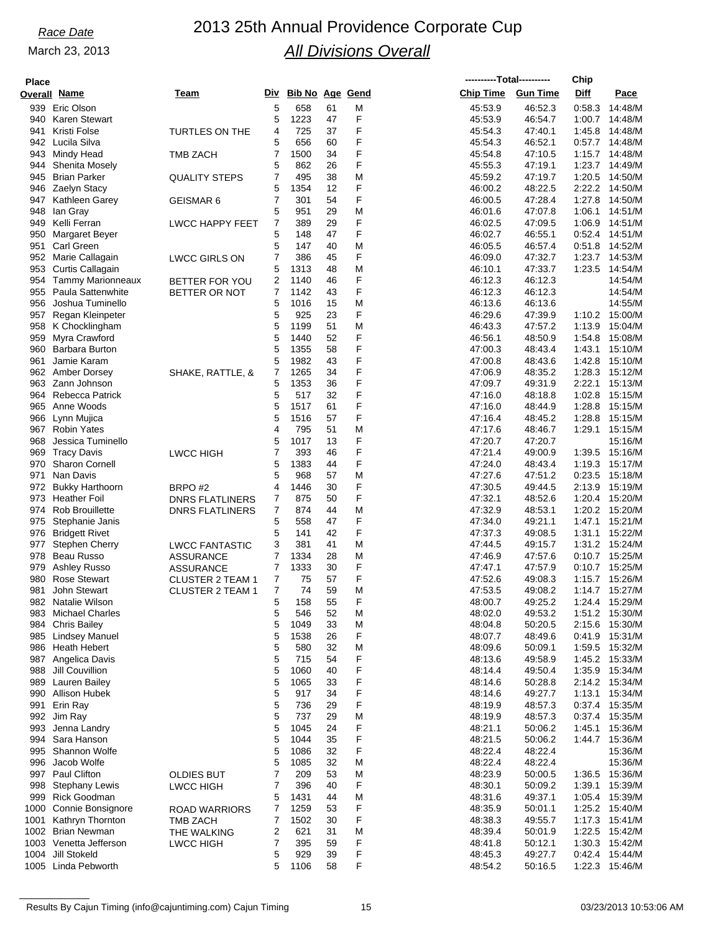# *Race Date* 2013 25th Annual Providence Corporate Cup *All Divisions Overall*

| <b>Place</b> |                                               |                                                  |                         |                 |          |        | ----------Total---------- |                    | Chip             |                           |
|--------------|-----------------------------------------------|--------------------------------------------------|-------------------------|-----------------|----------|--------|---------------------------|--------------------|------------------|---------------------------|
|              | <u>Overall Name</u>                           | Team                                             | Div                     | Bib No Age Gend |          |        | <b>Chip Time</b>          | <b>Gun Time</b>    | Diff             | Pace                      |
|              | 939 Eric Olson                                |                                                  | 5                       | 658             | 61       | M      | 45:53.9                   | 46:52.3            | 0:58.3           | 14:48/M                   |
| 940          | <b>Karen Stewart</b>                          |                                                  | 5                       | 1223            | 47       | F      | 45:53.9                   | 46:54.7            | 1:00.7           | 14:48/M                   |
| 941          | Kristi Folse                                  | <b>TURTLES ON THE</b>                            | 4                       | 725             | 37       | F      | 45:54.3                   | 47:40.1            | 1:45.8           | 14:48/M                   |
| 942          | Lucila Silva                                  |                                                  | 5                       | 656             | 60       | F      | 45:54.3                   | 46:52.1            |                  | 0:57.7 14:48/M            |
| 943<br>944   | Mindy Head<br><b>Shenita Mosely</b>           | <b>TMB ZACH</b>                                  | 7<br>5                  | 1500<br>862     | 34<br>26 | F<br>F | 45:54.8<br>45:55.3        | 47:10.5<br>47:19.1 | 1:15.7<br>1:23.7 | 14:48/M<br>14:49/M        |
| 945          | <b>Brian Parker</b>                           | <b>QUALITY STEPS</b>                             | 7                       | 495             | 38       | M      | 45:59.2                   | 47:19.7            | 1:20.5           | 14:50/M                   |
| 946          | Zaelyn Stacy                                  |                                                  | 5                       | 1354            | 12       | F      | 46:00.2                   | 48:22.5            | 2:22.2           | 14:50/M                   |
| 947          | Kathleen Garey                                | GEISMAR 6                                        | 7                       | 301             | 54       | F      | 46:00.5                   | 47:28.4            | 1:27.8           | 14:50/M                   |
| 948          | lan Gray                                      |                                                  | 5                       | 951             | 29       | M      | 46:01.6                   | 47:07.8            | 1:06.1           | 14:51/M                   |
| 949          | Kelli Ferran                                  | <b>LWCC HAPPY FEET</b>                           | 7                       | 389             | 29       | F      | 46:02.5                   | 47:09.5            | 1:06.9           | 14:51/M                   |
| 950          | <b>Margaret Beyer</b>                         |                                                  | 5                       | 148             | 47       | F      | 46:02.7                   | 46.55.1            | 0.52.4           | 14:51/M                   |
| 951          | Carl Green                                    |                                                  | 5                       | 147             | 40       | M      | 46:05.5                   | 46:57.4            | 0:51.8           | 14:52/M                   |
| 952<br>953   | Marie Callagain                               | <b>LWCC GIRLS ON</b>                             | 7<br>5                  | 386<br>1313     | 45<br>48 | F<br>M | 46:09.0                   | 47:32.7<br>47:33.7 | 1:23.7<br>1:23.5 | 14:53/M<br>14:54/M        |
| 954          | Curtis Callagain<br><b>Tammy Marionneaux</b>  | BETTER FOR YOU                                   | $\overline{\mathbf{c}}$ | 1140            | 46       | F      | 46:10.1<br>46:12.3        | 46:12.3            |                  | 14:54/M                   |
| 955          | <b>Paula Sattenwhite</b>                      | BETTER OR NOT                                    | 7                       | 1142            | 43       | F      | 46:12.3                   | 46:12.3            |                  | 14:54/M                   |
| 956          | Joshua Tuminello                              |                                                  | 5                       | 1016            | 15       | M      | 46:13.6                   | 46:13.6            |                  | 14:55/M                   |
| 957          | Regan Kleinpeter                              |                                                  | 5                       | 925             | 23       | F      | 46:29.6                   | 47:39.9            | 1:10.2           | 15:00/M                   |
| 958          | K Chocklingham                                |                                                  | 5                       | 1199            | 51       | M      | 46:43.3                   | 47:57.2            | 1:13.9           | 15:04/M                   |
| 959          | Myra Crawford                                 |                                                  | 5                       | 1440            | 52       | F      | 46:56.1                   | 48:50.9            | 1:54.8           | 15:08/M                   |
| 960          | Barbara Burton                                |                                                  | 5                       | 1355            | 58       | F      | 47:00.3                   | 48:43.4            | 1:43.1           | 15:10/M                   |
| 961          | Jamie Karam                                   |                                                  | 5                       | 1982            | 43       | F      | 47:00.8                   | 48:43.6            | 1:42.8           | 15:10/M                   |
| 962<br>963   | Amber Dorsey<br>Zann Johnson                  | SHAKE, RATTLE, &                                 | 7<br>5                  | 1265<br>1353    | 34<br>36 | F<br>F | 47:06.9<br>47:09.7        | 48:35.2<br>49:31.9 | 1:28.3<br>2:22.1 | 15:12/M<br>15:13/M        |
| 964          | <b>Rebecca Patrick</b>                        |                                                  | 5                       | 517             | 32       | F      | 47:16.0                   | 48:18.8            | 1:02.8           | 15:15/M                   |
| 965          | Anne Woods                                    |                                                  | 5                       | 1517            | 61       | F      | 47:16.0                   | 48:44.9            | 1:28.8           | 15:15/M                   |
| 966          | Lynn Mujica                                   |                                                  | 5                       | 1516            | 57       | F      | 47:16.4                   | 48:45.2            | 1:28.8           | 15:15/M                   |
| 967          | <b>Robin Yates</b>                            |                                                  | 4                       | 795             | 51       | M      | 47:17.6                   | 48:46.7            | 1:29.1           | 15:15/M                   |
| 968          | Jessica Tuminello                             |                                                  | 5                       | 1017            | 13       | F      | 47:20.7                   | 47:20.7            |                  | 15:16/M                   |
| 969          | <b>Tracy Davis</b>                            | <b>LWCC HIGH</b>                                 | 7                       | 393             | 46       | F      | 47:21.4                   | 49:00.9            | 1:39.5           | 15:16/M                   |
| 970          | Sharon Cornell                                |                                                  | 5                       | 1383            | 44       | F      | 47:24.0                   | 48:43.4            | 1:19.3           | 15:17/M                   |
| 971          | Nan Davis                                     |                                                  | 5                       | 968             | 57       | M      | 47:27.6                   | 47:51.2            | 0.23.5           | 15:18/M                   |
| 972<br>973   | <b>Bukky Harthoorn</b><br><b>Heather Foil</b> | BRPO#2                                           | 4<br>7                  | 1446<br>875     | 30<br>50 | F<br>F | 47:30.5<br>47:32.1        | 49:44.5<br>48.52.6 | 2:13.9<br>1:20.4 | 15:19/M<br>15:20/M        |
| 974          | <b>Rob Brouillette</b>                        | <b>DNRS FLATLINERS</b><br><b>DNRS FLATLINERS</b> | 7                       | 874             | 44       | M      | 47:32.9                   | 48:53.1            | 1:20.2           | 15:20/M                   |
| 975          | Stephanie Janis                               |                                                  | 5                       | 558             | 47       | F      | 47:34.0                   | 49:21.1            | 1:47.1           | 15:21/M                   |
| 976          | <b>Bridgett Rivet</b>                         |                                                  | 5                       | 141             | 42       | F      | 47:37.3                   | 49:08.5            | 1:31.1           | 15:22/M                   |
| 977          | <b>Stephen Cherry</b>                         | <b>LWCC FANTASTIC</b>                            | 3                       | 381             | 41       | M      | 47:44.5                   | 49:15.7            | 1:31.2           | 15:24/M                   |
| 978          | Beau Russo                                    | <b>ASSURANCE</b>                                 | 7                       | 1334            | 28       | M      | 47:46.9                   | 47:57.6            | 0:10.7           | 15:25/M                   |
| 979          | <b>Ashley Russo</b>                           | <b>ASSURANCE</b>                                 | 7                       | 1333            | 30       | F      | 47:47.1                   | 47.57.9            | 0:10.7           | 15:25/M                   |
| 980          | <b>Rose Stewart</b>                           | <b>CLUSTER 2 TEAM 1</b>                          | 7                       | 75              | 57       | F      | 47:52.6                   | 49:08.3            | 1:15.7           | 15:26/M                   |
| 981          | John Stewart                                  | <b>CLUSTER 2 TEAM 1</b>                          | 7                       | 74              | 59       | M      | 47:53.5                   | 49:08.2            | 1:14.7           | 15:27/M                   |
| 982          | Natalie Wilson<br>983 Michael Charles         |                                                  | 5<br>5                  | 158<br>546      | 55<br>52 | F<br>M | 48:00.7<br>48:02.0        | 49:25.2<br>49.53.2 | 1:24.4           | 15:29/M<br>1:51.2 15:30/M |
| 984          | <b>Chris Bailey</b>                           |                                                  | 5                       | 1049            | 33       | M      | 48:04.8                   | 50:20.5            | 2:15.6           | 15:30/M                   |
|              | 985 Lindsey Manuel                            |                                                  | 5                       | 1538            | 26       | F      | 48:07.7                   | 48:49.6            |                  | 0:41.9 15:31/M            |
|              | 986 Heath Hebert                              |                                                  | 5                       | 580             | 32       | M      | 48:09.6                   | 50:09.1            | 1:59.5           | 15:32/M                   |
| 987          | Angelica Davis                                |                                                  | 5                       | 715             | 54       | F      | 48:13.6                   | 49.58.9            |                  | 1:45.2 15:33/M            |
| 988          | Jill Couvillion                               |                                                  | 5                       | 1060            | 40       | F      | 48:14.4                   | 49:50.4            | 1:35.9           | 15:34/M                   |
| 989          | Lauren Bailey                                 |                                                  | 5                       | 1065            | 33       | F      | 48:14.6                   | 50:28.8            |                  | 2:14.2 15:34/M            |
| 990          | <b>Allison Hubek</b>                          |                                                  | 5                       | 917             | 34       | F      | 48:14.6                   | 49:27.7            | 1:13.1           | 15:34/M                   |
| 991          | Erin Ray                                      |                                                  | 5                       | 736             | 29       | F      | 48:19.9                   | 48.57.3            | 0:37.4           | 15:35/M                   |
| 993          | 992 Jim Ray<br>Jenna Landry                   |                                                  | 5<br>5                  | 737<br>1045     | 29<br>24 | M<br>F | 48:19.9<br>48:21.1        | 48:57.3<br>50:06.2 | 1:45.1           | 0:37.4 15:35/M<br>15:36/M |
|              | 994 Sara Hanson                               |                                                  | 5                       | 1044            | 35       | F      | 48:21.5                   | 50:06.2            | 1:44.7           | 15:36/M                   |
| 995          | Shannon Wolfe                                 |                                                  | 5                       | 1086            | 32       | F      | 48:22.4                   | 48.22.4            |                  | 15:36/M                   |
| 996          | Jacob Wolfe                                   |                                                  | 5                       | 1085            | 32       | M      | 48:22.4                   | 48:22.4            |                  | 15:36/M                   |
|              | 997 Paul Clifton                              | <b>OLDIES BUT</b>                                | 7                       | 209             | 53       | M      | 48:23.9                   | 50:00.5            | 1:36.5           | 15:36/M                   |
| 998          | <b>Stephany Lewis</b>                         | <b>LWCC HIGH</b>                                 | 7                       | 396             | 40       | F      | 48:30.1                   | 50:09.2            | 1:39.1           | 15:39/M                   |
| 999          | <b>Rick Goodman</b>                           |                                                  | 5                       | 1431            | 44       | M      | 48:31.6                   | 49:37.1            |                  | 1:05.4 15:39/M            |
| 1000         | Connie Bonsignore                             | <b>ROAD WARRIORS</b>                             | 7                       | 1259            | 53       | F      | 48:35.9                   | 50:01.1            |                  | 1:25.2 15:40/M            |
| 1001         | Kathryn Thornton                              | <b>TMB ZACH</b>                                  | 7                       | 1502            | 30       | F      | 48:38.3                   | 49:55.7            | 1:17.3           | 15:41/M                   |
|              | 1002 Brian Newman<br>1003 Venetta Jefferson   | THE WALKING<br><b>LWCC HIGH</b>                  | 2<br>7                  | 621<br>395      | 31<br>59 | M<br>F | 48.39.4<br>48:41.8        | 50:01.9<br>50:12.1 | 1:22.5           | 15:42/M<br>1:30.3 15:42/M |
|              | 1004 Jill Stokeld                             |                                                  | 5                       | 929             | 39       | F      | 48:45.3                   | 49:27.7            |                  | 0:42.4 15:44/M            |
|              | 1005 Linda Pebworth                           |                                                  | 5                       | 1106            | 58       | F      | 48:54.2                   | 50:16.5            | 1:22.3           | 15:46/M                   |
|              |                                               |                                                  |                         |                 |          |        |                           |                    |                  |                           |

Results By Cajun Timing (info@cajuntiming.com) Cajun Timing 15 15 03/23/2013 10:53:06 AM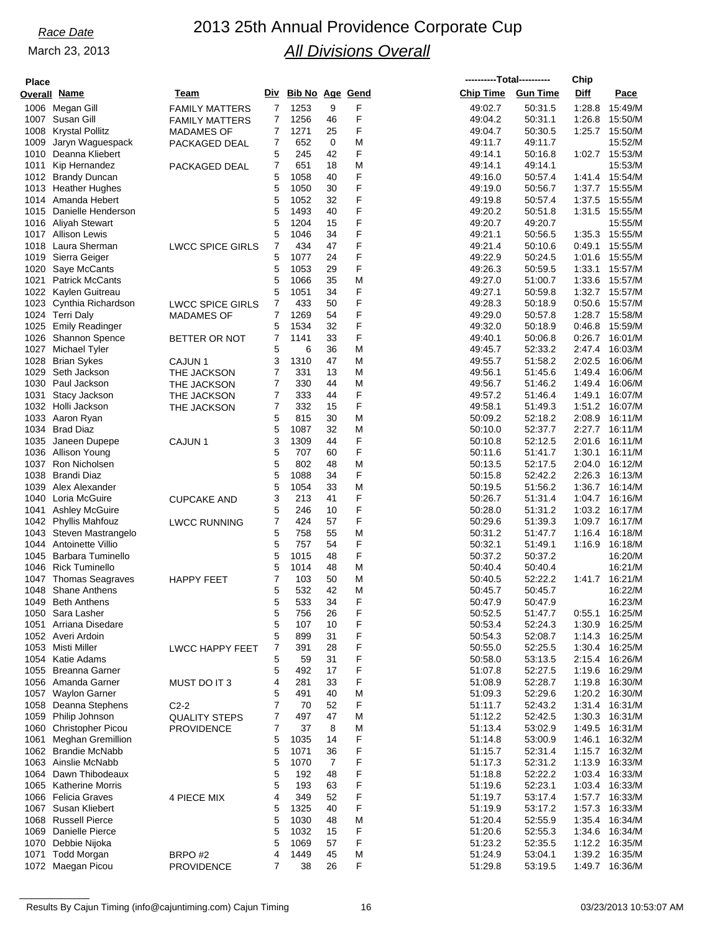# *Race Date* 2013 25th Annual Providence Corporate Cup *All Divisions Overall*

| <b>Place</b> |                                                      |                         |                |                        |          |        |                    | ----------Total---------- | Chip             |                           |
|--------------|------------------------------------------------------|-------------------------|----------------|------------------------|----------|--------|--------------------|---------------------------|------------------|---------------------------|
|              | Overall <u>Name</u>                                  | Team                    | Div            | <b>Bib No Age Gend</b> |          |        | <b>Chip Time</b>   | <b>Gun Time</b>           | Diff             | Pace                      |
| 1006         | Megan Gill                                           | <b>FAMILY MATTERS</b>   | 7              | 1253                   | 9        | F      | 49:02.7            | 50:31.5                   | 1:28.8           | 15:49/M                   |
| 1007         | Susan Gill                                           | <b>FAMILY MATTERS</b>   | $\overline{7}$ | 1256                   | 46       | F      | 49:04.2            | 50:31.1                   | 1:26.8           | 15:50/M                   |
| 1008         | <b>Krystal Pollitz</b>                               | <b>MADAMES OF</b>       | 7              | 1271                   | 25       | F      | 49.04.7            | 50:30.5                   | 1:25.7           | 15:50/M                   |
| 1009         | Jaryn Waguespack                                     | PACKAGED DEAL           | 7              | 652                    | 0        | M      | 49:11.7            | 49:11.7                   |                  | 15:52/M                   |
| 1010         | Deanna Kliebert                                      |                         | 5              | 245                    | 42       | F      | 49.14.1            | 50:16.8                   | 1:02.7           | 15:53/M                   |
| 1011         | Kip Hernandez                                        | PACKAGED DEAL           | 7<br>5         | 651<br>1058            | 18<br>40 | M<br>F | 49.14.1            | 49:14.1<br>50:57.4        |                  | 15:53/M<br>1:41.4 15:54/M |
| 1012<br>1013 | <b>Brandy Duncan</b><br><b>Heather Hughes</b>        |                         | 5              | 1050                   | 30       | F      | 49:16.0<br>49:19.0 | 50.56.7                   | 1:37.7           | 15:55/M                   |
| 1014         | Amanda Hebert                                        |                         | 5              | 1052                   | 32       | F      | 49:19.8            | 50:57.4                   | 1:37.5           | 15:55/M                   |
| 1015         | Danielle Henderson                                   |                         | 5              | 1493                   | 40       | F      | 49:20.2            | 50:51.8                   | 1:31.5           | 15:55/M                   |
| 1016         | Aliyah Stewart                                       |                         | 5              | 1204                   | 15       | F      | 49:20.7            | 49:20.7                   |                  | 15:55/M                   |
|              | 1017 Allison Lewis                                   |                         | 5              | 1046                   | 34       | F      | 49:21.1            | 50:56.5                   | 1:35.3           | 15:55/M                   |
| 1018         | Laura Sherman                                        | <b>LWCC SPICE GIRLS</b> | 7              | 434                    | 47       | F      | 49:21.4            | 50:10.6                   | 0:49.1           | 15:55/M                   |
| 1019         | Sierra Geiger                                        |                         | 5              | 1077                   | 24       | F      | 49:22.9            | 50:24.5                   | 1:01.6           | 15:55/M                   |
| 1020         | Saye McCants                                         |                         | 5              | 1053                   | 29       | F      | 49:26.3            | 50:59.5                   | 1:33.1           | 15:57/M                   |
| 1021         | <b>Patrick McCants</b>                               |                         | 5              | 1066                   | 35       | M      | 49.27.0            | 51:00.7                   | 1:33.6           | 15:57/M                   |
| 1022         | Kaylen Guitreau                                      |                         | 5              | 1051                   | 34       | F<br>F | 49:27.1            | 50:59.8                   |                  | 1:32.7 15:57/M            |
| 1023<br>1024 | Cynthia Richardson<br><b>Terri Daly</b>              | <b>LWCC SPICE GIRLS</b> | 7<br>7         | 433<br>1269            | 50<br>54 | F      | 49.28.3<br>49:29.0 | 50:18.9<br>50:57.8        | 0:50.6<br>1:28.7 | 15:57/M<br>15:58/M        |
| 1025         | <b>Emily Readinger</b>                               | <b>MADAMES OF</b>       | 5              | 1534                   | 32       | F      | 49:32.0            | 50:18.9                   | 0:46.8           | 15:59/M                   |
| 1026         | <b>Shannon Spence</b>                                | BETTER OR NOT           | $\overline{7}$ | 1141                   | 33       | F      | 49:40.1            | 50:06.8                   | 0:26.7           | 16:01/M                   |
| 1027         | <b>Michael Tyler</b>                                 |                         | 5              | 6                      | 36       | M      | 49:45.7            | 52:33.2                   | 2:47.4           | 16:03/M                   |
| 1028         | <b>Brian Sykes</b>                                   | CAJUN <sub>1</sub>      | 3              | 1310                   | 47       | M      | 49:55.7            | 51:58.2                   | 2:02.5           | 16:06/M                   |
| 1029         | Seth Jackson                                         | THE JACKSON             | 7              | 331                    | 13       | M      | 49.56.1            | 51:45.6                   | 1:49.4           | 16:06/M                   |
| 1030         | Paul Jackson                                         | THE JACKSON             | 7              | 330                    | 44       | M      | 49.56.7            | 51:46.2                   | 1:49.4           | 16:06/M                   |
| 1031         | Stacy Jackson                                        | THE JACKSON             | 7              | 333                    | 44       | F      | 49:57.2            | 51:46.4                   | 1:49.1           | 16:07/M                   |
| 1032         | Holli Jackson                                        | THE JACKSON             | 7              | 332                    | 15       | F      | 49.58.1            | 51:49.3                   | 1:51.2           | 16:07/M                   |
| 1033         | Aaron Ryan                                           |                         | 5              | 815                    | 30       | M      | 50:09.2            | 52:18.2                   | 2:08.9           | 16:11/M                   |
| 1034         | <b>Brad Diaz</b>                                     |                         | 5              | 1087                   | 32       | M      | 50:10.0            | 52:37.7                   | 2:27.7           | 16:11/M                   |
| 1035         | Janeen Dupepe                                        | CAJUN <sub>1</sub>      | 3              | 1309                   | 44       | F      | 50:10.8            | 52:12.5                   | 2:01.6           | 16:11/M                   |
| 1036<br>1037 | Allison Young<br>Ron Nicholsen                       |                         | 5<br>5         | 707<br>802             | 60<br>48 | F<br>M | 50:11.6<br>50:13.5 | 51:41.7<br>52:17.5        | 1:30.1<br>2:04.0 | 16:11/M<br>16:12/M        |
| 1038         | <b>Brandi Diaz</b>                                   |                         | 5              | 1088                   | 34       | F      | 50:15.8            | 52:42.2                   | 2:26.3           | 16:13/M                   |
| 1039         | Alex Alexander                                       |                         | 5              | 1054                   | 33       | M      | 50:19.5            | 51:56.2                   | 1:36.7           | 16:14/M                   |
| 1040         | Loria McGuire                                        | <b>CUPCAKE AND</b>      | 3              | 213                    | 41       | F      | 50:26.7            | 51:31.4                   | 1:04.7           | 16:16/M                   |
| 1041         | <b>Ashley McGuire</b>                                |                         | 5              | 246                    | 10       | F      | 50:28.0            | 51:31.2                   |                  | 1:03.2 16:17/M            |
| 1042         | <b>Phyllis Mahfouz</b>                               | <b>LWCC RUNNING</b>     | 7              | 424                    | 57       | F      | 50:29.6            | 51:39.3                   | 1:09.7           | 16:17/M                   |
| 1043         | Steven Mastrangelo                                   |                         | 5              | 758                    | 55       | M      | 50:31.2            | 51:47.7                   | 1:16.4           | 16:18/M                   |
| 1044         | Antoinette Villio                                    |                         | 5              | 757                    | 54       | F      | 50:32.1            | 51:49.1                   |                  | 1:16.9 16:18/M            |
| 1045         | <b>Barbara Tuminello</b>                             |                         | 5              | 1015                   | 48       | F      | 50:37.2            | 50:37.2                   |                  | 16:20/M                   |
| 1046         | <b>Rick Tuminello</b>                                |                         | 5              | 1014                   | 48       | M      | 50:40.4            | 50:40.4                   |                  | 16:21/M                   |
| 1047<br>1048 | <b>Thomas Seagraves</b><br>Shane Anthens             | <b>HAPPY FEET</b>       | 7<br>5         | 103<br>532             | 50<br>42 | M<br>M | 50:40.5            | 52:22.2<br>50:45.7        | 1:41.7           | 16:21/M<br>16:22/M        |
| 1049         | <b>Beth Anthens</b>                                  |                         | 5              | 533                    | 34       | F      | 50:45.7<br>50:47.9 | 50:47.9                   |                  | 16:23/M                   |
| 1050         | Sara Lasher                                          |                         | 5              | 756                    | 26       | F      | 50:52.5            | 51:47.7                   | 0.55.1           | 16:25/M                   |
| 1051         | Arriana Disedare                                     |                         | 5              | 107                    | 10       | F      | 50:53.4            | 52:24.3                   | 1:30.9           | 16:25/M                   |
| 1052         | Averi Ardoin                                         |                         | 5              | 899                    | 31       | F      | 50:54.3            | 52:08.7                   |                  | 1:14.3 16:25/M            |
| 1053         | Misti Miller                                         | <b>LWCC HAPPY FEET</b>  | 7              | 391                    | 28       | F      | 50:55.0            | 52:25.5                   | 1:30.4           | 16:25/M                   |
| 1054         | Katie Adams                                          |                         | 5              | 59                     | 31       | F      | 50:58.0            | 53:13.5                   |                  | 2:15.4 16:26/M            |
| 1055         | <b>Breanna Garner</b>                                |                         | 5              | 492                    | 17       | F      | 51:07.8            | 52:27.5                   | 1:19.6           | 16:29/M                   |
| 1056         | Amanda Garner                                        | MUST DO IT 3            | 4              | 281                    | 33       | F      | 51:08.9            | 52:28.7                   | 1:19.8           | 16:30/M                   |
| 1057         | Waylon Garner                                        |                         | 5              | 491                    | 40       | M      | 51:09.3            | 52:29.6                   |                  | 1:20.2 16:30/M            |
| 1058         | Deanna Stephens                                      | $C2-2$                  | 7              | 70                     | 52       | F      | 51:11.7            | 52:43.2                   | 1:31.4           | 16:31/M                   |
| 1059         | Philip Johnson                                       | <b>QUALITY STEPS</b>    | 7              | 497                    | 47       | M      | 51:12.2            | 52:42.5                   | 1:30.3           | 16:31/M                   |
| 1060<br>1061 | <b>Christopher Picou</b><br><b>Meghan Gremillion</b> | <b>PROVIDENCE</b>       | 7<br>5         | 37<br>1035             | 8<br>14  | M<br>F | 51:13.4<br>51:14.8 | 53:02.9<br>53:00.9        | 1:49.5<br>1:46.1 | 16:31/M<br>16:32/M        |
| 1062         | <b>Brandie McNabb</b>                                |                         | 5              | 1071                   | 36       | F      | 51:15.7            | 52:31.4                   |                  | 1:15.7 16:32/M            |
|              | 1063 Ainslie McNabb                                  |                         | 5              | 1070                   | 7        | F      | 51:17.3            | 52:31.2                   | 1:13.9           | 16:33/M                   |
| 1064         | Dawn Thibodeaux                                      |                         | 5              | 192                    | 48       | F      | 51:18.8            | 52:22.2                   | 1:03.4           | 16:33/M                   |
| 1065         | <b>Katherine Morris</b>                              |                         | 5              | 193                    | 63       | F      | 51:19.6            | 52:23.1                   |                  | 1:03.4 16:33/M            |
| 1066         | Felicia Graves                                       | 4 PIECE MIX             | 4              | 349                    | 52       | F      | 51:19.7            | 53:17.4                   | 1:57.7           | 16:33/M                   |
| 1067         | Susan Kliebert                                       |                         | 5              | 1325                   | 40       | F      | 51:19.9            | 53:17.2                   | 1:57.3           | 16:33/M                   |
| 1068         | <b>Russell Pierce</b>                                |                         | 5              | 1030                   | 48       | M      | 51:20.4            | 52:55.9                   |                  | 1:35.4 16:34/M            |
| 1069         | Danielle Pierce                                      |                         | 5              | 1032                   | 15       | F      | 51:20.6            | 52:55.3                   | 1:34.6           | 16:34/M                   |
| 1070         | Debbie Nijoka                                        |                         | 5              | 1069                   | 57       | F      | 51:23.2            | 52:35.5                   |                  | 1:12.2 16:35/M            |
| 1071<br>1072 | <b>Todd Morgan</b><br>Maegan Picou                   | BRPO#2                  | 4<br>7         | 1449<br>38             | 45<br>26 | M<br>F | 51:24.9<br>51:29.8 | 53:04.1<br>53:19.5        | 1:39.2<br>1:49.7 | 16:35/M<br>16:36/M        |
|              |                                                      | <b>PROVIDENCE</b>       |                |                        |          |        |                    |                           |                  |                           |

Results By Cajun Timing (info@cajuntiming.com) Cajun Timing 16 16 16 15 16 03/23/2013 10:53:07 AM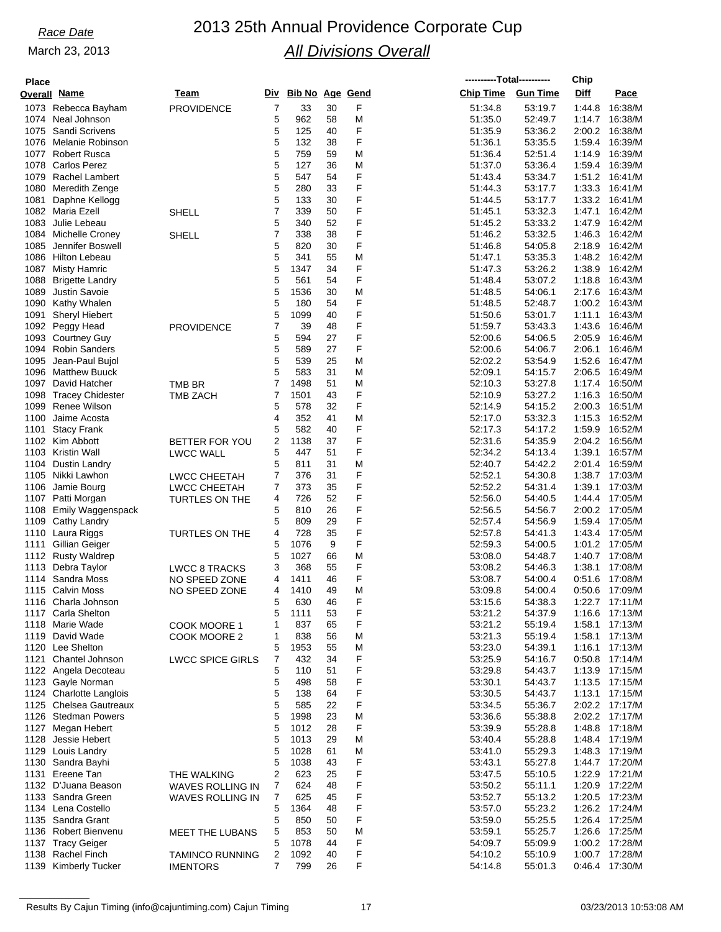# *Race Date* 2013 25th Annual Providence Corporate Cup *All Divisions Overall*

| <b>Place</b> |                          |                         |   |                     |    |   | ----------Total---------- |         | Chip        |                  |
|--------------|--------------------------|-------------------------|---|---------------------|----|---|---------------------------|---------|-------------|------------------|
|              | <b>Overall Name</b>      | Team                    |   | Div Bib No Age Gend |    |   | Chip Time Gun Time        |         | <b>Diff</b> | Pace             |
|              | 1073 Rebecca Bayham      | <b>PROVIDENCE</b>       | 7 | 33                  | 30 | F | 51:34.8                   | 53:19.7 | 1:44.8      | 16:38/M          |
|              | 1074 Neal Johnson        |                         | 5 | 962                 | 58 | Μ | 51:35.0                   | 52:49.7 | 1:14.7      | 16:38/M          |
| 1075         | Sandi Scrivens           |                         | 5 | 125                 | 40 | F | 51:35.9                   | 53:36.2 | 2:00.2      | 16:38/M          |
| 1076         | Melanie Robinson         |                         | 5 | 132                 | 38 | F | 51:36.1                   | 53:35.5 | 1:59.4      | 16:39/M          |
| 1077         | <b>Robert Rusca</b>      |                         | 5 | 759                 | 59 | M | 51:36.4                   | 52:51.4 | 1:14.9      | 16:39/M          |
| 1078         | <b>Carlos Perez</b>      |                         | 5 | 127                 | 36 | M | 51:37.0                   | 53:36.4 |             | 1:59.4 16:39/M   |
| 1079         | Rachel Lambert           |                         | 5 | 547                 | 54 | F | 51:43.4                   | 53:34.7 | 1:51.2      | 16:41/M          |
| 1080         | Meredith Zenge           |                         | 5 | 280                 | 33 | F | 51:44.3                   | 53:17.7 | 1:33.3      | 16:41/M          |
| 1081         | Daphne Kellogg           |                         | 5 | 133                 | 30 | F | 51:44.5                   | 53:17.7 | 1:33.2      | 16:41/M          |
| 1082         | Maria Ezell              | SHELL                   | 7 | 339                 | 50 | F | 51:45.1                   | 53:32.3 | 1:47.1      | 16:42/M          |
| 1083         | Julie Lebeau             |                         | 5 | 340                 | 52 | F | 51:45.2                   | 53:33.2 | 1:47.9      | 16:42/M          |
| 1084         | <b>Michelle Croney</b>   | <b>SHELL</b>            | 7 | 338                 | 38 | F | 51:46.2                   | 53:32.5 | 1:46.3      | 16:42/M          |
| 1085         | Jennifer Boswell         |                         | 5 | 820                 | 30 | F | 51:46.8                   | 54:05.8 | 2:18.9      | 16:42/M          |
| 1086         | <b>Hilton Lebeau</b>     |                         | 5 | 341                 | 55 | M | 51:47.1                   | 53:35.3 | 1:48.2      | 16:42/M          |
| 1087         | <b>Misty Hamric</b>      |                         | 5 | 1347                | 34 | F | 51:47.3                   | 53.26.2 | 1:38.9      | 16:42/M          |
| 1088         | <b>Brigette Landry</b>   |                         | 5 | 561                 | 54 | F | 51:48.4                   | 53:07.2 | 1:18.8      | 16:43/M          |
| 1089         | <b>Justin Savoie</b>     |                         | 5 | 1536                | 30 | M | 51:48.5                   | 54:06.1 | 2:17.6      | 16:43/M          |
| 1090         | Kathy Whalen             |                         | 5 | 180                 | 54 | F | 51:48.5                   | 52:48.7 |             | 1:00.2 16:43/M   |
| 1091         | <b>Sheryl Hiebert</b>    |                         | 5 | 1099                | 40 | F | 51:50.6                   | 53:01.7 | 1:11.1      | 16:43/M          |
| 1092         | Peggy Head               | <b>PROVIDENCE</b>       | 7 | 39                  | 48 | F | 51:59.7                   | 53:43.3 | 1:43.6      | 16:46/M          |
| 1093         | <b>Courtney Guy</b>      |                         | 5 | 594                 | 27 | F | 52:00.6                   | 54:06.5 | 2:05.9      | 16:46/M          |
| 1094         | <b>Robin Sanders</b>     |                         | 5 | 589                 | 27 | F | 52:00.6                   | 54:06.7 | 2:06.1      | 16:46/M          |
| 1095         | Jean-Paul Bujol          |                         | 5 | 539                 | 25 | M | 52:02.2                   | 53:54.9 | 1:52.6      | 16:47/M          |
| 1096         | <b>Matthew Buuck</b>     |                         | 5 | 583                 | 31 | M | 52:09.1                   | 54:15.7 | 2:06.5      | 16:49/M          |
| 1097         | David Hatcher            | TMB BR                  | 7 | 1498                | 51 | M | 52:10.3                   | 53:27.8 | 1:17.4      | 16:50/M          |
| 1098         | <b>Tracey Chidester</b>  | <b>TMB ZACH</b>         | 7 | 1501                | 43 | F | 52:10.9                   | 53:27.2 | 1:16.3      | 16:50/M          |
| 1099         | Renee Wilson             |                         | 5 | 578                 | 32 | F | 52:14.9                   | 54:15.2 | 2:00.3      | 16:51/M          |
| 1100         | Jaime Acosta             |                         | 4 | 352                 | 41 | M | 52:17.0                   | 53:32.3 | 1:15.3      | 16:52/M          |
| 1101         | <b>Stacy Frank</b>       |                         | 5 | 582                 | 40 | F | 52:17.3                   | 54:17.2 | 1:59.9      | 16:52/M          |
| 1102         | Kim Abbott               | BETTER FOR YOU          | 2 | 1138                | 37 | F | 52:31.6                   | 54:35.9 | 2:04.2      | 16:56/M          |
| 1103         | Kristin Wall             | <b>LWCC WALL</b>        | 5 | 447                 | 51 | F | 52:34.2                   | 54:13.4 | 1:39.1      | 16:57/M          |
| 1104         | Dustin Landry            |                         | 5 | 811                 | 31 | M | 52:40.7                   | 54:42.2 | 2:01.4      | 16:59/M          |
| 1105         | Nikki Lawhon             | LWCC CHEETAH            | 7 | 376                 | 31 | F | 52:52.1                   | 54:30.8 | 1:38.7      | 17:03/M          |
| 1106         | Jamie Bourg              | <b>LWCC CHEETAH</b>     | 7 | 373                 | 35 | F | 52:52.2                   | 54:31.4 | 1:39.1      | 17:03/M          |
| 1107         | Patti Morgan             | TURTLES ON THE          | 4 | 726                 | 52 | F | 52:56.0                   | 54:40.5 | 1:44.4      | 17:05/M          |
| 1108         | <b>Emily Waggenspack</b> |                         | 5 | 810                 | 26 | F | 52:56.5                   | 54:56.7 | 2:00.2      | 17:05/M          |
| 1109         | Cathy Landry             |                         | 5 | 809                 | 29 | F | 52:57.4                   | 54:56.9 |             | 1:59.4 17:05/M   |
| 1110         | Laura Riggs              | <b>TURTLES ON THE</b>   | 4 | 728                 | 35 | F | 52:57.8                   | 54:41.3 |             | 1:43.4 17:05/M   |
| 1111         | Gillian Geiger           |                         | 5 | 1076                | 9  | F | 52:59.3                   | 54:00.5 |             | 1:01.2 17:05/M   |
| 1112         | <b>Rusty Waldrep</b>     |                         | 5 | 1027                | 66 | M | 53:08.0                   | 54:48.7 |             | 1:40.7 17:08/M   |
|              | 1113 Debra Taylor        | <b>LWCC 8 TRACKS</b>    | 3 | 368                 | 55 | F | 53:08.2                   | 54:46.3 | 1:38.1      | 17:08/M          |
|              | 1114 Sandra Moss         | NO SPEED ZONE           | 4 | 1411                | 46 | F | 53:08.7                   | 54:00.4 | 0.51.6      | 17:08/M          |
|              | 1115 Calvin Moss         | NO SPEED ZONE           | 4 | 1410                | 49 | M | 53:09.8                   | 54:00.4 |             | 0:50.6 17:09/M   |
|              | 1116 Charla Johnson      |                         | 5 | 630                 | 46 | F | 53:15.6                   | 54:38.3 |             | 1:22.7 17:11/M   |
|              | 1117 Carla Shelton       |                         | 5 | 1111                | 53 | F | 53:21.2                   | 54:37.9 |             | 1:16.6 17:13/M   |
|              | 1118 Marie Wade          | COOK MOORE 1            | 1 | 837                 | 65 | F | 53:21.2                   | 55:19.4 | 1:58.1      | 17:13/M          |
| 1119         | David Wade               | COOK MOORE 2            | 1 | 838                 | 56 | M | 53:21.3                   | 55:19.4 | 1:58.1      | 17:13/M          |
|              | 1120 Lee Shelton         |                         | 5 | 1953                | 55 | M | 53:23.0                   | 54:39.1 |             | 1:16.1 17:13/M   |
| 1121         | Chantel Johnson          | <b>LWCC SPICE GIRLS</b> | 7 | 432                 | 34 | F | 53:25.9                   | 54:16.7 |             | $0:50.8$ 17:14/M |
|              | 1122 Angela Decoteau     |                         | 5 | 110                 | 51 | F | 53:29.8                   | 54:43.7 |             | 1:13.9 17:15/M   |
|              | 1123 Gayle Norman        |                         | 5 | 498                 | 58 | F | 53:30.1                   | 54:43.7 |             | 1:13.5 17:15/M   |
|              | 1124 Charlotte Langlois  |                         | 5 | 138                 | 64 | F | 53:30.5                   | 54:43.7 | 1:13.1      | 17:15/M          |
|              | 1125 Chelsea Gautreaux   |                         | 5 | 585                 | 22 | F | 53:34.5                   | 55:36.7 |             | 2:02.2 17:17/M   |
| 1126         | <b>Stedman Powers</b>    |                         | 5 | 1998                | 23 | M | 53:36.6                   | 55:38.8 |             | 2:02.2 17:17/M   |
| 1127         | Megan Hebert             |                         | 5 | 1012                | 28 | F | 53:39.9                   | 55:28.8 |             | 1:48.8 17:18/M   |
| 1128         | Jessie Hebert            |                         | 5 | 1013                | 29 | M | 53:40.4                   | 55:28.8 |             | 1:48.4 17:19/M   |
|              | 1129 Louis Landry        |                         | 5 | 1028                | 61 | M | 53:41.0                   | 55:29.3 |             | 1:48.3 17:19/M   |
|              | 1130 Sandra Bayhi        |                         | 5 | 1038                | 43 | F | 53:43.1                   | 55:27.8 |             | 1:44.7 17:20/M   |
|              | 1131 Ereene Tan          | THE WALKING             | 2 | 623                 | 25 | F | 53:47.5                   | 55:10.5 |             | 1:22.9 17:21/M   |
|              | 1132 D'Juana Beason      | <b>WAVES ROLLING IN</b> | 7 | 624                 | 48 | F | 53:50.2                   | 55:11.1 | 1:20.9      | 17:22/M          |
|              | 1133 Sandra Green        | WAVES ROLLING IN        | 7 | 625                 | 45 | F | 53:52.7                   | 55:13.2 |             | 1:20.5 17:23/M   |
|              | 1134 Lena Costello       |                         | 5 | 1364                | 48 | F | 53:57.0                   | 55:23.2 |             | 1:26.2 17:24/M   |
|              | 1135 Sandra Grant        |                         | 5 | 850                 | 50 | F | 53:59.0                   | 55:25.5 |             | 1:26.4 17:25/M   |
|              | 1136 Robert Bienvenu     | <b>MEET THE LUBANS</b>  | 5 | 853                 | 50 | M | 53:59.1                   | 55:25.7 |             | 1:26.6 17:25/M   |
|              | 1137 Tracy Geiger        |                         | 5 | 1078                | 44 | F | 54:09.7                   | 55:09.9 |             | 1:00.2 17:28/M   |
| 1138         | Rachel Finch             | <b>TAMINCO RUNNING</b>  | 2 | 1092                | 40 | F | 54:10.2                   | 55:10.9 |             | 1:00.7 17:28/M   |
| 1139         | <b>Kimberly Tucker</b>   | <b>IMENTORS</b>         | 7 | 799                 | 26 | F | 54:14.8                   | 55:01.3 |             | 0:46.4 17:30/M   |
|              |                          |                         |   |                     |    |   |                           |         |             |                  |

Results By Cajun Timing (info@cajuntiming.com) Cajun Timing 17 17 158:08 AM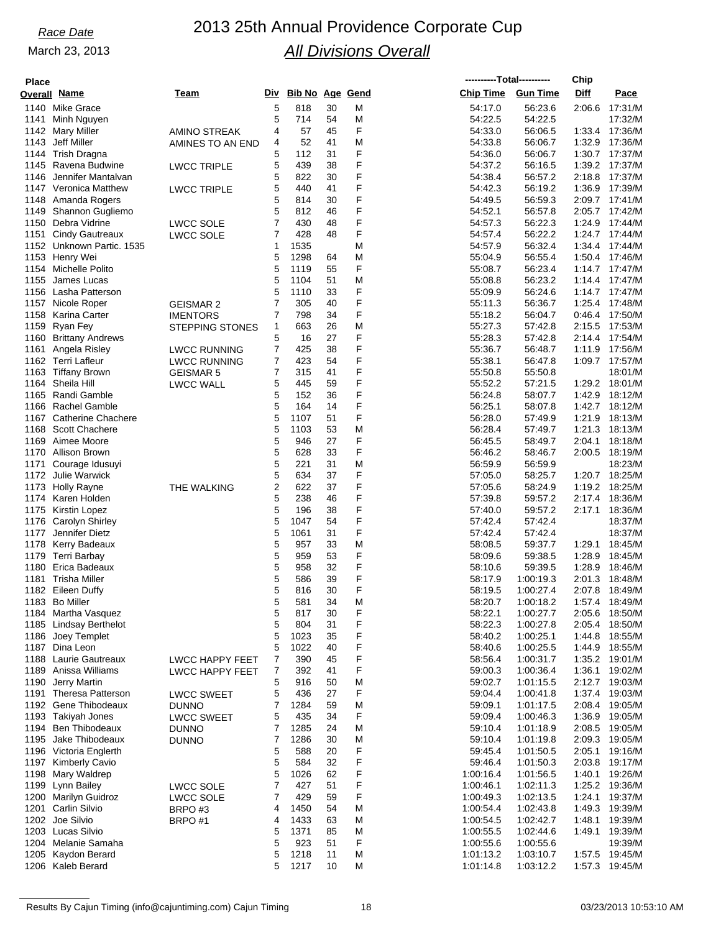# *Race Date* 2013 25th Annual Providence Corporate Cup *All Divisions Overall*

| <b>Place</b> |                                         |                                           |                     |                        |          |        |                        | ----------Total---------- | Chip             |                    |
|--------------|-----------------------------------------|-------------------------------------------|---------------------|------------------------|----------|--------|------------------------|---------------------------|------------------|--------------------|
|              | Overall Name                            | Team                                      | Div                 | <b>Bib No Age Gend</b> |          |        | <b>Chip Time</b>       | <b>Gun Time</b>           | Diff             | Pace               |
|              | 1140 Mike Grace                         |                                           | 5                   | 818                    | 30       | M      | 54:17.0                | 56:23.6                   | 2:06.6           | 17:31/M            |
| 1141         | Minh Nguyen                             |                                           | 5                   | 714                    | 54       | M      | 54:22.5                | 54:22.5                   |                  | 17:32/M            |
| 1142         | <b>Mary Miller</b>                      | <b>AMINO STREAK</b>                       | 4                   | 57                     | 45       | F      | 54:33.0                | 56:06.5                   | 1:33.4           | 17:36/M            |
| 1143         | Jeff Miller                             | AMINES TO AN END                          | 4                   | 52                     | 41       | M      | 54:33.8                | 56:06.7                   | 1:32.9           | 17:36/M            |
| 1144         | <b>Trish Dragna</b>                     |                                           | 5                   | 112                    | 31       | F<br>F | 54:36.0                | 56:06.7                   | 1:30.7           | 17:37/M            |
| 1145<br>1146 | Ravena Budwine<br>Jennifer Mantalvan    | <b>LWCC TRIPLE</b>                        | 5<br>5              | 439<br>822             | 38<br>30 | F      | 54:37.2<br>54:38.4     | 56:16.5<br>56:57.2        | 1:39.2<br>2:18.8 | 17:37/M<br>17:37/M |
| 1147         | Veronica Matthew                        | <b>LWCC TRIPLE</b>                        | 5                   | 440                    | 41       | F      | 54:42.3                | 56:19.2                   | 1:36.9           | 17:39/M            |
| 1148         | Amanda Rogers                           |                                           | 5                   | 814                    | 30       | F      | 54:49.5                | 56:59.3                   | 2:09.7           | 17:41/M            |
| 1149         | Shannon Gugliemo                        |                                           | 5                   | 812                    | 46       | F      | 54:52.1                | 56:57.8                   | 2:05.7           | 17:42/M            |
| 1150         | Debra Vidrine                           | <b>LWCC SOLE</b>                          | 7                   | 430                    | 48       | F      | 54:57.3                | 56:22.3                   | 1:24.9           | 17:44/M            |
| 1151         | <b>Cindy Gautreaux</b>                  | <b>LWCC SOLE</b>                          | $\overline{7}$      | 428                    | 48       | F      | 54:57.4                | 56:22.2                   | 1:24.7           | 17:44/M            |
| 1152         | Unknown Partic. 1535                    |                                           | $\mathbf{1}$        | 1535                   |          | M      | 54:57.9                | 56:32.4                   | 1:34.4           | 17:44/M            |
| 1153         | Henry Wei                               |                                           | 5                   | 1298                   | 64       | M      | 55:04.9                | 56:55.4                   | 1:50.4           | 17:46/M            |
| 1154         | Michelle Polito                         |                                           | 5                   | 1119                   | 55       | F      | 55:08.7                | 56:23.4                   | 1:14.7           | 17:47/M            |
| 1155         | James Lucas                             |                                           | 5                   | 1104                   | 51       | M      | 55:08.8                | 56:23.2                   | 1:14.4           | 17:47/M            |
| 1156         | Lasha Patterson                         |                                           | 5                   | 1110                   | 33       | F<br>F | 55:09.9                | 56:24.6                   | 1:14.7           | 17:47/M            |
| 1157<br>1158 | Nicole Roper<br>Karina Carter           | <b>GEISMAR 2</b>                          | 7<br>7              | 305<br>798             | 40<br>34 | F      | 55:11.3<br>55:18.2     | 56:36.7<br>56:04.7        | 1:25.4<br>0.46.4 | 17:48/M<br>17:50/M |
| 1159         | Ryan Fey                                | <b>IMENTORS</b><br><b>STEPPING STONES</b> | 1                   | 663                    | 26       | M      | 55:27.3                | 57:42.8                   | 2:15.5           | 17:53/M            |
| 1160         | <b>Brittany Andrews</b>                 |                                           | 5                   | 16                     | 27       | F      | 55:28.3                | 57:42.8                   | 2:14.4           | 17:54/M            |
| 1161         | Angela Risley                           | <b>LWCC RUNNING</b>                       | 7                   | 425                    | 38       | F      | 55:36.7                | 56:48.7                   | 1:11.9           | 17:56/M            |
| 1162         | Terri Lafleur                           | <b>LWCC RUNNING</b>                       | 7                   | 423                    | 54       | F      | 55:38.1                | 56:47.8                   | 1:09.7           | 17:57/M            |
| 1163         | Tiffany Brown                           | <b>GEISMAR 5</b>                          | 7                   | 315                    | 41       | F      | 55:50.8                | 55:50.8                   |                  | 18:01/M            |
| 1164         | Sheila Hill                             | LWCC WALL                                 | 5                   | 445                    | 59       | F      | 55:52.2                | 57:21.5                   | 1:29.2           | 18:01/M            |
| 1165         | Randi Gamble                            |                                           | 5                   | 152                    | 36       | F      | 56:24.8                | 58:07.7                   | 1:42.9           | 18:12/M            |
| 1166         | <b>Rachel Gamble</b>                    |                                           | 5                   | 164                    | 14       | F      | 56:25.1                | 58:07.8                   | 1:42.7           | 18:12/M            |
| 1167         | <b>Catherine Chachere</b>               |                                           | 5                   | 1107                   | 51       | F      | 56:28.0                | 57:49.9                   | 1:21.9           | 18:13/M            |
| 1168         | <b>Scott Chachere</b>                   |                                           | 5                   | 1103                   | 53       | M      | 56:28.4                | 57:49.7                   | 1:21.3           | 18:13/M            |
| 1169         | Aimee Moore                             |                                           | 5                   | 946                    | 27       | F      | 56:45.5                | 58:49.7                   | 2:04.1           | 18:18/M            |
| 1170         | Allison Brown                           |                                           | 5                   | 628                    | 33       | F      | 56:46.2                | 58:46.7                   | 2:00.5           | 18:19/M            |
| 1171         | Courage Idusuyi                         |                                           | 5                   | 221                    | 31       | M      | 56:59.9                | 56:59.9                   |                  | 18:23/M            |
| 1172         | Julie Warwick                           |                                           | 5<br>2              | 634<br>622             | 37<br>37 | F<br>F | 57:05.0                | 58:25.7                   | 1:20.7           | 18:25/M<br>18:25/M |
| 1173<br>1174 | <b>Holly Rayne</b><br>Karen Holden      | THE WALKING                               | 5                   | 238                    | 46       | F      | 57:05.6<br>57:39.8     | 58:24.9<br>59:57.2        | 1:19.2<br>2:17.4 | 18:36/M            |
| 1175         | Kirstin Lopez                           |                                           | 5                   | 196                    | 38       | F      | 57:40.0                | 59:57.2                   | 2:17.1           | 18:36/M            |
| 1176         | Carolyn Shirley                         |                                           | 5                   | 1047                   | 54       | F      | 57:42.4                | 57:42.4                   |                  | 18:37/M            |
| 1177         | Jennifer Dietz                          |                                           | 5                   | 1061                   | 31       | F      | 57:42.4                | 57:42.4                   |                  | 18:37/M            |
| 1178         | Kerry Badeaux                           |                                           | 5                   | 957                    | 33       | M      | 58:08.5                | 59:37.7                   | 1:29.1           | 18:45/M            |
| 1179         | Terri Barbay                            |                                           | 5                   | 959                    | 53       | F      | 58:09.6                | 59:38.5                   | 1:28.9           | 18:45/M            |
| 1180         | Erica Badeaux                           |                                           | 5                   | 958                    | 32       | F      | 58:10.6                | 59:39.5                   | 1:28.9           | 18:46/M            |
| 1181         | Trisha Miller                           |                                           | 5                   | 586                    | 39       | F      | 58:17.9                | 1:00:19.3                 | 2:01.3           | 18:48/M            |
|              | 1182 Eileen Duffy                       |                                           | 5                   | 816                    | 30       | F      | 58:19.5                | 1:00:27.4                 | 2:07.8           | 18:49/M            |
|              | 1183 Bo Miller                          |                                           | 5                   | 581                    | 34       | M      | 58:20.7                | 1:00:18.2                 | 1:57.4           | 18:49/M            |
|              | 1184 Martha Vasquez                     |                                           | 5                   | 817                    | 30       | F      | 58:22.1                | 1:00:27.7                 | 2:05.6           | 18:50/M            |
|              | 1185 Lindsay Berthelot                  |                                           | 5<br>5              | 804<br>1023            | 31<br>35 | F<br>F | 58:22.3<br>58:40.2     | 1:00:27.8                 | 2:05.4           | 18:50/M            |
| 1186         | Joey Templet<br>1187 Dina Leon          |                                           | 5                   | 1022                   | 40       | F      | 58:40.6                | 1:00:25.1<br>1:00:25.5    | 1:44.8<br>1:44.9 | 18:55/M<br>18:55/M |
|              | 1188 Laurie Gautreaux                   | <b>LWCC HAPPY FEET</b>                    | 7                   | 390                    | 45       | F      | 58.56.4                | 1:00:31.7                 |                  | 1:35.2 19:01/M     |
| 1189         | Anissa Williams                         | <b>LWCC HAPPY FEET</b>                    | 7                   | 392                    | 41       | F      | 59:00.3                | 1:00:36.4                 | 1:36.1           | 19:02/M            |
| 1190         | Jerry Martin                            |                                           | 5                   | 916                    | 50       | M      | 59:02.7                | 1:01:15.5                 | 2:12.7           | 19:03/M            |
| 1191         | <b>Theresa Patterson</b>                | <b>LWCC SWEET</b>                         | 5                   | 436                    | 27       | F      | 59:04.4                | 1:00:41.8                 | 1:37.4           | 19:03/M            |
| 1192         | Gene Thibodeaux                         | <b>DUNNO</b>                              | 7                   | 1284                   | 59       | M      | 59:09.1                | 1:01:17.5                 | 2:08.4           | 19:05/M            |
| 1193         | Takiyah Jones                           | <b>LWCC SWEET</b>                         | 5                   | 435                    | 34       | F      | 59:09.4                | 1:00:46.3                 | 1:36.9           | 19:05/M            |
| 1194         | Ben Thibodeaux                          | <b>DUNNO</b>                              | 7                   | 1285                   | 24       | M      | 59:10.4                | 1:01:18.9                 | 2:08.5           | 19:05/M            |
| 1195         | Jake Thibodeaux                         | <b>DUNNO</b>                              | 7                   | 1286                   | 30       | M      | 59:10.4                | 1:01:19.8                 | 2:09.3           | 19:05/M            |
|              | 1196 Victoria Englerth                  |                                           | 5                   | 588                    | 20       | F      | 59:45.4                | 1:01:50.5                 | 2:05.1           | 19:16/M            |
| 1197         | <b>Kimberly Cavio</b>                   |                                           | 5                   | 584                    | 32       | F      | 59:46.4                | 1:01:50.3                 | 2:03.8           | 19:17/M            |
| 1198         | Mary Waldrep                            |                                           | 5                   | 1026                   | 62       | F      | 1:00:16.4              | 1:01:56.5                 | 1:40.1           | 19:26/M            |
| 1199         | Lynn Bailey                             | <b>LWCC SOLE</b>                          | 7                   | 427                    | 51       | F      | 1:00:46.1              | 1:02:11.3                 |                  | 1:25.2 19:36/M     |
| 1200<br>1201 | Marilyn Guidroz<br><b>Carlin Silvio</b> | <b>LWCC SOLE</b>                          | $\overline{7}$<br>4 | 429<br>1450            | 59<br>54 | F      | 1:00:49.3              | 1:02:13.5                 | 1:24.1<br>1:49.3 | 19:37/M<br>19:39/M |
|              | 1202 Joe Silvio                         | BRPO#3<br>BRPO#1                          | 4                   | 1433                   | 63       | M<br>M | 1:00:54.4<br>1:00:54.5 | 1:02:43.8<br>1:02:42.7    | 1:48.1           | 19:39/M            |
|              | 1203 Lucas Silvio                       |                                           | 5                   | 1371                   | 85       | M      | 1:00:55.5              | 1:02:44.6                 | 1:49.1           | 19:39/M            |
|              | 1204 Melanie Samaha                     |                                           | 5                   | 923                    | 51       | F      | 1:00:55.6              | 1:00:55.6                 |                  | 19:39/M            |
| 1205         | Kaydon Berard                           |                                           | 5                   | 1218                   | 11       | M      | 1:01:13.2              | 1:03:10.7                 | 1:57.5           | 19:45/M            |
|              | 1206 Kaleb Berard                       |                                           | 5                   | 1217                   | 10       | M      | 1:01:14.8              | 1:03:12.2                 | 1:57.3           | 19:45/M            |
|              |                                         |                                           |                     |                        |          |        |                        |                           |                  |                    |

Results By Cajun Timing (info@cajuntiming.com) Cajun Timing 18 18 18 18 03/23/2013 10:53:10 AM